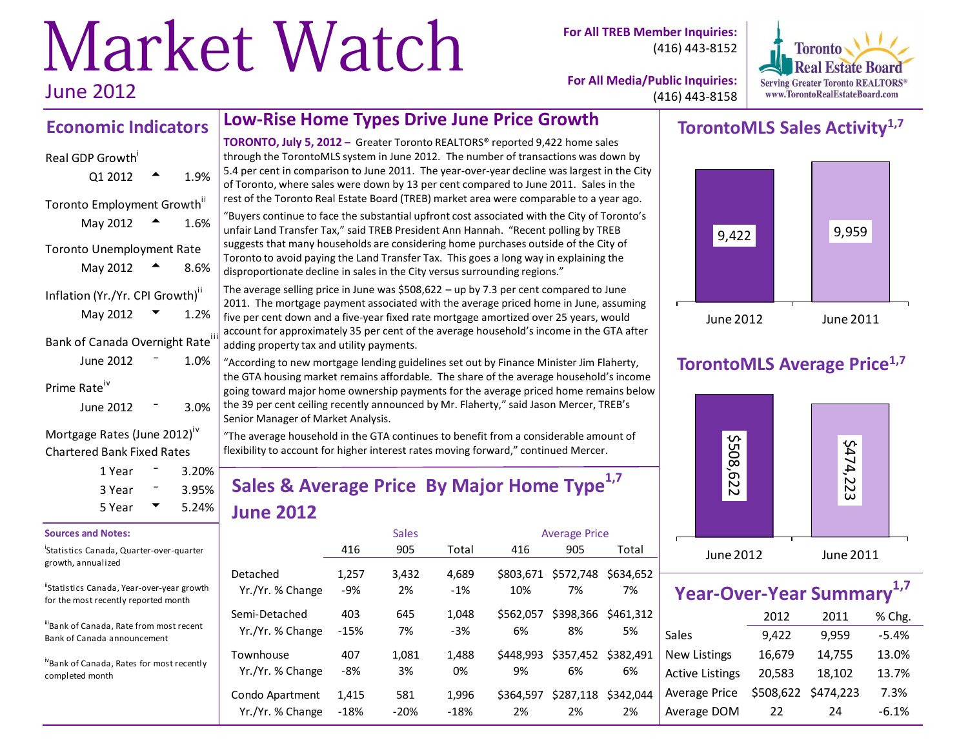# Market Watch June 2012

**For All TREB Member Inquiries:** (416) 443-8152



**For All Media/Public Inquiries:** (416) 443-8158

## **Economic Indicators**

| 1.9%                                                 |
|------------------------------------------------------|
| Toronto Employment Growth"<br>1.6%                   |
| Toronto Unemployment Rate<br>8.6%                    |
| Inflation (Yr./Yr. CPI Growth) <sup>ii</sup><br>1.2% |
| Bank of Canada Overnight Rate<br>1.0%                |
| 3.0%                                                 |
|                                                      |

Mortgage Rates (June 2012)<sup>iv</sup> Chartered Bank Fixed Rates

| 1 Year | $3.20\%$          |
|--------|-------------------|
| 3 Year | $3.95\%$<br>5.24% |
| 5 Year |                   |

#### **Sources and Notes:**

i Statistics Canada, Quarter-over-quarter growth, annualized

"Statistics Canada, Year-over-year growth for the most recently reported month

iiBank of Canada, Rate from most recent Bank of Canada announcement

ivBank of Canada, Rates for most recently completed month

### **Low-Rise Home Types Drive June Price Growth**

**TORONTO, July 5, 2012 –** Greater Toronto REALTORS® reported 9,422 home sales through the TorontoMLS system in June 2012. The number of transactions was down by 5.4 per cent in comparison to June 2011. The year-over-year decline was largest in the City of Toronto, where sales were down by 13 per cent compared to June 2011. Sales in the rest of the Toronto Real Estate Board (TREB) market area were comparable to a year ago. "Buyers continue to face the substantial upfront cost associated with the City of Toronto's unfair Land Transfer Tax," said TREB President Ann Hannah. "Recent polling by TREB suggests that many households are considering home purchases outside of the City of Toronto to avoid paying the Land Transfer Tax. This goes a long way in explaining the disproportionate decline in sales in the City versus surrounding regions."

The average selling price in June was \$508,622 – up by 7.3 per cent compared to June 2011. The mortgage payment associated with the average priced home in June, assuming five per cent down and a five-year fixed rate mortgage amortized over 25 years, would account for approximately 35 per cent of the average household's income in the GTA after adding property tax and utility payments.

"According to new mortgage lending guidelines set out by Finance Minister Jim Flaherty, the GTA housing market remains affordable. The share of the average household's income going toward major home ownership payments for the average priced home remains below the 39 per cent ceiling recently announced by Mr. Flaherty," said Jason Mercer, TREB's Senior Manager of Market Analysis.

"The average household in the GTA continues to benefit from a considerable amount of flexibility to account for higher interest rates moving forward," continued Mercer.

# **Sales & Average Price By Major Home Type1,7 June 2012**

|                               |              | <b>Sales</b> |             |                 | <b>Average Price</b>      |           |  |
|-------------------------------|--------------|--------------|-------------|-----------------|---------------------------|-----------|--|
|                               | 416          | 905          | Total       | 416             | 905                       | Total     |  |
| Detached                      | 1,257        | 3,432        | 4,689       | \$803.671       | \$572,748                 | \$634.652 |  |
| Yr./Yr. % Change              | -9%          | 2%           | $-1%$       | 10%             | 7%                        | 7%        |  |
| Semi-Detached                 | 403          | 645          | 1.048       | \$562.057       | \$398,366                 | \$461.312 |  |
| Yr./Yr. % Change              | $-15%$       | 7%           | $-3%$       | 6%              | 8%                        | 5%        |  |
| Townhouse<br>Yr./Yr. % Change | 407<br>$-8%$ | 1,081<br>3%  | 1,488<br>0% | \$448.993<br>9% | \$357,452 \$382,491<br>6% | 6%        |  |
| Condo Apartment               | 1,415        | 581          | 1,996       | \$364.597       | \$287,118                 | \$342.044 |  |
| Yr./Yr. % Change              | $-18%$       | $-20%$       | $-18%$      | 2%              | 2%                        | 2%        |  |

# **TorontoMLS Sales Activity1,7**



### **TorontoMLS Average Price1,7**



| <b>Year-Over-Year Summary</b> |        |                     |         |  |  |  |  |  |  |  |  |
|-------------------------------|--------|---------------------|---------|--|--|--|--|--|--|--|--|
|                               | % Chg. |                     |         |  |  |  |  |  |  |  |  |
| Sales                         | 9,422  | 9,959               | $-5.4%$ |  |  |  |  |  |  |  |  |
| <b>New Listings</b>           | 16,679 | 14,755              | 13.0%   |  |  |  |  |  |  |  |  |
| <b>Active Listings</b>        | 20,583 | 18,102              | 13.7%   |  |  |  |  |  |  |  |  |
| Average Price                 |        | \$508,622 \$474,223 | 7.3%    |  |  |  |  |  |  |  |  |
| Average DOM                   | 22     | 24                  | $-6.1%$ |  |  |  |  |  |  |  |  |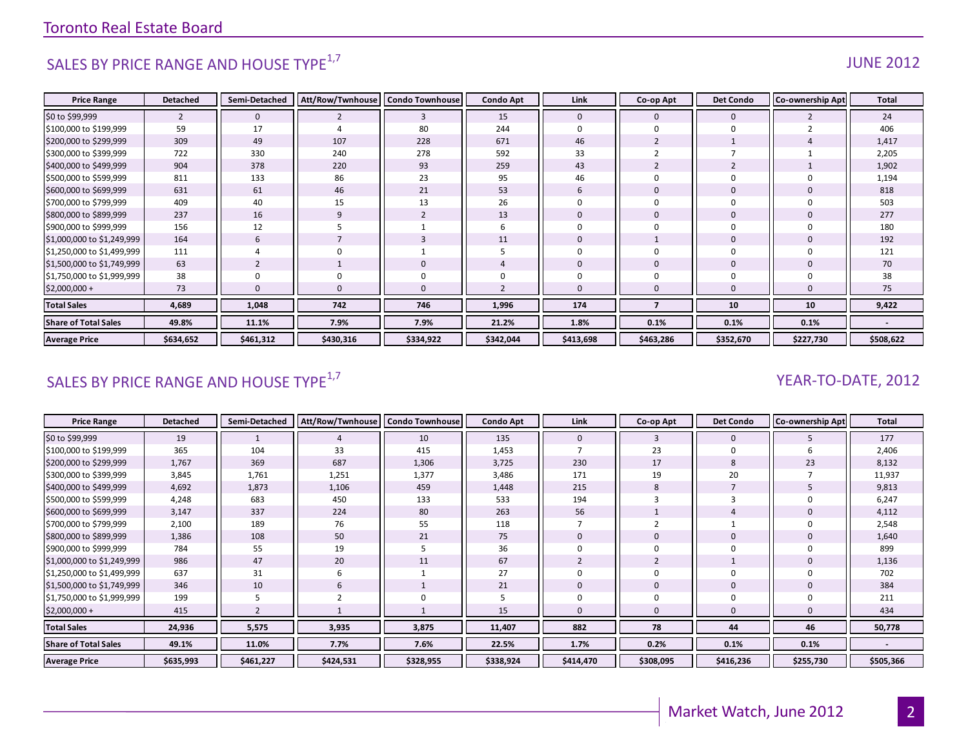# SALES BY PRICE RANGE AND HOUSE TYPE $^{1,7}$  and the set of the set of the set of the set of the set of the set of the set of the set of the set of the set of the set of the set of the set of the set of the set of the set o

| <b>Price Range</b>          | <b>Detached</b> | Semi-Detached | Att/Row/Twnhouse | <b>Condo Townhouse</b> | <b>Condo Apt</b> | Link         | Co-op Apt      | <b>Det Condo</b> | <b>Co-ownership Apt</b> | <b>Total</b> |
|-----------------------------|-----------------|---------------|------------------|------------------------|------------------|--------------|----------------|------------------|-------------------------|--------------|
| \$0 to \$99,999             | $\overline{2}$  | $\mathbf{0}$  | 2                | 3                      | 15               | $\mathbf{0}$ | $\mathbf 0$    | $\mathbf{0}$     |                         | 24           |
| \$100,000 to \$199,999      | 59              | 17            |                  | 80                     | 244              | 0            | $\mathbf 0$    | $\Omega$         |                         | 406          |
| \$200,000 to \$299,999      | 309             | 49            | 107              | 228                    | 671              | 46           | $\overline{2}$ |                  |                         | 1,417        |
| \$300,000 to \$399,999      | 722             | 330           | 240              | 278                    | 592              | 33           |                |                  |                         | 2,205        |
| \$400,000 to \$499,999      | 904             | 378           | 220              | 93                     | 259              | 43           | $\overline{2}$ |                  |                         | 1,902        |
| \$500,000 to \$599,999      | 811             | 133           | 86               | 23                     | 95               | 46           | $\Omega$       |                  |                         | 1,194        |
| \$600,000 to \$699,999      | 631             | 61            | 46               | 21                     | 53               | 6            | $\mathbf{0}$   | $\mathbf 0$      |                         | 818          |
| \$700,000 to \$799,999      | 409             | 40            | 15               | 13                     | 26               | $\Omega$     | $\Omega$       |                  |                         | 503          |
| \$800,000 to \$899,999      | 237             | 16            |                  | $\overline{2}$         | 13               | $\mathbf 0$  | $\overline{0}$ | $\mathbf 0$      |                         | 277          |
| \$900,000 to \$999,999      | 156             | 12            |                  |                        | b                | $\Omega$     | $\Omega$       | $\Omega$         |                         | 180          |
| \$1,000,000 to \$1,249,999  | 164             | 6             |                  |                        | 11               | $\Omega$     |                | $\mathbf 0$      |                         | 192          |
| \$1,250,000 to \$1,499,999  | 111             | 4             |                  |                        |                  | $\mathbf 0$  | $\Omega$       | $\Omega$         |                         | 121          |
| \$1,500,000 to \$1,749,999  | 63              |               |                  | $\mathbf 0$            |                  | $\mathbf{0}$ | $\Omega$       | $\mathbf 0$      |                         | 70           |
| \$1,750,000 to \$1,999,999  | 38              | 0             |                  | $\mathbf 0$            |                  | $\mathbf 0$  | $\Omega$       |                  |                         | 38           |
| \$2,000,000 +               | 73              | $\Omega$      |                  | $\mathbf{0}$           |                  | $\Omega$     | $\Omega$       |                  |                         | 75           |
| <b>Total Sales</b>          | 4,689           | 1,048         | 742              | 746                    | 1,996            | 174          |                | 10               | 10                      | 9,422        |
| <b>Share of Total Sales</b> | 49.8%           | 11.1%         | 7.9%             | 7.9%                   | 21.2%            | 1.8%         | 0.1%           | 0.1%             | 0.1%                    |              |
| <b>Average Price</b>        | \$634,652       | \$461,312     | \$430,316        | \$334,922              | \$342,044        | \$413,698    | \$463,286      | \$352,670        | \$227,730               | \$508,622    |

# SALES BY PRICE RANGE AND HOUSE TYPE<sup>1,7</sup>  $\sqrt{2}$  and  $\sqrt{2}$  and  $\sqrt{2}$  and  $\sqrt{2}$  and  $\sqrt{2}$  and  $\sqrt{2}$  and  $\sqrt{2}$  and  $\sqrt{2}$  and  $\sqrt{2}$  and  $\sqrt{2}$  and  $\sqrt{2}$  and  $\sqrt{2}$  and  $\sqrt{2}$  and  $\sqrt{2}$  and  $\sqrt{2}$  and

| <b>Price Range</b>          | <b>Detached</b> | Semi-Detached | Att/Row/Twnhouse   Condo Townhouse |             | <b>Condo Apt</b> | Link         | Co-op Apt    | <b>Det Condo</b> | <b>Co-ownership Apt</b> | <b>Total</b> |
|-----------------------------|-----------------|---------------|------------------------------------|-------------|------------------|--------------|--------------|------------------|-------------------------|--------------|
| \$0 to \$99,999             | 19              |               |                                    | 10          | 135              | $\mathbf{0}$ | 3            | 0                |                         | 177          |
| \$100,000 to \$199,999      | 365             | 104           | 33                                 | 415         | 1,453            |              | 23           | 0                |                         | 2,406        |
| \$200,000 to \$299,999      | 1,767           | 369           | 687                                | 1,306       | 3,725            | 230          | 17           | 8                | 23                      | 8,132        |
| \$300,000 to \$399,999      | 3,845           | 1,761         | 1,251                              | 1,377       | 3,486            | 171          | 19           | 20               |                         | 11,937       |
| \$400,000 to \$499,999      | 4,692           | 1,873         | 1,106                              | 459         | 1,448            | 215          | 8            |                  |                         | 9,813        |
| \$500,000 to \$599,999      | 4,248           | 683           | 450                                | 133         | 533              | 194          |              | 3                |                         | 6,247        |
| \$600,000 to \$699,999      | 3,147           | 337           | 224                                | 80          | 263              | 56           |              |                  |                         | 4,112        |
| \$700,000 to \$799,999      | 2,100           | 189           | 76                                 | 55          | 118              |              |              |                  |                         | 2,548        |
| \$800,000 to \$899,999      | 1,386           | 108           | 50                                 | 21          | 75               | $\Omega$     | $\mathbf{0}$ | 0                |                         | 1,640        |
| \$900,000 to \$999,999      | 784             | 55            | 19                                 | 5           | 36               |              |              | O                |                         | 899          |
| \$1,000,000 to \$1,249,999  | 986             | 47            | 20                                 | 11          | 67               |              |              |                  |                         | 1,136        |
| \$1,250,000 to \$1,499,999  | 637             | 31            |                                    |             | 27               |              | 0            | 0                |                         | 702          |
| \$1,500,000 to \$1,749,999  | 346             | 10            | 6                                  |             | 21               | $\mathbf{0}$ | $\mathbf{0}$ | $\mathbf 0$      |                         | 384          |
| \$1,750,000 to \$1,999,999  | 199             |               |                                    | $\mathbf 0$ |                  | $\Omega$     | 0            | 0                |                         | 211          |
| $$2,000,000+$               | 415             |               |                                    |             | 15               | $\Omega$     | $\mathbf{0}$ | $\Omega$         |                         | 434          |
| <b>Total Sales</b>          | 24,936          | 5,575         | 3,935                              | 3,875       | 11,407           | 882          | 78           | 44               | 46                      | 50,778       |
| <b>Share of Total Sales</b> | 49.1%           | 11.0%         | 7.7%                               | 7.6%        | 22.5%            | 1.7%         | 0.2%         | 0.1%             | 0.1%                    |              |
| <b>Average Price</b>        | \$635,993       | \$461,227     | \$424,531                          | \$328,955   | \$338,924        | \$414,470    | \$308,095    | \$416,236        | \$255,730               | \$505,366    |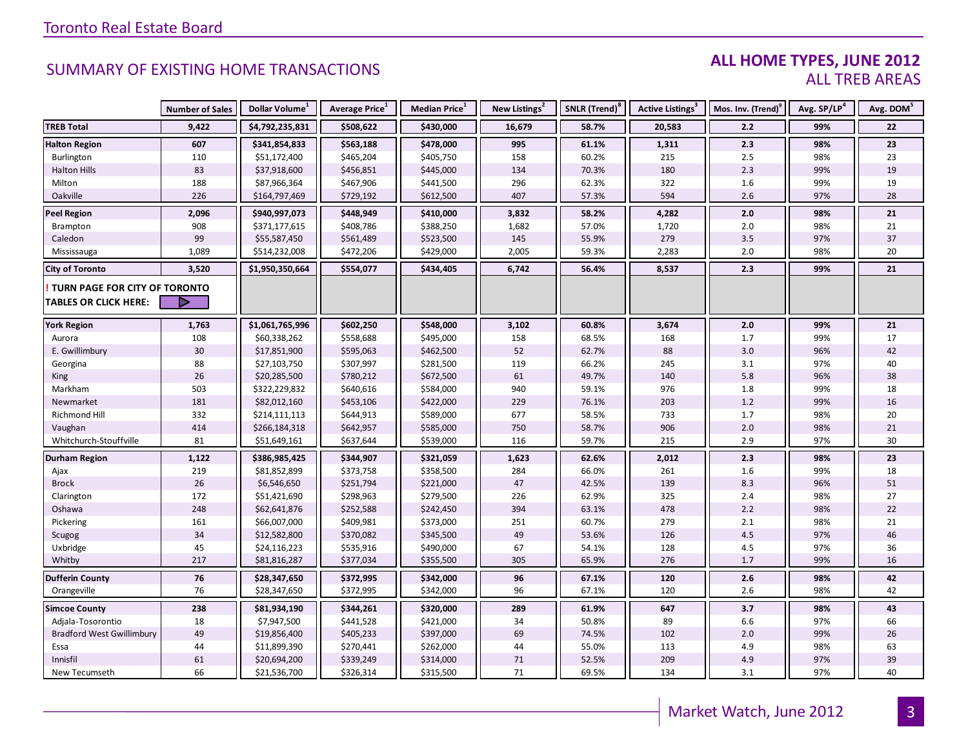#### **ALL HOME TYPES, JUNE 2012** ALL TREB AREAS

|                                  | <b>Number of Sales</b> | Dollar Volume <sup>1</sup> | Average Price <sup>1</sup> | Median Price <sup>1</sup> | New Listings <sup>2</sup> | SNLR (Trend) <sup>8</sup> | Active Listings <sup>3</sup> | Mos. Inv. (Trend) <sup>9</sup> | Avg. SP/LP <sup>4</sup> | Avg. DOM <sup>5</sup> |
|----------------------------------|------------------------|----------------------------|----------------------------|---------------------------|---------------------------|---------------------------|------------------------------|--------------------------------|-------------------------|-----------------------|
| <b>TREB Total</b>                | 9,422                  | \$4,792,235,831            | \$508,622                  | \$430,000                 | 16,679                    | 58.7%                     | 20,583                       | 2.2                            | 99%                     | 22                    |
| <b>Halton Region</b>             | 607                    | \$341,854,833              | \$563,188                  | \$478,000                 | 995                       | 61.1%                     | 1,311                        | 2.3                            | 98%                     | 23                    |
| Burlington                       | 110                    | \$51,172,400               | \$465,204                  | \$405,750                 | 158                       | 60.2%                     | 215                          | 2.5                            | 98%                     | 23                    |
| <b>Halton Hills</b>              | 83                     | \$37,918,600               | \$456,851                  | \$445,000                 | 134                       | 70.3%                     | 180                          | 2.3                            | 99%                     | 19                    |
| Milton                           | 188                    | \$87,966,364               | \$467,906                  | \$441,500                 | 296                       | 62.3%                     | 322                          | 1.6                            | 99%                     | 19                    |
| Oakville                         | 226                    | \$164,797,469              | \$729,192                  | \$612,500                 | 407                       | 57.3%                     | 594                          | 2.6                            | 97%                     | 28                    |
| <b>Peel Region</b>               | 2,096                  | \$940,997,073              | \$448,949                  | \$410,000                 | 3,832                     | 58.2%                     | 4,282                        | 2.0                            | 98%                     | 21                    |
| Brampton                         | 908                    | \$371,177,615              | \$408,786                  | \$388,250                 | 1,682                     | 57.0%                     | 1,720                        | 2.0                            | 98%                     | 21                    |
| Caledon                          | 99                     | \$55,587,450               | \$561,489                  | \$523,500                 | 145                       | 55.9%                     | 279                          | $3.5$                          | 97%                     | 37                    |
| Mississauga                      | 1,089                  | \$514,232,008              | \$472,206                  | \$429,000                 | 2,005                     | 59.3%                     | 2,283                        | 2.0                            | 98%                     | 20                    |
| <b>City of Toronto</b>           | 3,520                  | \$1,950,350,664            | \$554,077                  | \$434,405                 | 6,742                     | 56.4%                     | 8,537                        | 2.3                            | 99%                     | 21                    |
| TURN PAGE FOR CITY OF TORONTO    |                        |                            |                            |                           |                           |                           |                              |                                |                         |                       |
| <b>TABLES OR CLICK HERE:</b>     |                        |                            |                            |                           |                           |                           |                              |                                |                         |                       |
|                                  | 1,763                  | \$1,061,765,996            | \$602,250                  |                           |                           |                           | 3,674                        | $2.0$                          |                         | 21                    |
| <b>York Region</b><br>Aurora     | 108                    | \$60,338,262               | \$558,688                  | \$548,000<br>\$495,000    | 3,102<br>158              | 60.8%<br>68.5%            | 168                          | 1.7                            | 99%<br>99%              | 17                    |
| E. Gwillimbury                   | 30                     | \$17,851,900               | \$595,063                  | \$462,500                 | 52                        | 62.7%                     | 88                           | 3.0                            | 96%                     | 42                    |
| Georgina                         | 88                     | \$27,103,750               | \$307,997                  | \$281,500                 | 119                       | 66.2%                     | 245                          | 3.1                            | 97%                     | 40                    |
| King                             | 26                     | \$20,285,500               | \$780,212                  | \$672,500                 | 61                        | 49.7%                     | 140                          | 5.8                            | 96%                     | 38                    |
| Markham                          | 503                    | \$322,229,832              | \$640,616                  | \$584,000                 | 940                       | 59.1%                     | 976                          | 1.8                            | 99%                     | 18                    |
| Newmarket                        | 181                    | \$82,012,160               | \$453,106                  | \$422,000                 | 229                       | 76.1%                     | 203                          | 1.2                            | 99%                     | 16                    |
| Richmond Hill                    | 332                    | \$214,111,113              | \$644,913                  | \$589,000                 | 677                       | 58.5%                     | 733                          | 1.7                            | 98%                     | 20                    |
| Vaughan                          | 414                    | \$266,184,318              | \$642,957                  | \$585,000                 | 750                       | 58.7%                     | 906                          | 2.0                            | 98%                     | 21                    |
| Whitchurch-Stouffville           | 81                     | \$51,649,161               | \$637,644                  | \$539,000                 | 116                       | 59.7%                     | 215                          | 2.9                            | 97%                     | 30                    |
| <b>Durham Region</b>             | 1,122                  | \$386,985,425              | \$344,907                  | \$321,059                 | 1,623                     | 62.6%                     | 2,012                        | 2.3                            | 98%                     | 23                    |
| Ajax                             | 219                    | \$81,852,899               | \$373,758                  | \$358,500                 | 284                       | 66.0%                     | 261                          | 1.6                            | 99%                     | 18                    |
| <b>Brock</b>                     | 26                     | \$6,546,650                | \$251,794                  | \$221,000                 | 47                        | 42.5%                     | 139                          | 8.3                            | 96%                     | $51\,$                |
| Clarington                       | 172                    | \$51,421,690               | \$298,963                  | \$279,500                 | 226                       | 62.9%                     | 325                          | 2.4                            | 98%                     | 27                    |
| Oshawa                           | 248                    | \$62,641,876               | \$252,588                  | \$242,450                 | 394                       | 63.1%                     | 478                          | 2.2                            | 98%                     | 22                    |
| Pickering                        | 161                    | \$66,007,000               | \$409,981                  | \$373,000                 | 251                       | 60.7%                     | 279                          | 2.1                            | 98%                     | 21                    |
| Scugog                           | 34                     | \$12,582,800               | \$370,082                  | \$345,500                 | 49                        | 53.6%                     | 126                          | $4.5\,$                        | 97%                     | 46                    |
| Uxbridge                         | 45                     | \$24,116,223               | \$535,916                  | \$490,000                 | 67                        | 54.1%                     | 128                          | 4.5                            | 97%                     | 36                    |
| Whitby                           | 217                    | \$81,816,287               | \$377,034                  | \$355,500                 | 305                       | 65.9%                     | 276                          | 1.7                            | 99%                     | 16                    |
| <b>Dufferin County</b>           | 76                     | \$28,347,650               | \$372,995                  | \$342,000                 | 96                        | 67.1%                     | 120                          | 2.6                            | 98%                     | 42                    |
| Orangeville                      | 76                     | \$28,347,650               | \$372,995                  | \$342,000                 | 96                        | 67.1%                     | 120                          | 2.6                            | 98%                     | 42                    |
| <b>Simcoe County</b>             | 238                    | \$81,934,190               | \$344,261                  | \$320,000                 | 289                       | 61.9%                     | 647                          | 3.7                            | 98%                     | 43                    |
| Adjala-Tosorontio                | 18                     | \$7,947,500                | \$441,528                  | \$421,000                 | 34                        | 50.8%                     | 89                           | 6.6                            | 97%                     | 66                    |
| <b>Bradford West Gwillimbury</b> | 49                     | \$19,856,400               | \$405,233                  | \$397,000                 | 69                        | 74.5%                     | 102                          | 2.0                            | 99%                     | 26                    |
| Essa                             | 44                     | \$11,899,390               | \$270,441                  | \$262,000                 | 44                        | 55.0%                     | 113                          | 4.9                            | 98%                     | 63                    |
| Innisfil                         | 61                     | \$20,694,200               | \$339,249                  | \$314,000                 | 71                        | 52.5%                     | 209                          | 4.9                            | 97%                     | 39                    |
| New Tecumseth                    | 66                     | \$21,536,700               | \$326,314                  | \$315,500                 | 71                        | 69.5%                     | 134                          | 3.1                            | 97%                     | 40                    |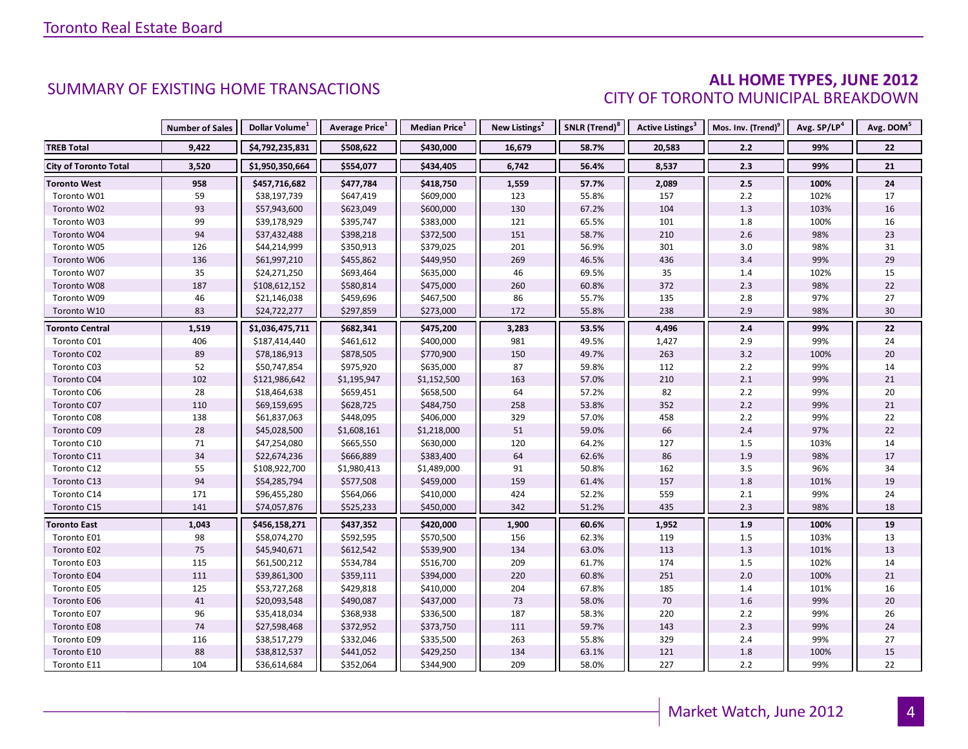#### **ALL HOME TYPES, JUNE 2012** CITY OF TORONTO MUNICIPAL BREAKDOWN

|                              | <b>Number of Sales</b> | Dollar Volume <sup>1</sup> | <b>Average Price</b> <sup>1</sup> | <b>Median Price</b> <sup>1</sup> | New Listings <sup>2</sup> | SNLR (Trend) <sup>8</sup> | Active Listings <sup>3</sup> | Mos. Inv. (Trend) <sup>9</sup> | Avg. SP/LP <sup>4</sup> | Avg. DOM <sup>5</sup> |
|------------------------------|------------------------|----------------------------|-----------------------------------|----------------------------------|---------------------------|---------------------------|------------------------------|--------------------------------|-------------------------|-----------------------|
| <b>TREB Total</b>            | 9,422                  | \$4,792,235,831            | \$508,622                         | \$430,000                        | 16,679                    | 58.7%                     | 20,583                       | 2.2                            | 99%                     | 22                    |
| <b>City of Toronto Total</b> | 3,520                  | \$1,950,350,664            | \$554,077                         | \$434,405                        | 6,742                     | 56.4%                     | 8,537                        | 2.3                            | 99%                     | 21                    |
| <b>Toronto West</b>          | 958                    | \$457,716,682              | \$477,784                         | \$418,750                        | 1,559                     | 57.7%                     | 2,089                        | 2.5                            | 100%                    | 24                    |
| Toronto W01                  | 59                     | \$38,197,739               | \$647,419                         | \$609,000                        | 123                       | 55.8%                     | 157                          | $2.2$                          | 102%                    | 17                    |
| Toronto W02                  | 93                     | \$57,943,600               | \$623,049                         | \$600,000                        | 130                       | 67.2%                     | 104                          | $1.3$                          | 103%                    | $16\,$                |
| Toronto W03                  | 99                     | \$39,178,929               | \$395,747                         | \$383,000                        | 121                       | 65.5%                     | 101                          | 1.8                            | 100%                    | 16                    |
| Toronto W04                  | 94                     | \$37,432,488               | \$398,218                         | \$372,500                        | 151                       | 58.7%                     | 210                          | 2.6                            | 98%                     | 23                    |
| Toronto W05                  | 126                    | \$44,214,999               | \$350,913                         | \$379,025                        | 201                       | 56.9%                     | 301                          | 3.0                            | 98%                     | 31                    |
| Toronto W06                  | 136                    | \$61,997,210               | \$455,862                         | \$449,950                        | 269                       | 46.5%                     | 436                          | 3.4                            | 99%                     | 29                    |
| Toronto W07                  | 35                     | \$24,271,250               | \$693,464                         | \$635,000                        | 46                        | 69.5%                     | 35                           | 1.4                            | 102%                    | 15                    |
| Toronto W08                  | 187                    | \$108,612,152              | \$580,814                         | \$475,000                        | 260                       | 60.8%                     | 372                          | 2.3                            | 98%                     | 22                    |
| Toronto W09                  | 46                     | \$21,146,038               | \$459,696                         | \$467,500                        | 86                        | 55.7%                     | 135                          | 2.8                            | 97%                     | 27                    |
| Toronto W10                  | 83                     | \$24,722,277               | \$297,859                         | \$273,000                        | 172                       | 55.8%                     | 238                          | 2.9                            | 98%                     | 30                    |
| <b>Toronto Central</b>       | 1,519                  | \$1,036,475,711            | \$682,341                         | \$475,200                        | 3,283                     | 53.5%                     | 4,496                        | 2.4                            | 99%                     | 22                    |
| Toronto C01                  | 406                    | \$187,414,440              | \$461,612                         | \$400,000                        | 981                       | 49.5%                     | 1,427                        | 2.9                            | 99%                     | 24                    |
| Toronto C02                  | 89                     | \$78,186,913               | \$878,505                         | \$770,900                        | 150                       | 49.7%                     | 263                          | 3.2                            | 100%                    | $20\,$                |
| Toronto C03                  | 52                     | \$50,747,854               | \$975,920                         | \$635,000                        | 87                        | 59.8%                     | 112                          | $2.2$                          | 99%                     | 14                    |
| Toronto C04                  | 102                    | \$121,986,642              | \$1,195,947                       | \$1,152,500                      | 163                       | 57.0%                     | 210                          | 2.1                            | 99%                     | 21                    |
| Toronto C06                  | 28                     | \$18,464,638               | \$659,451                         | \$658,500                        | 64                        | 57.2%                     | 82                           | 2.2                            | 99%                     | $20\,$                |
| Toronto C07                  | 110                    | \$69,159,695               | \$628,725                         | \$484,750                        | 258                       | 53.8%                     | 352                          | $2.2$                          | 99%                     | 21                    |
| Toronto C08                  | 138                    | \$61,837,063               | \$448,095                         | \$406,000                        | 329                       | 57.0%                     | 458                          | $2.2$                          | 99%                     | 22                    |
| Toronto C09                  | 28                     | \$45,028,500               | \$1,608,161                       | \$1,218,000                      | 51                        | 59.0%                     | 66                           | 2.4                            | 97%                     | 22                    |
| Toronto C10                  | 71                     | \$47,254,080               | \$665,550                         | \$630,000                        | 120                       | 64.2%                     | 127                          | 1.5                            | 103%                    | 14                    |
| Toronto C11                  | 34                     | \$22,674,236               | \$666,889                         | \$383,400                        | 64                        | 62.6%                     | 86                           | 1.9                            | 98%                     | 17                    |
| Toronto C12                  | 55                     | \$108,922,700              | \$1,980,413                       | \$1,489,000                      | 91                        | 50.8%                     | 162                          | 3.5                            | 96%                     | 34                    |
| Toronto C13                  | 94                     | \$54,285,794               | \$577,508                         | \$459,000                        | 159                       | 61.4%                     | 157                          | 1.8                            | 101%                    | 19                    |
| Toronto C14                  | 171                    | \$96,455,280               | \$564,066                         | \$410,000                        | 424                       | 52.2%                     | 559                          | 2.1                            | 99%                     | 24                    |
| Toronto C15                  | 141                    | \$74,057,876               | \$525,233                         | \$450,000                        | 342                       | 51.2%                     | 435                          | 2.3                            | 98%                     | 18                    |
| <b>Toronto East</b>          | 1,043                  | \$456,158,271              | \$437,352                         | \$420,000                        | 1,900                     | 60.6%                     | 1,952                        | 1.9                            | 100%                    | 19                    |
| Toronto E01                  | 98                     | \$58,074,270               | \$592,595                         | \$570,500                        | 156                       | 62.3%                     | 119                          | 1.5                            | 103%                    | 13                    |
| Toronto E02                  | 75                     | \$45,940,671               | \$612,542                         | \$539,900                        | 134                       | 63.0%                     | 113                          | 1.3                            | 101%                    | 13                    |
| Toronto E03                  | 115                    | \$61,500,212               | \$534,784                         | \$516,700                        | 209                       | 61.7%                     | 174                          | 1.5                            | 102%                    | 14                    |
| Toronto E04                  | 111                    | \$39,861,300               | \$359,111                         | \$394,000                        | 220                       | 60.8%                     | 251                          | 2.0                            | 100%                    | 21                    |
| Toronto E05                  | 125                    | \$53,727,268               | \$429,818                         | \$410,000                        | 204                       | 67.8%                     | 185                          | 1.4                            | 101%                    | 16                    |
| <b>Toronto E06</b>           | 41                     | \$20,093,548               | \$490,087                         | \$437,000                        | 73                        | 58.0%                     | 70                           | 1.6                            | 99%                     | 20                    |
| Toronto E07                  | 96                     | \$35,418,034               | \$368,938                         | \$336,500                        | 187                       | 58.3%                     | 220                          | $2.2$                          | 99%                     | 26                    |
| <b>Toronto E08</b>           | 74                     | \$27,598,468               | \$372,952                         | \$373,750                        | 111                       | 59.7%                     | 143                          | 2.3                            | 99%                     | 24                    |
| Toronto E09                  | 116                    | \$38,517,279               | \$332,046                         | \$335,500                        | 263                       | 55.8%                     | 329                          | $2.4$                          | 99%                     | 27                    |
| Toronto E10                  | 88                     | \$38,812,537               | \$441,052                         | \$429,250                        | 134                       | 63.1%                     | 121                          | 1.8                            | 100%                    | 15                    |
| Toronto E11                  | 104                    | \$36,614,684               | \$352,064                         | \$344,900                        | 209                       | 58.0%                     | 227                          | 2.2                            | 99%                     | 22                    |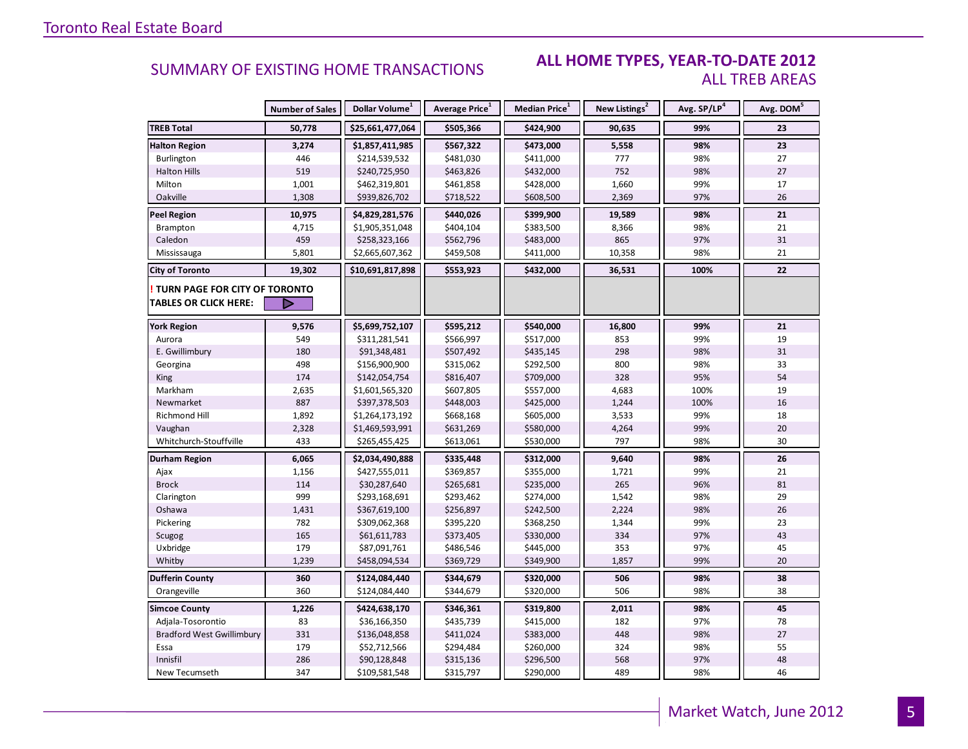#### **ALL HOME TYPES, YEAR-TO-DATE 2012** ALL TREB AREAS

|                                        | <b>Number of Sales</b> | Dollar Volume <sup>1</sup> | <b>Average Price</b> <sup>1</sup> | <b>Median Price</b> <sup>1</sup> | New Listings <sup>2</sup> | Avg. SP/LP <sup>4</sup> | Avg. DOM <sup>5</sup> |
|----------------------------------------|------------------------|----------------------------|-----------------------------------|----------------------------------|---------------------------|-------------------------|-----------------------|
| <b>TREB Total</b>                      | 50,778                 | \$25,661,477,064           | \$505,366                         | \$424,900                        | 90,635                    | 99%                     | 23                    |
| <b>Halton Region</b>                   | 3,274                  | \$1,857,411,985            | \$567,322                         | \$473,000                        | 5,558                     | 98%                     | 23                    |
| Burlington                             | 446                    | \$214,539,532              | \$481,030                         | \$411,000                        | 777                       | 98%                     | 27                    |
| <b>Halton Hills</b>                    | 519                    | \$240,725,950              | \$463,826                         | \$432,000                        | 752                       | 98%                     | 27                    |
| Milton                                 | 1,001                  | \$462,319,801              | \$461,858                         | \$428,000                        | 1,660                     | 99%                     | 17                    |
| Oakville                               | 1,308                  | \$939,826,702              | \$718,522                         | \$608,500                        | 2,369                     | 97%                     | 26                    |
| <b>Peel Region</b>                     | 10,975                 | \$4,829,281,576            | \$440,026                         | \$399,900                        | 19,589                    | 98%                     | 21                    |
| Brampton                               | 4,715                  | \$1,905,351,048            | \$404,104                         | \$383,500                        | 8,366                     | 98%                     | 21                    |
| Caledon                                | 459                    | \$258,323,166              | \$562,796                         | \$483,000                        | 865                       | 97%                     | 31                    |
| Mississauga                            | 5,801                  | \$2,665,607,362            | \$459,508                         | \$411,000                        | 10,358                    | 98%                     | 21                    |
| <b>City of Toronto</b>                 | 19,302                 | \$10,691,817,898           | \$553,923                         | \$432,000                        | 36,531                    | 100%                    | 22                    |
| <b>! TURN PAGE FOR CITY OF TORONTO</b> |                        |                            |                                   |                                  |                           |                         |                       |
| <b>TABLES OR CLICK HERE:</b>           | ▶                      |                            |                                   |                                  |                           |                         |                       |
| <b>York Region</b>                     | 9,576                  | \$5,699,752,107            | \$595,212                         | \$540,000                        | 16,800                    | 99%                     | 21                    |
| Aurora                                 | 549                    | \$311,281,541              | \$566,997                         | \$517,000                        | 853                       | 99%                     | 19                    |
| E. Gwillimbury                         | 180                    | \$91,348,481               | \$507,492                         | \$435,145                        | 298                       | 98%                     | 31                    |
| Georgina                               | 498                    | \$156,900,900              | \$315,062                         | \$292,500                        | 800                       | 98%                     | 33                    |
| <b>King</b>                            | 174                    | \$142,054,754              | \$816,407                         | \$709,000                        | 328                       | 95%                     | 54                    |
| Markham                                | 2,635                  | \$1,601,565,320            | \$607,805                         | \$557,000                        | 4,683                     | 100%                    | 19                    |
| Newmarket                              | 887                    | \$397,378,503              | \$448,003                         | \$425,000                        | 1,244                     | 100%                    | 16                    |
| Richmond Hill                          | 1,892                  | \$1,264,173,192            | \$668,168                         | \$605,000                        | 3,533                     | 99%                     | 18                    |
| Vaughan                                | 2,328                  | \$1,469,593,991            | \$631,269                         | \$580,000                        | 4,264                     | 99%                     | 20                    |
| Whitchurch-Stouffville                 | 433                    | \$265,455,425              | \$613,061                         | \$530,000                        | 797                       | 98%                     | 30                    |
| Durham Region                          | 6,065                  | \$2,034,490,888            | \$335,448                         | \$312,000                        | 9,640                     | 98%                     | 26                    |
| Ajax                                   | 1,156                  | \$427,555,011              | \$369,857                         | \$355,000                        | 1,721                     | 99%                     | 21                    |
| <b>Brock</b>                           | 114                    | \$30,287,640               | \$265,681                         | \$235,000                        | 265                       | 96%                     | 81                    |
| Clarington                             | 999                    | \$293,168,691              | \$293,462                         | \$274,000                        | 1,542                     | 98%                     | 29                    |
| Oshawa                                 | 1,431                  | \$367,619,100              | \$256,897                         | \$242,500                        | 2,224                     | 98%                     | 26                    |
| Pickering                              | 782                    | \$309,062,368              | \$395,220                         | \$368,250                        | 1,344                     | 99%                     | 23                    |
| Scugog                                 | 165                    | \$61,611,783               | \$373,405                         | \$330,000                        | 334                       | 97%                     | 43                    |
| Uxbridge                               | 179                    | \$87,091,761               | \$486,546                         | \$445,000                        | 353                       | 97%                     | 45                    |
| Whitby                                 | 1,239                  | \$458,094,534              | \$369,729                         | \$349,900                        | 1,857                     | 99%                     | 20                    |
| <b>Dufferin County</b>                 | 360                    | \$124,084,440              | \$344,679                         | \$320,000                        | 506                       | 98%                     | 38                    |
| Orangeville                            | 360                    | \$124,084,440              | \$344,679                         | \$320,000                        | 506                       | 98%                     | 38                    |
| <b>Simcoe County</b>                   | 1,226                  | \$424,638,170              | \$346,361                         | \$319,800                        | 2,011                     | 98%                     | 45                    |
| Adjala-Tosorontio                      | 83                     | \$36,166,350               | \$435,739                         | \$415,000                        | 182                       | 97%                     | 78                    |
| <b>Bradford West Gwillimbury</b>       | 331                    | \$136,048,858              | \$411,024                         | \$383,000                        | 448                       | 98%                     | 27                    |
| Essa                                   | 179                    | \$52,712,566               | \$294,484                         | \$260,000                        | 324                       | 98%                     | 55                    |
| Innisfil                               | 286                    | \$90,128,848               | \$315,136                         | \$296,500                        | 568                       | 97%                     | 48                    |
| New Tecumseth                          | 347                    | \$109,581,548              | \$315,797                         | \$290,000                        | 489                       | 98%                     | 46                    |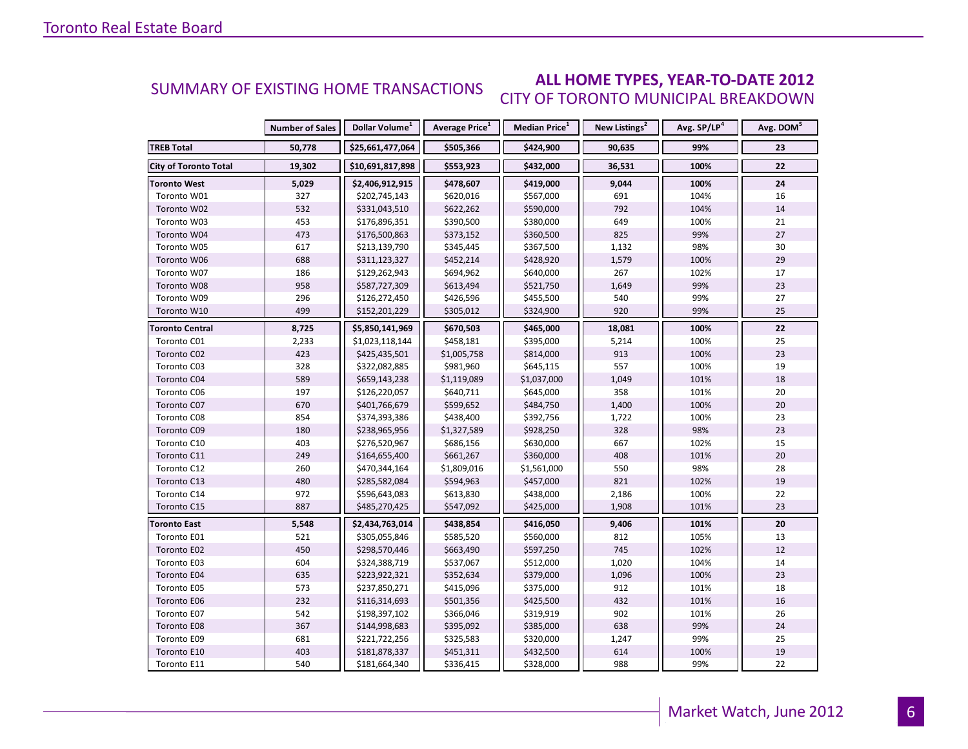#### **ALL HOME TYPES, YEAR-TO-DATE 2012** CITY OF TORONTO MUNICIPAL BREAKDOWN SUMMARY OF EXISTING HOME TRANSACTIONS

|                              | <b>Number of Sales</b> | Dollar Volume <sup>1</sup> | Average Price <sup>1</sup> | Median Price <sup>1</sup> | New Listings <sup>2</sup> | Avg. SP/LP <sup>4</sup> | Avg. DOM <sup>5</sup> |
|------------------------------|------------------------|----------------------------|----------------------------|---------------------------|---------------------------|-------------------------|-----------------------|
| <b>TREB Total</b>            | 50,778                 | \$25,661,477,064           | \$505,366                  | \$424,900                 | 90,635                    | 99%                     | 23                    |
| <b>City of Toronto Total</b> | 19,302                 | \$10,691,817,898           | \$553,923                  | \$432,000                 | 36,531                    | 100%                    | 22                    |
| <b>Toronto West</b>          | 5,029                  | \$2,406,912,915            | \$478,607                  | \$419,000                 | 9,044                     | 100%                    | 24                    |
| Toronto W01                  | 327                    | \$202,745,143              | \$620,016                  | \$567,000                 | 691                       | 104%                    | 16                    |
| Toronto W02                  | 532                    | \$331,043,510              | \$622,262                  | \$590,000                 | 792                       | 104%                    | 14                    |
| Toronto W03                  | 453                    | \$176,896,351              | \$390,500                  | \$380,000                 | 649                       | 100%                    | 21                    |
| Toronto W04                  | 473                    | \$176,500,863              | \$373,152                  | \$360,500                 | 825                       | 99%                     | 27                    |
| Toronto W05                  | 617                    | \$213,139,790              | \$345,445                  | \$367,500                 | 1,132                     | 98%                     | 30                    |
| Toronto W06                  | 688                    | \$311,123,327              | \$452,214                  | \$428,920                 | 1,579                     | 100%                    | 29                    |
| Toronto W07                  | 186                    | \$129,262,943              | \$694,962                  | \$640,000                 | 267                       | 102%                    | 17                    |
| Toronto W08                  | 958                    | \$587,727,309              | \$613,494                  | \$521,750                 | 1,649                     | 99%                     | 23                    |
| Toronto W09                  | 296                    | \$126,272,450              | \$426,596                  | \$455,500                 | 540                       | 99%                     | 27                    |
| Toronto W10                  | 499                    | \$152,201,229              | \$305,012                  | \$324,900                 | 920                       | 99%                     | 25                    |
| <b>Toronto Central</b>       | 8,725                  | \$5,850,141,969            | \$670,503                  | \$465,000                 | 18,081                    | 100%                    | 22                    |
| Toronto C01                  | 2,233                  | \$1,023,118,144            | \$458,181                  | \$395,000                 | 5,214                     | 100%                    | 25                    |
| Toronto C02                  | 423                    | \$425,435,501              | \$1,005,758                | \$814,000                 | 913                       | 100%                    | 23                    |
| Toronto C03                  | 328                    | \$322,082,885              | \$981,960                  | \$645,115                 | 557                       | 100%                    | 19                    |
| Toronto C04                  | 589                    | \$659,143,238              | \$1,119,089                | \$1,037,000               | 1,049                     | 101%                    | 18                    |
| Toronto C06                  | 197                    | \$126,220,057              | \$640,711                  | \$645,000                 | 358                       | 101%                    | 20                    |
| Toronto C07                  | 670                    | \$401,766,679              | \$599,652                  | \$484,750                 | 1,400                     | 100%                    | 20                    |
| Toronto C08                  | 854                    | \$374,393,386              | \$438,400                  | \$392,756                 | 1,722                     | 100%                    | 23                    |
| Toronto C09                  | 180                    | \$238,965,956              | \$1,327,589                | \$928,250                 | 328                       | 98%                     | 23                    |
| Toronto C10                  | 403                    | \$276,520,967              | \$686,156                  | \$630,000                 | 667                       | 102%                    | 15                    |
| Toronto C11                  | 249                    | \$164,655,400              | \$661,267                  | \$360,000                 | 408                       | 101%                    | 20                    |
| Toronto C12                  | 260                    | \$470,344,164              | \$1,809,016                | \$1,561,000               | 550                       | 98%                     | 28                    |
| Toronto C13                  | 480                    | \$285,582,084              | \$594,963                  | \$457,000                 | 821                       | 102%                    | 19                    |
| Toronto C14                  | 972                    | \$596,643,083              | \$613,830                  | \$438,000                 | 2,186                     | 100%                    | 22                    |
| Toronto C15                  | 887                    | \$485,270,425              | \$547,092                  | \$425,000                 | 1,908                     | 101%                    | 23                    |
| <b>Toronto East</b>          | 5,548                  | \$2,434,763,014            | \$438,854                  | \$416,050                 | 9,406                     | 101%                    | 20                    |
| Toronto E01                  | 521                    | \$305,055,846              | \$585,520                  | \$560,000                 | 812                       | 105%                    | 13                    |
| Toronto E02                  | 450                    | \$298,570,446              | \$663,490                  | \$597,250                 | 745                       | 102%                    | 12                    |
| Toronto E03                  | 604                    | \$324,388,719              | \$537,067                  | \$512,000                 | 1,020                     | 104%                    | 14                    |
| Toronto E04                  | 635                    | \$223,922,321              | \$352,634                  | \$379,000                 | 1,096                     | 100%                    | 23                    |
| Toronto E05                  | 573                    | \$237,850,271              | \$415,096                  | \$375,000                 | 912                       | 101%                    | 18                    |
| Toronto E06                  | 232                    | \$116,314,693              | \$501,356                  | \$425,500                 | 432                       | 101%                    | 16                    |
| Toronto E07                  | 542                    | \$198,397,102              | \$366,046                  | \$319,919                 | 902                       | 101%                    | 26                    |
| Toronto E08                  | 367                    | \$144,998,683              | \$395,092                  | \$385,000                 | 638                       | 99%                     | 24                    |
| Toronto E09                  | 681                    | \$221,722,256              | \$325,583                  | \$320,000                 | 1,247                     | 99%                     | 25                    |
| Toronto E10                  | 403                    | \$181,878,337              | \$451,311                  | \$432,500                 | 614                       | 100%                    | 19                    |
| Toronto E11                  | 540                    | \$181,664,340              | \$336,415                  | \$328,000                 | 988                       | 99%                     | 22                    |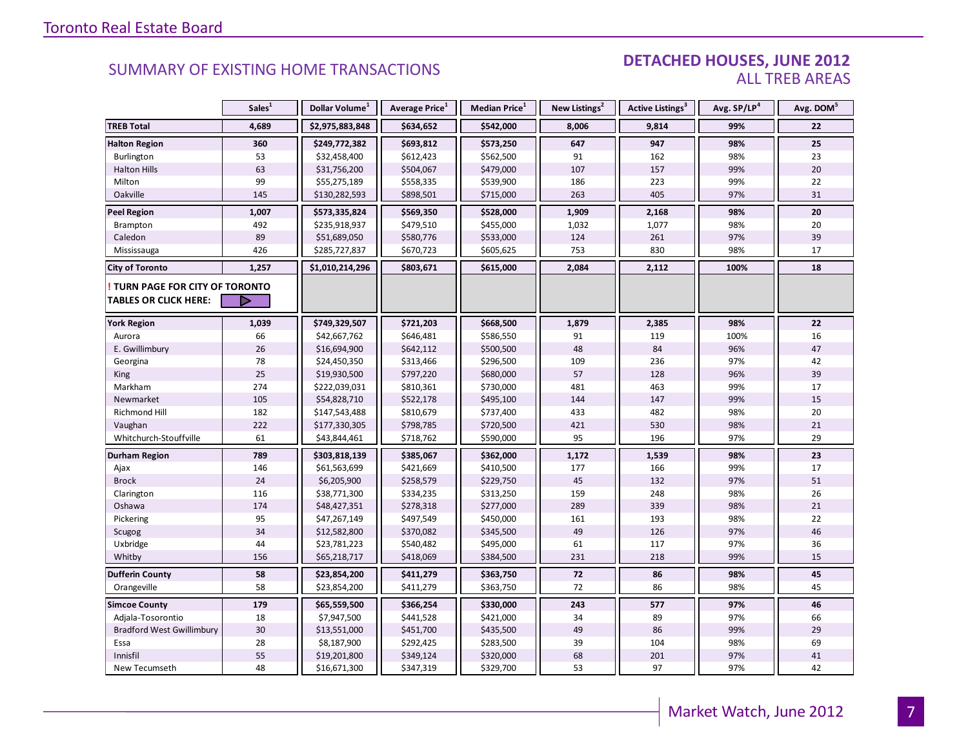#### DETACHED HOUSES, JUNE 2012 ALL TREB AREAS

|                                  | Sales <sup>1</sup> | Dollar Volume <sup>1</sup> | Average Price <sup>1</sup> | Median Price <sup>1</sup> | New Listings <sup>2</sup> | Active Listings <sup>3</sup> | Avg. SP/LP <sup>4</sup> | Avg. DOM <sup>5</sup> |
|----------------------------------|--------------------|----------------------------|----------------------------|---------------------------|---------------------------|------------------------------|-------------------------|-----------------------|
| <b>TREB Total</b>                | 4,689              | \$2,975,883,848            | \$634,652                  | \$542,000                 | 8,006                     | 9,814                        | 99%                     | 22                    |
| <b>Halton Region</b>             | 360                | \$249,772,382              | \$693,812                  | \$573,250                 | 647                       | 947                          | 98%                     | 25                    |
| Burlington                       | 53                 | \$32,458,400               | \$612,423                  | \$562,500                 | 91                        | 162                          | 98%                     | 23                    |
| <b>Halton Hills</b>              | 63                 | \$31,756,200               | \$504,067                  | \$479,000                 | 107                       | 157                          | 99%                     | 20                    |
| Milton                           | 99                 | \$55,275,189               | \$558,335                  | \$539,900                 | 186                       | 223                          | 99%                     | 22                    |
| Oakville                         | 145                | \$130,282,593              | \$898,501                  | \$715,000                 | 263                       | 405                          | 97%                     | 31                    |
| <b>Peel Region</b>               | 1,007              | \$573,335,824              | \$569,350                  | \$528,000                 | 1,909                     | 2,168                        | 98%                     | 20                    |
| Brampton                         | 492                | \$235,918,937              | \$479,510                  | \$455,000                 | 1,032                     | 1,077                        | 98%                     | 20                    |
| Caledon                          | 89                 | \$51,689,050               | \$580,776                  | \$533,000                 | 124                       | 261                          | 97%                     | 39                    |
| Mississauga                      | 426                | \$285,727,837              | \$670,723                  | \$605,625                 | 753                       | 830                          | 98%                     | 17                    |
| <b>City of Toronto</b>           | 1,257              | \$1,010,214,296            | \$803,671                  | \$615,000                 | 2,084                     | 2,112                        | 100%                    | 18                    |
| TURN PAGE FOR CITY OF TORONTO    |                    |                            |                            |                           |                           |                              |                         |                       |
| <b>TABLES OR CLICK HERE:</b>     | D                  |                            |                            |                           |                           |                              |                         |                       |
| <b>York Region</b>               | 1,039              | \$749,329,507              | \$721,203                  | \$668,500                 | 1,879                     | 2,385                        | 98%                     | 22                    |
| Aurora                           | 66                 | \$42,667,762               | \$646,481                  | \$586,550                 | 91                        | 119                          | 100%                    | 16                    |
| E. Gwillimbury                   | 26                 | \$16,694,900               | \$642,112                  | \$500,500                 | 48                        | 84                           | 96%                     | 47                    |
| Georgina                         | 78                 | \$24,450,350               | \$313,466                  | \$296,500                 | 109                       | 236                          | 97%                     | 42                    |
| <b>King</b>                      | 25                 | \$19,930,500               | \$797,220                  | \$680,000                 | 57                        | 128                          | 96%                     | 39                    |
| Markham                          | 274                | \$222,039,031              | \$810,361                  | \$730,000                 | 481                       | 463                          | 99%                     | 17                    |
| Newmarket                        | 105                | \$54,828,710               | \$522,178                  | \$495,100                 | 144                       | 147                          | 99%                     | 15                    |
| Richmond Hill                    | 182                | \$147,543,488              | \$810,679                  | \$737,400                 | 433                       | 482                          | 98%                     | 20                    |
| Vaughan                          | 222                | \$177,330,305              | \$798,785                  | \$720,500                 | 421                       | 530                          | 98%                     | 21                    |
| Whitchurch-Stouffville           | 61                 | \$43,844,461               | \$718,762                  | \$590,000                 | 95                        | 196                          | 97%                     | 29                    |
| <b>Durham Region</b>             | 789                | \$303,818,139              | \$385,067                  | \$362,000                 | 1,172                     | 1,539                        | 98%                     | 23                    |
| Ajax                             | 146                | \$61,563,699               | \$421,669                  | \$410,500                 | 177                       | 166                          | 99%                     | 17                    |
| <b>Brock</b>                     | 24                 | \$6,205,900                | \$258,579                  | \$229,750                 | 45                        | 132                          | 97%                     | 51                    |
| Clarington                       | 116                | \$38,771,300               | \$334,235                  | \$313,250                 | 159                       | 248                          | 98%                     | 26                    |
| Oshawa                           | 174                | \$48,427,351               | \$278,318                  | \$277,000                 | 289                       | 339                          | 98%                     | 21                    |
| Pickering                        | 95                 | \$47,267,149               | \$497,549                  | \$450,000                 | 161                       | 193                          | 98%                     | 22                    |
| Scugog                           | 34                 | \$12,582,800               | \$370,082                  | \$345,500                 | 49                        | 126                          | 97%                     | 46                    |
| Uxbridge                         | 44                 | \$23,781,223               | \$540,482                  | \$495,000                 | 61                        | 117                          | 97%                     | 36                    |
| Whitby                           | 156                | \$65,218,717               | \$418,069                  | \$384,500                 | 231                       | 218                          | 99%                     | 15                    |
| <b>Dufferin County</b>           | 58                 | \$23,854,200               | \$411,279                  | \$363,750                 | 72                        | 86                           | 98%                     | 45                    |
| Orangeville                      | 58                 | \$23,854,200               | \$411,279                  | \$363,750                 | 72                        | 86                           | 98%                     | 45                    |
| <b>Simcoe County</b>             | 179                | \$65,559,500               | \$366,254                  | \$330,000                 | 243                       | 577                          | 97%                     | 46                    |
| Adjala-Tosorontio                | 18                 | \$7,947,500                | \$441,528                  | \$421,000                 | 34                        | 89                           | 97%                     | 66                    |
| <b>Bradford West Gwillimbury</b> | 30                 | \$13,551,000               | \$451,700                  | \$435,500                 | 49                        | 86                           | 99%                     | 29                    |
| Essa                             | 28                 | \$8,187,900                | \$292,425                  | \$283,500                 | 39                        | 104                          | 98%                     | 69                    |
| Innisfil                         | 55                 | \$19,201,800               | \$349,124                  | \$320,000                 | 68                        | 201                          | 97%                     | 41                    |
| New Tecumseth                    | 48                 | \$16,671,300               | \$347,319                  | \$329,700                 | 53                        | 97                           | 97%                     | 42                    |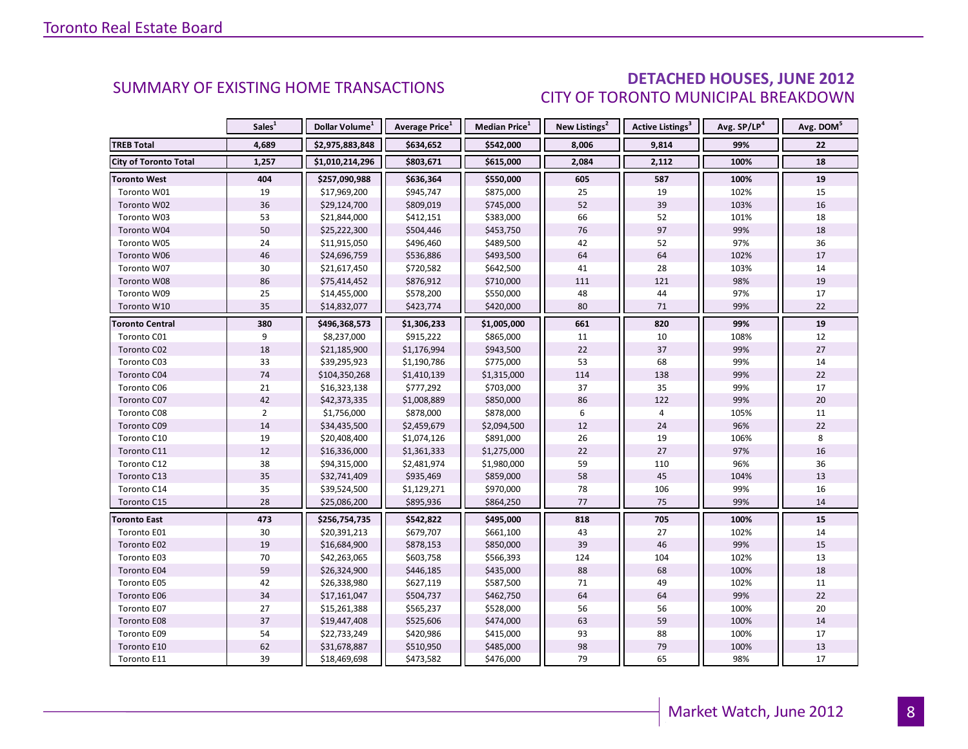### DETACHED HOUSES, JUNE 2012 CITY OF TORONTO MUNICIPAL BREAKDOWN

<span id="page-7-0"></span>

|                        | Sales <sup>1</sup> | Dollar Volume <sup>1</sup> | Average Price <sup>1</sup> | Median Price <sup>1</sup> | New Listings <sup>2</sup> | Active Listings <sup>3</sup> | Avg. SP/LP <sup>4</sup> | Avg. DOM <sup>5</sup> |
|------------------------|--------------------|----------------------------|----------------------------|---------------------------|---------------------------|------------------------------|-------------------------|-----------------------|
| <b>TREB Total</b>      | 4,689              | \$2,975,883,848            | \$634,652                  | \$542,000                 | 8,006                     | 9,814                        | 99%                     | 22                    |
| City of Toronto Total  | 1,257              | \$1,010,214,296            | \$803,671                  | \$615,000                 | 2,084                     | 2,112                        | 100%                    | 18                    |
| <b>Toronto West</b>    | 404                | \$257,090,988              | \$636,364                  | \$550,000                 | 605                       | 587                          | 100%                    | 19                    |
| Toronto W01            | 19                 | \$17,969,200               | \$945,747                  | \$875,000                 | 25                        | 19                           | 102%                    | 15                    |
| Toronto W02            | 36                 | \$29,124,700               | \$809,019                  | \$745,000                 | 52                        | 39                           | 103%                    | 16                    |
| Toronto W03            | 53                 | \$21,844,000               | \$412,151                  | \$383,000                 | 66                        | 52                           | 101%                    | 18                    |
| Toronto W04            | 50                 | \$25,222,300               | \$504,446                  | \$453,750                 | 76                        | 97                           | 99%                     | 18                    |
| Toronto W05            | 24                 | \$11,915,050               | \$496,460                  | \$489,500                 | 42                        | 52                           | 97%                     | 36                    |
| Toronto W06            | 46                 | \$24,696,759               | \$536,886                  | \$493,500                 | 64                        | 64                           | 102%                    | 17                    |
| Toronto W07            | 30                 | \$21,617,450               | \$720,582                  | \$642,500                 | 41                        | 28                           | 103%                    | 14                    |
| Toronto W08            | 86                 | \$75,414,452               | \$876,912                  | \$710,000                 | 111                       | 121                          | 98%                     | 19                    |
| Toronto W09            | 25                 | \$14,455,000               | \$578,200                  | \$550,000                 | 48                        | 44                           | 97%                     | 17                    |
| Toronto W10            | 35                 | \$14,832,077               | \$423,774                  | \$420,000                 | 80                        | 71                           | 99%                     | 22                    |
| <b>Toronto Central</b> | 380                | \$496,368,573              | \$1,306,233                | \$1,005,000               | 661                       | 820                          | 99%                     | 19                    |
| Toronto C01            | 9                  | \$8,237,000                | \$915,222                  | \$865,000                 | 11                        | 10                           | 108%                    | 12                    |
| Toronto C02            | 18                 | \$21,185,900               | \$1,176,994                | \$943,500                 | 22                        | 37                           | 99%                     | 27                    |
| Toronto C03            | 33                 | \$39,295,923               | \$1,190,786                | \$775,000                 | 53                        | 68                           | 99%                     | 14                    |
| Toronto C04            | 74                 | \$104,350,268              | \$1,410,139                | \$1,315,000               | 114                       | 138                          | 99%                     | 22                    |
| Toronto C06            | 21                 | \$16,323,138               | \$777,292                  | \$703,000                 | 37                        | 35                           | 99%                     | 17                    |
| Toronto C07            | 42                 | \$42,373,335               | \$1,008,889                | \$850,000                 | 86                        | 122                          | 99%                     | 20                    |
| Toronto C08            | $\overline{2}$     | \$1,756,000                | \$878,000                  | \$878,000                 | 6                         | $\overline{4}$               | 105%                    | 11                    |
| Toronto C09            | 14                 | \$34,435,500               | \$2,459,679                | \$2,094,500               | 12                        | 24                           | 96%                     | 22                    |
| Toronto C10            | 19                 | \$20,408,400               | \$1,074,126                | \$891,000                 | 26                        | 19                           | 106%                    | 8                     |
| Toronto C11            | 12                 | \$16,336,000               | \$1,361,333                | \$1,275,000               | 22                        | 27                           | 97%                     | 16                    |
| Toronto C12            | 38                 | \$94,315,000               | \$2,481,974                | \$1,980,000               | 59                        | 110                          | 96%                     | 36                    |
| Toronto C13            | 35                 | \$32,741,409               | \$935,469                  | \$859,000                 | 58                        | 45                           | 104%                    | 13                    |
| Toronto C14            | 35                 | \$39,524,500               | \$1,129,271                | \$970,000                 | 78                        | 106                          | 99%                     | 16                    |
| Toronto C15            | 28                 | \$25,086,200               | \$895,936                  | \$864,250                 | 77                        | 75                           | 99%                     | 14                    |
| <b>Toronto East</b>    | 473                | \$256,754,735              | \$542,822                  | \$495,000                 | 818                       | 705                          | 100%                    | 15                    |
| Toronto E01            | 30                 | \$20,391,213               | \$679,707                  | \$661,100                 | 43                        | 27                           | 102%                    | 14                    |
| Toronto E02            | 19                 | \$16,684,900               | \$878,153                  | \$850,000                 | 39                        | 46                           | 99%                     | 15                    |
| Toronto E03            | 70                 | \$42,263,065               | \$603,758                  | \$566,393                 | 124                       | 104                          | 102%                    | 13                    |
| Toronto E04            | 59                 | \$26,324,900               | \$446,185                  | \$435,000                 | 88                        | 68                           | 100%                    | 18                    |
| Toronto E05            | 42                 | \$26,338,980               | \$627,119                  | \$587,500                 | 71                        | 49                           | 102%                    | 11                    |
| Toronto E06            | 34                 | \$17,161,047               | \$504,737                  | \$462,750                 | 64                        | 64                           | 99%                     | 22                    |
| Toronto E07            | 27                 | \$15,261,388               | \$565,237                  | \$528,000                 | 56                        | 56                           | 100%                    | 20                    |
| Toronto E08            | 37                 | \$19,447,408               | \$525,606                  | \$474,000                 | 63                        | 59                           | 100%                    | 14                    |
| Toronto E09            | 54                 | \$22,733,249               | \$420,986                  | \$415,000                 | 93                        | 88                           | 100%                    | 17                    |
| Toronto E10            | 62                 | \$31,678,887               | \$510,950                  | \$485,000                 | 98                        | 79                           | 100%                    | 13                    |
| Toronto E11            | 39                 | \$18,469,698               | \$473,582                  | \$476,000                 | 79                        | 65                           | 98%                     | 17                    |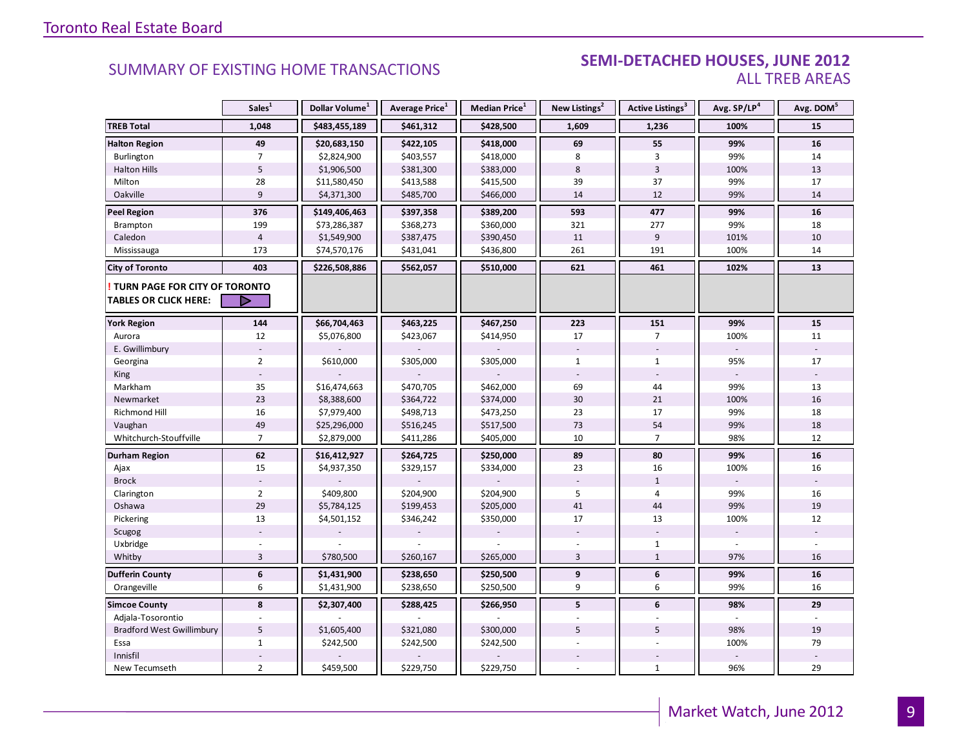#### SEMI-DETACHED HOUSES, JUNE 2012 ALL TREB AREAS

|                                  | Sales <sup>1</sup> | Dollar Volume <sup>1</sup> | Average Price <sup>1</sup> | Median Price <sup>1</sup> | New Listings <sup>2</sup> | Active Listings <sup>3</sup> | Avg. SP/LP <sup>4</sup>  | Avg. DOM <sup>5</sup> |
|----------------------------------|--------------------|----------------------------|----------------------------|---------------------------|---------------------------|------------------------------|--------------------------|-----------------------|
| <b>TREB Total</b>                | 1,048              | \$483,455,189              | \$461,312                  | \$428,500                 | 1,609                     | 1,236                        | 100%                     | 15                    |
| <b>Halton Region</b>             | 49                 | \$20,683,150               | \$422,105                  | \$418,000                 | 69                        | 55                           | 99%                      | 16                    |
| Burlington                       | $\overline{7}$     | \$2,824,900                | \$403,557                  | \$418,000                 | 8                         | $\overline{3}$               | 99%                      | 14                    |
| <b>Halton Hills</b>              | 5                  | \$1,906,500                | \$381,300                  | \$383,000                 | 8                         | $\overline{3}$               | 100%                     | 13                    |
| Milton                           | 28                 | \$11,580,450               | \$413,588                  | \$415,500                 | 39                        | 37                           | 99%                      | 17                    |
| Oakville                         | 9                  | \$4,371,300                | \$485,700                  | \$466,000                 | 14                        | 12                           | 99%                      | 14                    |
| <b>Peel Region</b>               | 376                | \$149,406,463              | \$397,358                  | \$389,200                 | 593                       | 477                          | 99%                      | 16                    |
| Brampton                         | 199                | \$73,286,387               | \$368,273                  | \$360,000                 | 321                       | 277                          | 99%                      | 18                    |
| Caledon                          | $\overline{4}$     | \$1,549,900                | \$387,475                  | \$390,450                 | 11                        | 9                            | 101%                     | 10                    |
| Mississauga                      | 173                | \$74,570,176               | \$431,041                  | \$436,800                 | 261                       | 191                          | 100%                     | 14                    |
| <b>City of Toronto</b>           | 403                | \$226,508,886              | \$562,057                  | \$510,000                 | 621                       | 461                          | 102%                     | 13                    |
| TURN PAGE FOR CITY OF TORONTO    |                    |                            |                            |                           |                           |                              |                          |                       |
| <b>TABLES OR CLICK HERE:</b>     | D                  |                            |                            |                           |                           |                              |                          |                       |
| <b>York Region</b>               | 144                | \$66,704,463               | \$463,225                  | \$467,250                 | 223                       | 151                          | 99%                      | 15                    |
| Aurora                           | 12                 | \$5,076,800                | \$423,067                  | \$414,950                 | 17                        | $\overline{7}$               | 100%                     | 11                    |
| E. Gwillimbury                   |                    |                            |                            |                           |                           |                              | $\overline{\phantom{a}}$ |                       |
| Georgina                         | $\overline{2}$     | \$610,000                  | \$305,000                  | \$305,000                 | $\mathbf{1}$              | $\mathbf{1}$                 | 95%                      | 17                    |
| King                             |                    |                            |                            |                           |                           |                              |                          |                       |
| Markham                          | 35                 | \$16,474,663               | \$470,705                  | \$462,000                 | 69                        | 44                           | 99%                      | 13                    |
| Newmarket                        | 23                 | \$8,388,600                | \$364,722                  | \$374,000                 | 30                        | 21                           | 100%                     | 16                    |
| Richmond Hill                    | 16                 | \$7,979,400                | \$498,713                  | \$473,250                 | 23                        | 17                           | 99%                      | 18                    |
| Vaughan                          | 49                 | \$25,296,000               | \$516,245                  | \$517,500                 | 73                        | 54                           | 99%                      | 18                    |
| Whitchurch-Stouffville           | $\overline{7}$     | \$2,879,000                | \$411,286                  | \$405,000                 | 10                        | $\overline{7}$               | 98%                      | 12                    |
| Durham Region                    | 62                 | \$16,412,927               | \$264,725                  | \$250,000                 | 89                        | 80                           | 99%                      | 16                    |
| Ajax                             | 15                 | \$4,937,350                | \$329,157                  | \$334,000                 | 23                        | 16                           | 100%                     | 16                    |
| <b>Brock</b>                     |                    |                            |                            |                           |                           | $\mathbf{1}$                 |                          |                       |
| Clarington                       | $\overline{2}$     | \$409,800                  | \$204,900                  | \$204,900                 | 5                         | 4                            | 99%                      | 16                    |
| Oshawa                           | 29                 | \$5,784,125                | \$199,453                  | \$205,000                 | 41                        | 44                           | 99%                      | 19                    |
| Pickering                        | 13                 | \$4,501,152                | \$346,242                  | \$350,000                 | 17                        | 13                           | 100%                     | 12                    |
| Scugog                           |                    |                            |                            |                           |                           |                              | ÷,                       |                       |
| Uxbridge                         |                    |                            |                            |                           |                           | $\mathbf{1}$                 |                          |                       |
| Whitby                           | $\overline{3}$     | \$780,500                  | \$260,167                  | \$265,000                 | 3                         | $\mathbf{1}$                 | 97%                      | 16                    |
| <b>Dufferin County</b>           | $\boldsymbol{6}$   | \$1,431,900                | \$238,650                  | \$250,500                 | 9                         | $\boldsymbol{6}$             | 99%                      | 16                    |
| Orangeville                      | 6                  | \$1,431,900                | \$238,650                  | \$250,500                 | 9                         | 6                            | 99%                      | 16                    |
| <b>Simcoe County</b>             | 8                  | \$2,307,400                | \$288,425                  | \$266,950                 | 5                         | 6                            | 98%                      | 29                    |
| Adjala-Tosorontio                |                    |                            |                            |                           |                           |                              |                          |                       |
| <b>Bradford West Gwillimbury</b> | 5                  | \$1,605,400                | \$321,080                  | \$300,000                 | 5                         | 5                            | 98%                      | 19                    |
| Essa                             | $\mathbf{1}$       | \$242,500                  | \$242,500                  | \$242,500                 |                           |                              | 100%                     | 79                    |
| Innisfil                         |                    |                            |                            |                           |                           |                              |                          |                       |
| New Tecumseth                    | $\overline{2}$     | \$459,500                  | \$229,750                  | \$229,750                 |                           | $\mathbf{1}$                 | 96%                      | 29                    |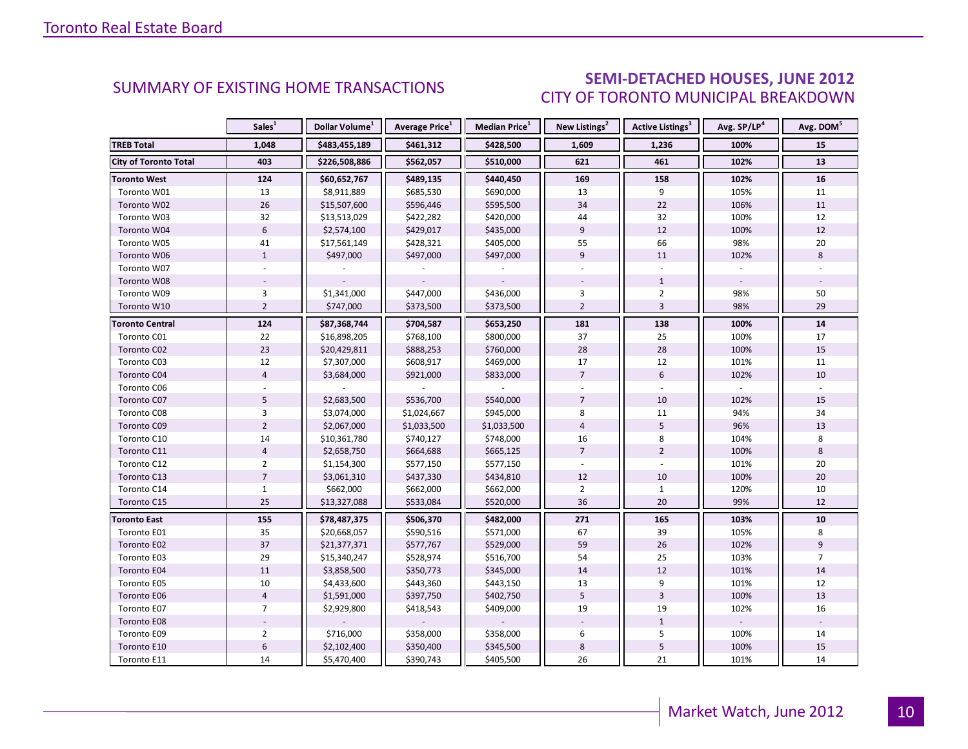### SEMI-DETACHED HOUSES, JUNE 2012 CITY OF TORONTO MUNICIPAL BREAKDOWN

<span id="page-9-0"></span>

|                        | Sales <sup>1</sup> | Dollar Volume <sup>1</sup> | Average Price <sup>1</sup> | Median Price <sup>1</sup> | New Listings <sup>2</sup> | Active Listings <sup>3</sup> | Avg. SP/LP <sup>4</sup> | Avg. DOM <sup>5</sup> |
|------------------------|--------------------|----------------------------|----------------------------|---------------------------|---------------------------|------------------------------|-------------------------|-----------------------|
| <b>TREB Total</b>      | 1,048              | \$483,455,189              | \$461,312                  | \$428,500                 | 1,609                     | 1,236                        | 100%                    | 15                    |
| City of Toronto Total  | 403                | \$226,508,886              | \$562,057                  | \$510,000                 | 621                       | 461                          | 102%                    | 13                    |
| <b>Toronto West</b>    | 124                | \$60,652,767               | \$489,135                  | \$440,450                 | 169                       | 158                          | 102%                    | 16                    |
| Toronto W01            | 13                 | \$8,911,889                | \$685,530                  | \$690,000                 | 13                        | 9                            | 105%                    | 11                    |
| Toronto W02            | 26                 | \$15,507,600               | \$596,446                  | \$595,500                 | 34                        | 22                           | 106%                    | 11                    |
| Toronto W03            | 32                 | \$13,513,029               | \$422,282                  | \$420,000                 | 44                        | 32                           | 100%                    | 12                    |
| Toronto W04            | 6                  | \$2,574,100                | \$429,017                  | \$435,000                 | 9                         | 12                           | 100%                    | 12                    |
| Toronto W05            | 41                 | \$17,561,149               | \$428,321                  | \$405,000                 | 55                        | 66                           | 98%                     | 20                    |
| Toronto W06            | $\mathbf{1}$       | \$497,000                  | \$497,000                  | \$497,000                 | 9                         | 11                           | 102%                    | 8                     |
| Toronto W07            |                    |                            |                            |                           |                           |                              |                         |                       |
| Toronto W08            |                    |                            |                            |                           |                           | $\mathbf{1}$                 |                         |                       |
| Toronto W09            | $\overline{3}$     | \$1,341,000                | \$447,000                  | \$436,000                 | 3                         | $\overline{2}$               | 98%                     | 50                    |
| Toronto W10            | $\overline{2}$     | \$747,000                  | \$373,500                  | \$373,500                 | $\overline{2}$            | $\overline{3}$               | 98%                     | 29                    |
| <b>Toronto Central</b> | 124                | \$87,368,744               | \$704,587                  | \$653,250                 | 181                       | 138                          | 100%                    | 14                    |
| Toronto C01            | 22                 | \$16,898,205               | \$768,100                  | \$800,000                 | 37                        | 25                           | 100%                    | 17                    |
| Toronto C02            | 23                 | \$20,429,811               | \$888,253                  | \$760,000                 | 28                        | 28                           | 100%                    | 15                    |
| Toronto C03            | $12$               | \$7,307,000                | \$608,917                  | \$469,000                 | 17                        | 12                           | 101%                    | 11                    |
| Toronto C04            | $\overline{4}$     | \$3,684,000                | \$921,000                  | \$833,000                 | $\overline{7}$            | 6                            | 102%                    | 10                    |
| Toronto C06            |                    |                            |                            |                           |                           |                              |                         |                       |
| Toronto C07            | 5                  | \$2,683,500                | \$536,700                  | \$540,000                 | $\overline{7}$            | 10                           | 102%                    | 15                    |
| Toronto C08            | $\overline{3}$     | \$3,074,000                | \$1,024,667                | \$945,000                 | $\bf 8$                   | 11                           | 94%                     | 34                    |
| Toronto C09            | $\overline{2}$     | \$2,067,000                | \$1,033,500                | \$1,033,500               | $\overline{4}$            | 5                            | 96%                     | 13                    |
| Toronto C10            | 14                 | \$10,361,780               | \$740,127                  | \$748,000                 | 16                        | 8                            | 104%                    | 8                     |
| Toronto C11            | $\overline{4}$     | \$2,658,750                | \$664,688                  | \$665,125                 | $\overline{7}$            | $\overline{2}$               | 100%                    | 8                     |
| Toronto C12            | $\overline{2}$     | \$1,154,300                | \$577,150                  | \$577,150                 |                           |                              | 101%                    | 20                    |
| Toronto C13            | $\overline{7}$     | \$3,061,310                | \$437,330                  | \$434,810                 | 12                        | 10                           | 100%                    | 20                    |
| Toronto C14            | $\mathbf{1}$       | \$662,000                  | \$662,000                  | \$662,000                 | $\overline{2}$            | $\mathbf{1}$                 | 120%                    | 10                    |
| Toronto C15            | 25                 | \$13,327,088               | \$533,084                  | \$520,000                 | 36                        | 20                           | 99%                     | 12                    |
| <b>Toronto East</b>    | 155                | \$78,487,375               | \$506,370                  | \$482,000                 | 271                       | 165                          | 103%                    | 10                    |
| Toronto E01            | 35                 | \$20,668,057               | \$590,516                  | \$571,000                 | 67                        | 39                           | 105%                    | 8                     |
| Toronto E02            | 37                 | \$21,377,371               | \$577,767                  | \$529,000                 | 59                        | 26                           | 102%                    | 9                     |
| Toronto E03            | 29                 | \$15,340,247               | \$528,974                  | \$516,700                 | 54                        | 25                           | 103%                    | $\overline{7}$        |
| Toronto E04            | 11                 | \$3,858,500                | \$350,773                  | \$345,000                 | 14                        | 12                           | 101%                    | 14                    |
| Toronto E05            | 10                 | \$4,433,600                | \$443,360                  | \$443,150                 | 13                        | 9                            | 101%                    | 12                    |
| Toronto E06            | $\overline{4}$     | \$1,591,000                | \$397,750                  | \$402,750                 | 5                         | $\overline{3}$               | 100%                    | 13                    |
| Toronto E07            | $\overline{7}$     | \$2,929,800                | \$418,543                  | \$409,000                 | 19                        | 19                           | 102%                    | 16                    |
| Toronto E08            |                    |                            |                            |                           |                           | $\mathbf{1}$                 |                         |                       |
| Toronto E09            | $\overline{2}$     | \$716,000                  | \$358,000                  | \$358,000                 | 6                         | 5                            | 100%                    | 14                    |
| Toronto E10            | $\boldsymbol{6}$   | \$2,102,400                | \$350,400                  | \$345,500                 | $\,8\,$                   | 5                            | 100%                    | 15                    |
| Toronto E11            | 14                 | \$5,470,400                | \$390,743                  | \$405,500                 | 26                        | 21                           | 101%                    | 14                    |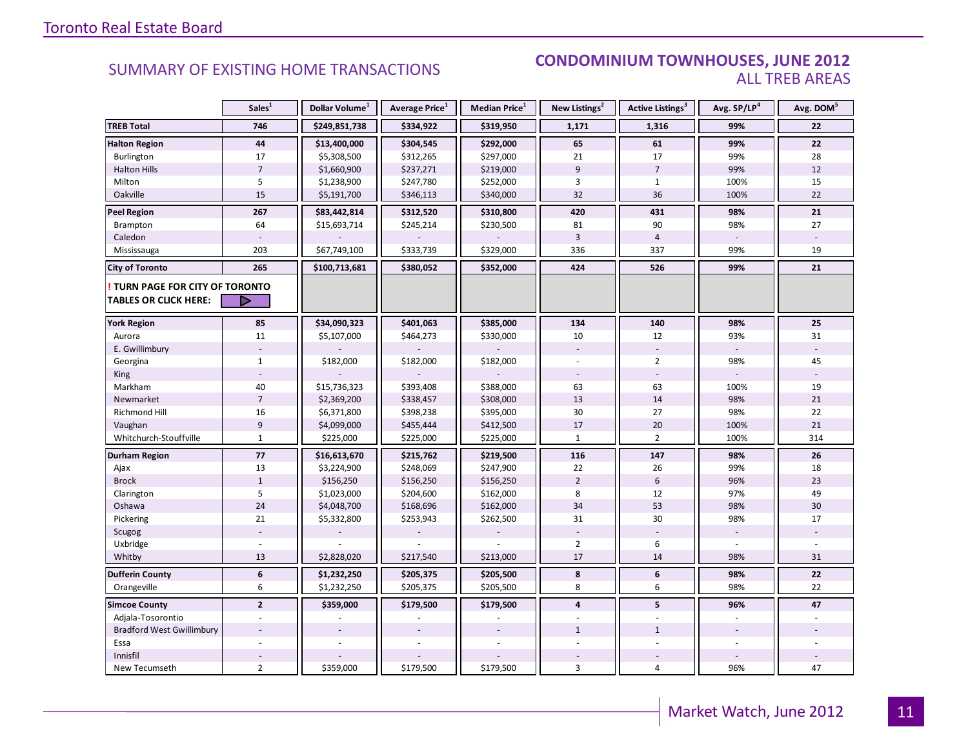#### SUMMARY OF EXISTING HOME TRANSACTIONS **CONDOMINIUM TOWNHOUSES, JUNE 2012** ALL TREB AREAS

|                                                               | Sales <sup>1</sup> | Dollar Volume <sup>1</sup> | Average Price <sup>1</sup> | Median Price <sup>1</sup> | New Listings <sup>2</sup> | Active Listings <sup>3</sup> | Avg. SP/LP <sup>4</sup> | Avg. DOM <sup>5</sup> |
|---------------------------------------------------------------|--------------------|----------------------------|----------------------------|---------------------------|---------------------------|------------------------------|-------------------------|-----------------------|
| <b>TREB Total</b>                                             | 746                | \$249,851,738              | \$334,922                  | \$319,950                 | 1,171                     | 1,316                        | 99%                     | 22                    |
| <b>Halton Region</b>                                          | 44                 | \$13,400,000               | \$304,545                  | \$292,000                 | 65                        | 61                           | 99%                     | 22                    |
| Burlington                                                    | 17                 | \$5,308,500                | \$312,265                  | \$297,000                 | 21                        | 17                           | 99%                     | 28                    |
| <b>Halton Hills</b>                                           | $\overline{7}$     | \$1,660,900                | \$237,271                  | \$219,000                 | 9                         | $\overline{7}$               | 99%                     | 12                    |
| Milton                                                        | 5                  | \$1,238,900                | \$247,780                  | \$252,000                 | $\overline{3}$            | $\mathbf{1}$                 | 100%                    | 15                    |
| Oakville                                                      | 15                 | \$5,191,700                | \$346,113                  | \$340,000                 | 32                        | 36                           | 100%                    | 22                    |
| <b>Peel Region</b>                                            | 267                | \$83,442,814               | \$312,520                  | \$310,800                 | 420                       | 431                          | 98%                     | 21                    |
| Brampton                                                      | 64                 | \$15,693,714               | \$245,214                  | \$230,500                 | 81                        | 90                           | 98%                     | 27                    |
| Caledon                                                       |                    |                            |                            |                           | $\overline{3}$            | $\overline{4}$               |                         |                       |
| Mississauga                                                   | 203                | \$67,749,100               | \$333,739                  | \$329,000                 | 336                       | 337                          | 99%                     | 19                    |
| <b>City of Toronto</b>                                        | 265                | \$100,713,681              | \$380,052                  | \$352,000                 | 424                       | 526                          | 99%                     | 21                    |
| TURN PAGE FOR CITY OF TORONTO<br><b>TABLES OR CLICK HERE:</b> | ▷                  |                            |                            |                           |                           |                              |                         |                       |
| <b>York Region</b>                                            | 85                 | \$34,090,323               | \$401,063                  | \$385,000                 | 134                       | 140                          | 98%                     | 25                    |
| Aurora                                                        | 11                 | \$5,107,000                | \$464,273                  | \$330,000                 | 10                        | 12                           | 93%                     | 31                    |
| E. Gwillimbury                                                |                    |                            |                            |                           |                           |                              |                         |                       |
| Georgina                                                      | $\mathbf{1}$       | \$182,000                  | \$182,000                  | \$182,000                 |                           | $\overline{2}$               | 98%                     | 45                    |
| King                                                          |                    |                            |                            |                           |                           |                              |                         |                       |
| Markham                                                       | 40                 | \$15,736,323               | \$393,408                  | \$388,000                 | 63                        | 63                           | 100%                    | 19                    |
| Newmarket                                                     | $\sqrt{ }$         | \$2,369,200                | \$338,457                  | \$308,000                 | 13                        | 14                           | 98%                     | 21                    |
| Richmond Hill                                                 | 16                 | \$6,371,800                | \$398,238                  | \$395,000                 | 30                        | 27                           | 98%                     | 22                    |
| Vaughan                                                       | $\overline{9}$     | \$4,099,000                | \$455,444                  | \$412,500                 | 17                        | 20                           | 100%                    | 21                    |
| Whitchurch-Stouffville                                        | $\mathbf{1}$       | \$225,000                  | \$225,000                  | \$225,000                 | $\mathbf{1}$              | $\overline{2}$               | 100%                    | 314                   |
| <b>Durham Region</b>                                          | $77$               | \$16,613,670               | \$215,762                  | \$219,500                 | 116                       | 147                          | 98%                     | 26                    |
| Ajax                                                          | 13                 | \$3,224,900                | \$248,069                  | \$247,900                 | 22                        | 26                           | 99%                     | 18                    |
| <b>Brock</b>                                                  | $\mathbf{1}$       | \$156,250                  | \$156,250                  | \$156,250                 | $\overline{2}$            | 6                            | 96%                     | 23                    |
| Clarington                                                    | 5                  | \$1,023,000                | \$204,600                  | \$162,000                 | 8                         | 12                           | 97%                     | 49                    |
| Oshawa                                                        | 24                 | \$4,048,700                | \$168,696                  | \$162,000                 | 34                        | 53                           | 98%                     | 30                    |
| Pickering                                                     | 21                 | \$5,332,800                | \$253,943                  | \$262,500                 | 31                        | 30                           | 98%                     | 17                    |
| Scugog                                                        |                    |                            |                            |                           |                           |                              |                         |                       |
| Uxbridge                                                      |                    |                            |                            |                           | $\overline{2}$            | 6                            |                         |                       |
| Whitby                                                        | 13                 | \$2,828,020                | \$217,540                  | \$213,000                 | 17                        | 14                           | 98%                     | 31                    |
| <b>Dufferin County</b>                                        | 6                  | \$1,232,250                | \$205,375                  | \$205,500                 | 8                         | 6                            | 98%                     | 22                    |
| Orangeville                                                   | 6                  | \$1,232,250                | \$205,375                  | \$205,500                 | 8                         | 6                            | 98%                     | 22                    |
| <b>Simcoe County</b>                                          | $\overline{2}$     | \$359,000                  | \$179,500                  | \$179,500                 | $\overline{4}$            | 5                            | 96%                     | 47                    |
| Adjala-Tosorontio                                             |                    |                            |                            |                           |                           |                              |                         |                       |
| <b>Bradford West Gwillimbury</b>                              |                    |                            |                            |                           | $\mathbf{1}$              | $\mathbf{1}$                 |                         |                       |
| Essa                                                          |                    |                            |                            |                           |                           |                              |                         |                       |
| Innisfil                                                      |                    |                            |                            |                           |                           |                              |                         |                       |
| New Tecumseth                                                 | $\overline{2}$     | \$359,000                  | \$179,500                  | \$179,500                 | 3                         | $\overline{4}$               | 96%                     | 47                    |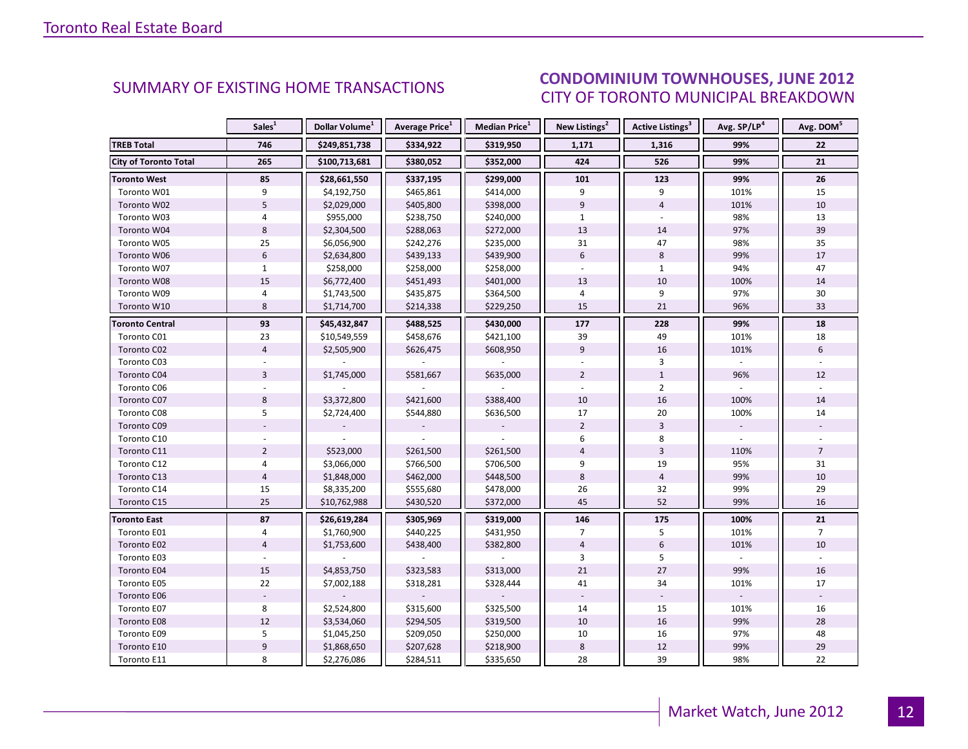#### INDUSTRIAL LEASE STATE STATES CITY OF TORONTO MUNICIPAL BREAKDOWN SUMMARY OF EXISTING HOME TRANSACTIONS<br>CITY OF TOPONTO MUINICIPAL PREAKDOMAL

<span id="page-11-0"></span>

|                              | Sales <sup>1</sup> | Dollar Volume <sup>1</sup> | <b>Average Price</b> <sup>1</sup> | Median Price <sup>1</sup> | New Listings <sup>2</sup> | Active Listings <sup>3</sup> | Avg. SP/LP <sup>4</sup> | Avg. DOM <sup>5</sup> |
|------------------------------|--------------------|----------------------------|-----------------------------------|---------------------------|---------------------------|------------------------------|-------------------------|-----------------------|
| <b>TREB Total</b>            | 746                | \$249,851,738              | \$334,922                         | \$319,950                 | 1,171                     | 1,316                        | 99%                     | 22                    |
| <b>City of Toronto Total</b> | 265                | \$100,713,681              | \$380,052                         | \$352,000                 | 424                       | 526                          | 99%                     | 21                    |
| <b>Toronto West</b>          | 85                 | \$28,661,550               | \$337,195                         | \$299,000                 | 101                       | 123                          | 99%                     | 26                    |
| Toronto W01                  | 9                  | \$4,192,750                | \$465,861                         | \$414,000                 | 9                         | 9                            | 101%                    | 15                    |
| Toronto W02                  | 5                  | \$2,029,000                | \$405,800                         | \$398,000                 | $\overline{9}$            | $\overline{4}$               | 101%                    | 10                    |
| Toronto W03                  | $\overline{4}$     | \$955,000                  | \$238,750                         | \$240,000                 | $\mathbf{1}$              |                              | 98%                     | 13                    |
| Toronto W04                  | 8                  | \$2,304,500                | \$288,063                         | \$272,000                 | 13                        | 14                           | 97%                     | 39                    |
| Toronto W05                  | 25                 | \$6,056,900                | \$242,276                         | \$235,000                 | 31                        | 47                           | 98%                     | 35                    |
| Toronto W06                  | $6\phantom{a}$     | \$2,634,800                | \$439,133                         | \$439,900                 | $6\overline{6}$           | 8                            | 99%                     | 17                    |
| Toronto W07                  | $\mathbf{1}$       | \$258,000                  | \$258,000                         | \$258,000                 |                           | $\mathbf{1}$                 | 94%                     | 47                    |
| Toronto W08                  | 15                 | \$6,772,400                | \$451,493                         | \$401,000                 | 13                        | 10                           | 100%                    | 14                    |
| Toronto W09                  | $\overline{4}$     | \$1,743,500                | \$435,875                         | \$364,500                 | 4                         | 9                            | 97%                     | 30                    |
| Toronto W10                  | 8                  | \$1,714,700                | \$214,338                         | \$229,250                 | 15                        | 21                           | 96%                     | 33                    |
| <b>Toronto Central</b>       | 93                 | \$45,432,847               | \$488,525                         | \$430,000                 | 177                       | 228                          | 99%                     | 18                    |
| Toronto C01                  | 23                 | \$10,549,559               | \$458,676                         | \$421,100                 | 39                        | 49                           | 101%                    | 18                    |
| Toronto C02                  | $\overline{4}$     | \$2,505,900                | \$626,475                         | \$608,950                 | 9                         | 16                           | 101%                    | 6                     |
| Toronto C03                  |                    |                            |                                   |                           |                           | 3                            |                         |                       |
| Toronto C04                  | $\overline{3}$     | \$1,745,000                | \$581,667                         | \$635,000                 | $\overline{2}$            | $\mathbf{1}$                 | 96%                     | 12                    |
| Toronto C06                  |                    |                            |                                   |                           |                           | $\overline{2}$               |                         |                       |
| Toronto C07                  | 8                  | \$3,372,800                | \$421,600                         | \$388,400                 | 10                        | 16                           | 100%                    | 14                    |
| Toronto C08                  | 5                  | \$2,724,400                | \$544,880                         | \$636,500                 | 17                        | 20                           | 100%                    | 14                    |
| Toronto C09                  |                    |                            |                                   |                           | $\overline{2}$            | $\overline{3}$               |                         |                       |
| Toronto C10                  |                    |                            |                                   |                           | 6                         | 8                            |                         |                       |
| Toronto C11                  | $\overline{2}$     | \$523,000                  | \$261,500                         | \$261,500                 | $\overline{4}$            | 3                            | 110%                    | $\overline{7}$        |
| Toronto C12                  | $\overline{4}$     | \$3,066,000                | \$766,500                         | \$706,500                 | 9                         | 19                           | 95%                     | 31                    |
| Toronto C13                  | $\overline{4}$     | \$1,848,000                | \$462,000                         | \$448,500                 | 8                         | $\overline{4}$               | 99%                     | 10                    |
| Toronto C14                  | 15                 | \$8,335,200                | \$555,680                         | \$478,000                 | 26                        | 32                           | 99%                     | 29                    |
| Toronto C15                  | 25                 | \$10,762,988               | \$430,520                         | \$372,000                 | 45                        | 52                           | 99%                     | 16                    |
| <b>Toronto East</b>          | 87                 | \$26,619,284               | \$305,969                         | \$319,000                 | 146                       | 175                          | 100%                    | 21                    |
| Toronto E01                  | 4                  | \$1,760,900                | \$440,225                         | \$431,950                 | $\overline{7}$            | 5                            | 101%                    | $\overline{7}$        |
| Toronto E02                  | $\overline{4}$     | \$1,753,600                | \$438,400                         | \$382,800                 | $\overline{4}$            | 6                            | 101%                    | 10                    |
| Toronto E03                  |                    |                            |                                   |                           | 3                         | 5                            |                         |                       |
| Toronto E04                  | 15                 | \$4,853,750                | \$323,583                         | \$313,000                 | 21                        | 27                           | 99%                     | 16                    |
| Toronto E05                  | 22                 | \$7,002,188                | \$318,281                         | \$328,444                 | 41                        | 34                           | 101%                    | 17                    |
| Toronto E06                  |                    |                            |                                   |                           |                           |                              |                         |                       |
| Toronto E07                  | 8                  | \$2,524,800                | \$315,600                         | \$325,500                 | 14                        | 15                           | 101%                    | 16                    |
| Toronto E08                  | 12                 | \$3,534,060                | \$294,505                         | \$319,500                 | 10                        | 16                           | 99%                     | 28                    |
| Toronto E09                  | 5                  | \$1,045,250                | \$209,050                         | \$250,000                 | 10                        | 16                           | 97%                     | 48                    |
| Toronto E10                  | $\boldsymbol{9}$   | \$1,868,650                | \$207,628                         | \$218,900                 | 8                         | 12                           | 99%                     | 29                    |
| Toronto E11                  | 8                  | \$2,276,086                | \$284,511                         | \$335,650                 | 28                        | 39                           | 98%                     | 22                    |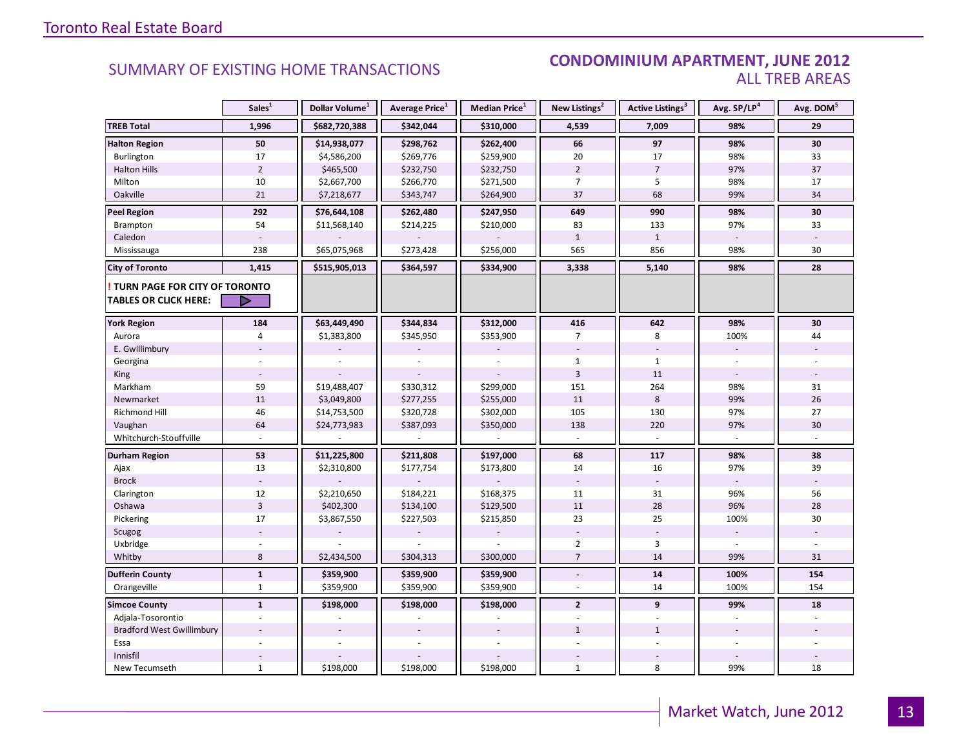#### SUMMARY OF EXISTING HOME TRANSACTIONS **CONDOMINIUM APARTMENT, JUNE 2012** ALL TREB AREAS

|                                        | Sales <sup>1</sup> | Dollar Volume <sup>1</sup> | Average Price <sup>1</sup> | Median Price <sup>1</sup> | New Listings <sup>2</sup> | Active Listings <sup>3</sup> | Avg. SP/LP <sup>4</sup> | Avg. DOM <sup>5</sup> |
|----------------------------------------|--------------------|----------------------------|----------------------------|---------------------------|---------------------------|------------------------------|-------------------------|-----------------------|
| <b>TREB Total</b>                      | 1,996              | \$682,720,388              | \$342,044                  | \$310,000                 | 4,539                     | 7,009                        | 98%                     | 29                    |
| <b>Halton Region</b>                   | 50                 | \$14,938,077               | \$298,762                  | \$262,400                 | 66                        | 97                           | 98%                     | 30                    |
| Burlington                             | 17                 | \$4,586,200                | \$269,776                  | \$259,900                 | 20                        | 17                           | 98%                     | 33                    |
| <b>Halton Hills</b>                    | $\overline{2}$     | \$465,500                  | \$232,750                  | \$232,750                 | $\overline{2}$            | $\overline{7}$               | 97%                     | 37                    |
| Milton                                 | 10                 | \$2,667,700                | \$266,770                  | \$271,500                 | $\overline{7}$            | 5                            | 98%                     | 17                    |
| Oakville                               | 21                 | \$7,218,677                | \$343,747                  | \$264,900                 | 37                        | 68                           | 99%                     | 34                    |
| <b>Peel Region</b>                     | 292                | \$76,644,108               | \$262,480                  | \$247,950                 | 649                       | 990                          | 98%                     | 30                    |
| Brampton                               | 54                 | \$11,568,140               | \$214,225                  | \$210,000                 | 83                        | 133                          | 97%                     | 33                    |
| Caledon                                |                    |                            |                            |                           | $\mathbf{1}$              | $\mathbf{1}$                 |                         |                       |
| Mississauga                            | 238                | \$65,075,968               | \$273,428                  | \$256,000                 | 565                       | 856                          | 98%                     | 30                    |
| <b>City of Toronto</b>                 | 1,415              | \$515,905,013              | \$364,597                  | \$334,900                 | 3,338                     | 5,140                        | 98%                     | 28                    |
| <b>! TURN PAGE FOR CITY OF TORONTO</b> |                    |                            |                            |                           |                           |                              |                         |                       |
| <b>TABLES OR CLICK HERE:</b>           | ▷                  |                            |                            |                           |                           |                              |                         |                       |
| <b>York Region</b>                     | 184                | \$63,449,490               | \$344,834                  | \$312,000                 | 416                       | 642                          | 98%                     | 30                    |
| Aurora                                 | $\overline{4}$     | \$1,383,800                | \$345,950                  | \$353,900                 | $\overline{7}$            | 8                            | 100%                    | 44                    |
| E. Gwillimbury                         |                    |                            |                            |                           |                           |                              | ÷,                      |                       |
| Georgina                               |                    |                            |                            |                           | $\mathbf{1}$              | $\mathbf{1}$                 |                         |                       |
| King                                   |                    |                            |                            |                           | $\overline{3}$            | 11                           |                         |                       |
| Markham                                | 59                 | \$19,488,407               | \$330,312                  | \$299,000                 | 151                       | 264                          | 98%                     | 31                    |
| Newmarket                              | $11\,$             | \$3,049,800                | \$277,255                  | \$255,000                 | 11                        | 8                            | 99%                     | 26                    |
| <b>Richmond Hill</b>                   | 46                 | \$14,753,500               | \$320,728                  | \$302,000                 | 105                       | 130                          | 97%                     | 27                    |
| Vaughan                                | 64                 | \$24,773,983               | \$387,093                  | \$350,000                 | 138                       | 220                          | 97%                     | 30                    |
| Whitchurch-Stouffville                 |                    |                            |                            |                           |                           |                              |                         |                       |
| Durham Region                          | 53                 | \$11,225,800               | \$211,808                  | \$197,000                 | 68                        | 117                          | 98%                     | 38                    |
| Ajax                                   | 13                 | \$2,310,800                | \$177,754                  | \$173,800                 | 14                        | 16                           | 97%                     | 39                    |
| <b>Brock</b>                           |                    |                            |                            |                           | $\sim$                    | $\sim$                       |                         |                       |
| Clarington                             | 12                 | \$2,210,650                | \$184,221                  | \$168,375                 | 11                        | 31                           | 96%                     | 56                    |
| Oshawa                                 | $\overline{3}$     | \$402,300                  | \$134,100                  | \$129,500                 | 11                        | 28                           | 96%                     | 28                    |
| Pickering                              | 17                 | \$3,867,550                | \$227,503                  | \$215,850                 | 23                        | 25                           | 100%                    | 30                    |
| Scugog                                 |                    |                            |                            |                           |                           |                              |                         |                       |
| Uxbridge                               |                    |                            |                            |                           | $\overline{2}$            | $\overline{3}$               |                         |                       |
| Whitby                                 | 8                  | \$2,434,500                | \$304,313                  | \$300,000                 | $\overline{7}$            | 14                           | 99%                     | 31                    |
| <b>Dufferin County</b>                 | $\mathbf{1}$       | \$359,900                  | \$359,900                  | \$359,900                 | $\Box$                    | 14                           | 100%                    | 154                   |
| Orangeville                            | $\mathbf{1}$       | \$359,900                  | \$359,900                  | \$359,900                 | $\overline{a}$            | 14                           | 100%                    | 154                   |
| <b>Simcoe County</b>                   | $\mathbf{1}$       | \$198,000                  | \$198,000                  | \$198,000                 | $\overline{2}$            | 9                            | 99%                     | 18                    |
| Adjala-Tosorontio                      |                    |                            |                            |                           |                           |                              |                         |                       |
| <b>Bradford West Gwillimbury</b>       |                    |                            |                            |                           | $\mathbf{1}$              | $\mathbf{1}$                 |                         |                       |
| Essa                                   |                    |                            |                            |                           |                           |                              |                         |                       |
| Innisfil                               |                    |                            |                            |                           |                           |                              |                         |                       |
| New Tecumseth                          | $\mathbf{1}$       | \$198,000                  | \$198,000                  | \$198,000                 | $\mathbf{1}$              | 8                            | 99%                     | 18                    |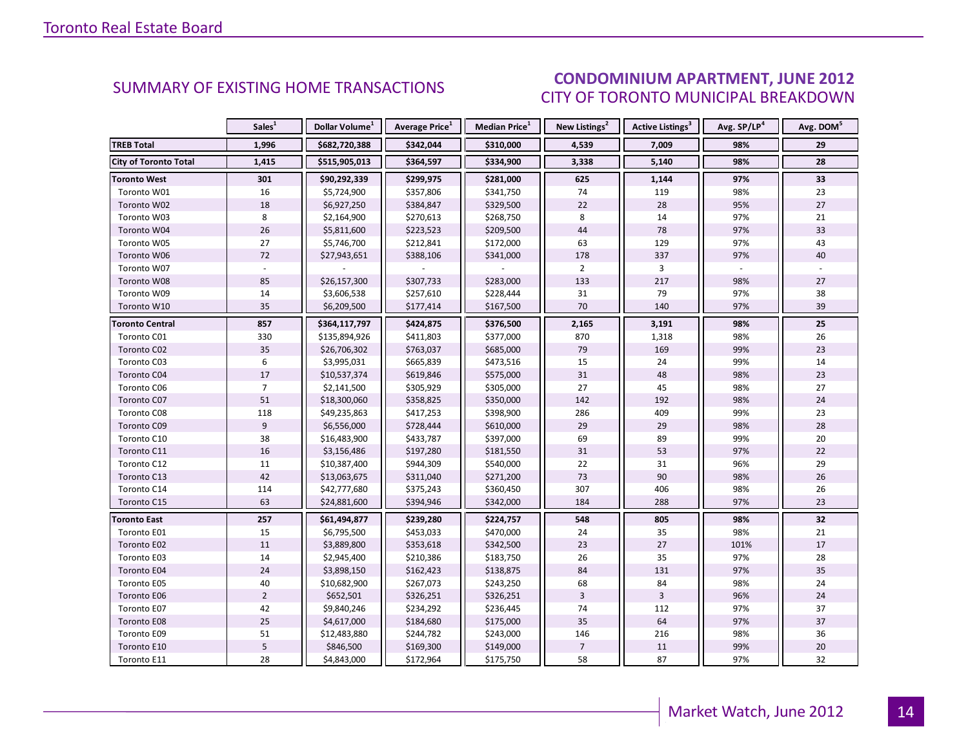#### $I = \frac{1}{2}$ CITY OF TORONTO MUNICIPAL BREAKDOWN **CONDOMINIUM APARTMENT, JUNE 2012**<br>CUMMARY OF EXISTING HOME TRANSACTIONS ALLO CITY OF TOPONTO MUNICIPAL PREAKDOMAL

<span id="page-13-0"></span>

|                              | Sales <sup>1</sup> | Dollar Volume <sup>1</sup> | <b>Average Price</b> <sup>1</sup> | <b>Median Price</b> <sup>1</sup> | New Listings <sup>2</sup> | <b>Active Listings<sup>3</sup></b> | Avg. SP/LP <sup>4</sup> | Avg. DOM <sup>5</sup> |
|------------------------------|--------------------|----------------------------|-----------------------------------|----------------------------------|---------------------------|------------------------------------|-------------------------|-----------------------|
| <b>TREB Total</b>            | 1,996              | \$682,720,388              | \$342,044                         | \$310,000                        | 4,539                     | 7,009                              | 98%                     | 29                    |
| <b>City of Toronto Total</b> | 1,415              | \$515,905,013              | \$364,597                         | \$334,900                        | 3,338                     | 5,140                              | 98%                     | 28                    |
| <b>Toronto West</b>          | 301                | \$90,292,339               | \$299,975                         | \$281,000                        | 625                       | 1,144                              | 97%                     | 33                    |
| Toronto W01                  | 16                 | \$5,724,900                | \$357,806                         | \$341,750                        | 74                        | 119                                | 98%                     | 23                    |
| Toronto W02                  | 18                 | \$6,927,250                | \$384,847                         | \$329,500                        | 22                        | 28                                 | 95%                     | 27                    |
| Toronto W03                  | 8                  | \$2,164,900                | \$270,613                         | \$268,750                        | 8                         | 14                                 | 97%                     | 21                    |
| Toronto W04                  | 26                 | \$5,811,600                | \$223,523                         | \$209,500                        | 44                        | 78                                 | 97%                     | 33                    |
| Toronto W05                  | 27                 | \$5,746,700                | \$212,841                         | \$172,000                        | 63                        | 129                                | 97%                     | 43                    |
| Toronto W06                  | 72                 | \$27,943,651               | \$388,106                         | \$341,000                        | 178                       | 337                                | 97%                     | 40                    |
| Toronto W07                  |                    |                            |                                   |                                  | $\overline{2}$            | 3                                  |                         |                       |
| Toronto W08                  | 85                 | \$26,157,300               | \$307,733                         | \$283,000                        | 133                       | 217                                | 98%                     | 27                    |
| Toronto W09                  | 14                 | \$3,606,538                | \$257,610                         | \$228,444                        | 31                        | 79                                 | 97%                     | 38                    |
| Toronto W10                  | 35                 | \$6,209,500                | \$177,414                         | \$167,500                        | 70                        | 140                                | 97%                     | 39                    |
| <b>Toronto Central</b>       | 857                | \$364,117,797              | \$424,875                         | \$376,500                        | 2,165                     | 3,191                              | 98%                     | 25                    |
| Toronto C01                  | 330                | \$135,894,926              | \$411,803                         | \$377,000                        | 870                       | 1,318                              | 98%                     | 26                    |
| Toronto C02                  | 35                 | \$26,706,302               | \$763,037                         | \$685,000                        | 79                        | 169                                | 99%                     | 23                    |
| Toronto C03                  | 6                  | \$3,995,031                | \$665,839                         | \$473,516                        | 15                        | 24                                 | 99%                     | 14                    |
| Toronto C04                  | 17                 | \$10,537,374               | \$619,846                         | \$575,000                        | 31                        | 48                                 | 98%                     | 23                    |
| Toronto C06                  | $\overline{7}$     | \$2,141,500                | \$305,929                         | \$305,000                        | 27                        | 45                                 | 98%                     | 27                    |
| Toronto C07                  | 51                 | \$18,300,060               | \$358,825                         | \$350,000                        | 142                       | 192                                | 98%                     | 24                    |
| Toronto C08                  | 118                | \$49,235,863               | \$417,253                         | \$398,900                        | 286                       | 409                                | 99%                     | 23                    |
| Toronto C09                  | 9                  | \$6,556,000                | \$728,444                         | \$610,000                        | 29                        | 29                                 | 98%                     | 28                    |
| Toronto C10                  | 38                 | \$16,483,900               | \$433,787                         | \$397,000                        | 69                        | 89                                 | 99%                     | 20                    |
| Toronto C11                  | 16                 | \$3,156,486                | \$197,280                         | \$181,550                        | 31                        | 53                                 | 97%                     | 22                    |
| Toronto C12                  | $11\,$             | \$10,387,400               | \$944,309                         | \$540,000                        | 22                        | 31                                 | 96%                     | 29                    |
| Toronto C13                  | 42                 | \$13,063,675               | \$311,040                         | \$271,200                        | 73                        | 90                                 | 98%                     | 26                    |
| Toronto C14                  | 114                | \$42,777,680               | \$375,243                         | \$360,450                        | 307                       | 406                                | 98%                     | 26                    |
| Toronto C15                  | 63                 | \$24,881,600               | \$394,946                         | \$342,000                        | 184                       | 288                                | 97%                     | 23                    |
| <b>Toronto East</b>          | 257                | \$61,494,877               | \$239,280                         | \$224,757                        | 548                       | 805                                | 98%                     | 32                    |
| Toronto E01                  | 15                 | \$6,795,500                | \$453,033                         | \$470,000                        | 24                        | 35                                 | 98%                     | 21                    |
| Toronto E02                  | 11                 | \$3,889,800                | \$353,618                         | \$342,500                        | 23                        | 27                                 | 101%                    | 17                    |
| Toronto E03                  | 14                 | \$2,945,400                | \$210,386                         | \$183,750                        | 26                        | 35                                 | 97%                     | 28                    |
| Toronto E04                  | 24                 | \$3,898,150                | \$162,423                         | \$138,875                        | 84                        | 131                                | 97%                     | 35                    |
| Toronto E05                  | 40                 | \$10,682,900               | \$267,073                         | \$243,250                        | 68                        | 84                                 | 98%                     | 24                    |
| Toronto E06                  | $\overline{2}$     | \$652,501                  | \$326,251                         | \$326,251                        | $\overline{3}$            | $\overline{3}$                     | 96%                     | 24                    |
| Toronto E07                  | 42                 | \$9,840,246                | \$234,292                         | \$236,445                        | 74                        | 112                                | 97%                     | 37                    |
| Toronto E08                  | 25                 | \$4,617,000                | \$184,680                         | \$175,000                        | 35                        | 64                                 | 97%                     | 37                    |
| Toronto E09                  | 51                 | \$12,483,880               | \$244,782                         | \$243,000                        | 146                       | 216                                | 98%                     | 36                    |
| Toronto E10                  | 5                  | \$846,500                  | \$169,300                         | \$149,000                        | $\overline{7}$            | 11                                 | 99%                     | 20                    |
| Toronto E11                  | 28                 | \$4,843,000                | \$172,964                         | \$175,750                        | 58                        | 87                                 | 97%                     | 32                    |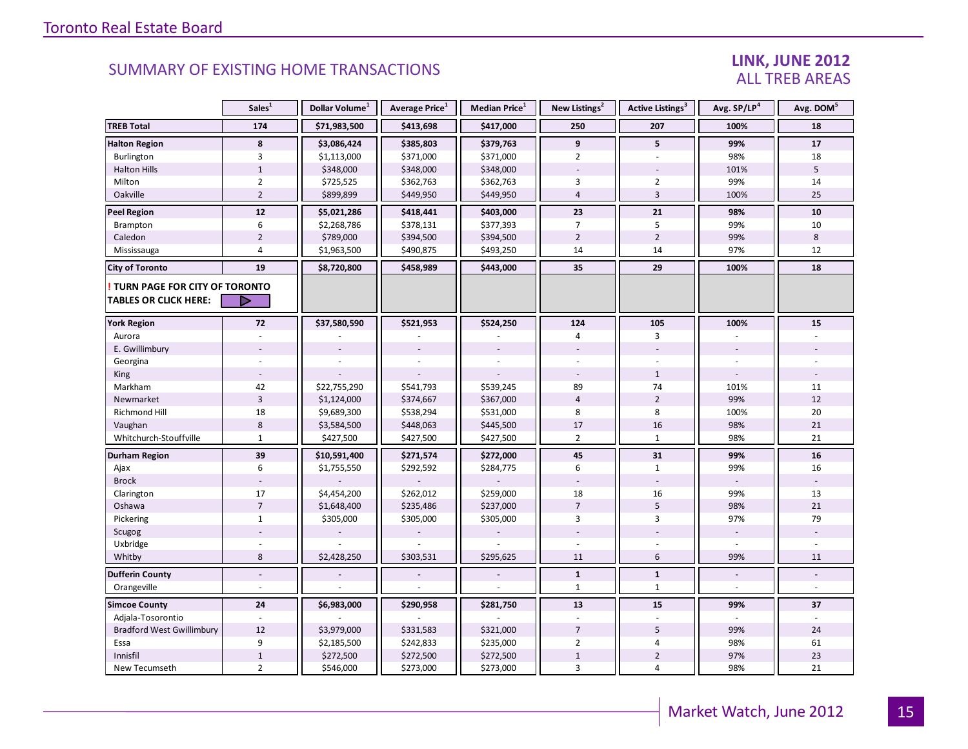#### LINK, JUNE 2012 ALL TREB AREAS

|                                                               | Sales <sup>1</sup> | Dollar Volume <sup>1</sup> | Average Price <sup>1</sup> | Median Price <sup>1</sup> | New Listings <sup>2</sup> | Active Listings <sup>3</sup> | Avg. SP/LP <sup>4</sup> | Avg. DOM <sup>5</sup>    |
|---------------------------------------------------------------|--------------------|----------------------------|----------------------------|---------------------------|---------------------------|------------------------------|-------------------------|--------------------------|
| <b>TREB Total</b>                                             | 174                | \$71,983,500               | \$413,698                  | \$417,000                 | 250                       | 207                          | 100%                    | 18                       |
| <b>Halton Region</b>                                          | 8                  | \$3,086,424                | \$385,803                  | \$379,763                 | 9                         | 5                            | 99%                     | ${\bf 17}$               |
| Burlington                                                    | 3                  | \$1,113,000                | \$371,000                  | \$371,000                 | $\overline{2}$            | $\overline{\phantom{a}}$     | 98%                     | 18                       |
| <b>Halton Hills</b>                                           | $1\,$              | \$348,000                  | \$348,000                  | \$348,000                 |                           |                              | 101%                    | 5                        |
| Milton                                                        | $\overline{2}$     | \$725,525                  | \$362,763                  | \$362,763                 | 3                         | $\overline{2}$               | 99%                     | 14                       |
| Oakville                                                      | $\overline{2}$     | \$899,899                  | \$449,950                  | \$449,950                 | $\overline{4}$            | $\overline{3}$               | 100%                    | 25                       |
| <b>Peel Region</b>                                            | 12                 | \$5,021,286                | \$418,441                  | \$403,000                 | 23                        | 21                           | 98%                     | 10                       |
| Brampton                                                      | $\,6\,$            | \$2,268,786                | \$378,131                  | \$377,393                 | 7                         | 5                            | 99%                     | 10                       |
| Caledon                                                       | $\overline{2}$     | \$789,000                  | \$394,500                  | \$394,500                 | $\overline{2}$            | $\overline{2}$               | 99%                     | 8                        |
| Mississauga                                                   | $\overline{4}$     | \$1,963,500                | \$490,875                  | \$493,250                 | 14                        | 14                           | 97%                     | 12                       |
| <b>City of Toronto</b>                                        | 19                 | \$8,720,800                | \$458,989                  | \$443,000                 | 35                        | 29                           | 100%                    | 18                       |
| TURN PAGE FOR CITY OF TORONTO<br><b>TABLES OR CLICK HERE:</b> | ▷                  |                            |                            |                           |                           |                              |                         |                          |
| <b>York Region</b>                                            | 72                 | \$37,580,590               | \$521,953                  | \$524,250                 | 124                       | 105                          | 100%                    | 15                       |
| Aurora                                                        |                    |                            |                            |                           | 4                         | 3                            |                         |                          |
| E. Gwillimbury                                                |                    |                            |                            |                           |                           |                              |                         |                          |
| Georgina                                                      |                    |                            |                            |                           |                           |                              |                         |                          |
| King                                                          |                    |                            |                            |                           |                           | $\mathbf{1}$                 | $\overline{a}$          |                          |
| Markham                                                       | 42                 | \$22,755,290               | \$541,793                  | \$539,245                 | 89                        | 74                           | 101%                    | 11                       |
| Newmarket                                                     | $\overline{3}$     | \$1,124,000                | \$374,667                  | \$367,000                 | $\overline{4}$            | $\overline{2}$               | 99%                     | 12                       |
| <b>Richmond Hill</b>                                          | 18                 | \$9,689,300                | \$538,294                  | \$531,000                 | 8                         | 8                            | 100%                    | 20                       |
| Vaughan                                                       | $\,$ 8 $\,$        | \$3,584,500                | \$448,063                  | \$445,500                 | 17                        | 16                           | 98%                     | 21                       |
| Whitchurch-Stouffville                                        | $\mathbf{1}$       | \$427,500                  | \$427,500                  | \$427,500                 | $\overline{2}$            | $\mathbf{1}$                 | 98%                     | 21                       |
| Durham Region                                                 | 39                 | \$10,591,400               | \$271,574                  | \$272,000                 | 45                        | 31                           | 99%                     | 16                       |
| Ajax                                                          | 6                  | \$1,755,550                | \$292,592                  | \$284,775                 | 6                         | $\mathbf{1}$                 | 99%                     | 16                       |
| <b>Brock</b>                                                  |                    |                            |                            |                           |                           |                              |                         |                          |
| Clarington                                                    | 17                 | \$4,454,200                | \$262,012                  | \$259,000                 | 18                        | 16                           | 99%                     | 13                       |
| Oshawa                                                        | $\overline{7}$     | \$1,648,400                | \$235,486                  | \$237,000                 | $\overline{7}$            | 5                            | 98%                     | 21                       |
| Pickering                                                     | $\mathbf{1}$       | \$305,000                  | \$305,000                  | \$305,000                 | 3                         | 3                            | 97%                     | 79                       |
| Scugog                                                        |                    |                            |                            |                           |                           |                              | $\sim$                  |                          |
| Uxbridge                                                      |                    |                            |                            |                           |                           |                              | $\overline{a}$          |                          |
| Whitby                                                        | 8                  | \$2,428,250                | \$303,531                  | \$295,625                 | 11                        | 6                            | 99%                     | 11                       |
| <b>Dufferin County</b>                                        | $\blacksquare$     |                            |                            | $\overline{a}$            | $\mathbf{1}$              | $\mathbf{1}$                 | $\blacksquare$          | $\overline{\phantom{a}}$ |
| Orangeville                                                   |                    |                            |                            |                           | 1                         | $\mathbf{1}$                 | $\sim$                  |                          |
| <b>Simcoe County</b>                                          | 24                 | \$6,983,000                | \$290,958                  | \$281,750                 | 13                        | 15                           | 99%                     | 37                       |
| Adjala-Tosorontio                                             |                    |                            |                            |                           |                           |                              |                         |                          |
| <b>Bradford West Gwillimbury</b>                              | 12                 | \$3,979,000                | \$331,583                  | \$321,000                 | $\overline{7}$            | 5                            | 99%                     | 24                       |
| Essa                                                          | 9                  | \$2,185,500                | \$242,833                  | \$235,000                 | $\overline{2}$            | 4                            | 98%                     | 61                       |
| Innisfil                                                      | $\,1\,$            | \$272,500                  | \$272,500                  | \$272,500                 | $1\,$                     | $\overline{2}$               | 97%                     | 23                       |
| New Tecumseth                                                 | $\overline{2}$     | \$546,000                  | \$273,000                  | \$273,000                 | 3                         | $\overline{4}$               | 98%                     | 21                       |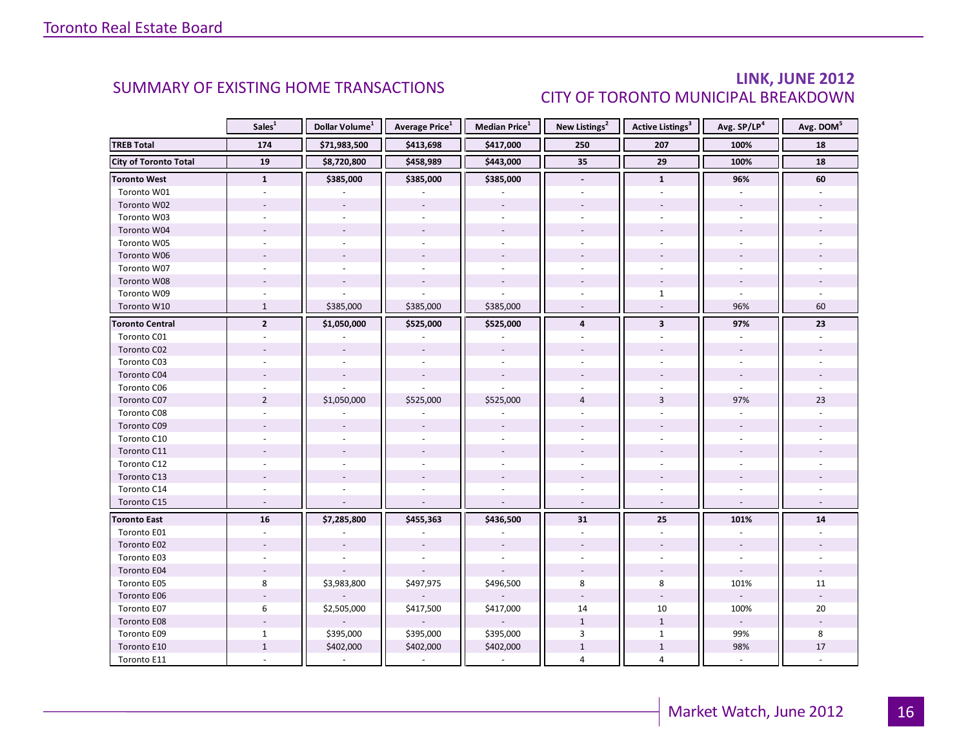### LINK, JUNE 2012 CITY OF TORONTO MUNICIPAL BREAKDOWN

<span id="page-15-0"></span>

|                              | Sales <sup>1</sup> | Dollar Volume <sup>1</sup> | <b>Average Price</b> <sup>1</sup> | Median Price <sup>1</sup> | New Listings <sup>2</sup> | <b>Active Listings<sup>3</sup></b> | Avg. SP/LP <sup>4</sup>  | Avg. DOM <sup>5</sup> |
|------------------------------|--------------------|----------------------------|-----------------------------------|---------------------------|---------------------------|------------------------------------|--------------------------|-----------------------|
| <b>TREB Total</b>            | 174                | \$71,983,500               | \$413,698                         | \$417,000                 | 250                       | 207                                | 100%                     | 18                    |
| <b>City of Toronto Total</b> | 19                 | \$8,720,800                | \$458,989                         | \$443,000                 | 35                        | 29                                 | 100%                     | 18                    |
| <b>Toronto West</b>          | $\mathbf{1}$       | \$385,000                  | \$385,000                         | \$385,000                 | $\overline{\phantom{a}}$  | $\mathbf{1}$                       | 96%                      | 60                    |
| Toronto W01                  |                    |                            |                                   |                           |                           |                                    |                          |                       |
| Toronto W02                  |                    |                            |                                   |                           |                           |                                    |                          |                       |
| Toronto W03                  |                    |                            |                                   |                           |                           |                                    |                          |                       |
| Toronto W04                  |                    |                            |                                   |                           |                           |                                    |                          |                       |
| Toronto W05                  |                    |                            |                                   |                           |                           |                                    |                          |                       |
| Toronto W06                  |                    |                            |                                   |                           |                           |                                    |                          |                       |
| Toronto W07                  |                    |                            |                                   | $\sim$                    |                           |                                    |                          |                       |
| Toronto W08                  |                    |                            |                                   |                           |                           |                                    |                          |                       |
| Toronto W09                  |                    |                            |                                   |                           |                           | $\mathbf{1}$                       |                          |                       |
| Toronto W10                  | $\mathbf{1}$       | \$385,000                  | \$385,000                         | \$385,000                 | $\omega$                  | $\mathcal{L}$                      | 96%                      | 60                    |
| <b>Toronto Central</b>       | $\mathbf{2}$       | \$1,050,000                | \$525,000                         | \$525,000                 | $\overline{4}$            | $\overline{\mathbf{3}}$            | 97%                      | 23                    |
| Toronto C01                  |                    |                            |                                   |                           |                           |                                    |                          |                       |
| Toronto C02                  |                    |                            |                                   |                           |                           |                                    |                          |                       |
| Toronto C03                  |                    |                            |                                   |                           |                           |                                    |                          |                       |
| Toronto C04                  |                    |                            |                                   |                           |                           |                                    |                          |                       |
| Toronto C06                  |                    |                            |                                   |                           |                           |                                    |                          |                       |
| Toronto C07                  | $\overline{2}$     | \$1,050,000                | \$525,000                         | \$525,000                 | $\overline{4}$            | $\overline{3}$                     | 97%                      | 23                    |
| Toronto C08                  |                    |                            |                                   |                           |                           |                                    |                          |                       |
| Toronto C09                  |                    |                            |                                   |                           |                           |                                    |                          |                       |
| Toronto C10                  |                    |                            |                                   |                           |                           |                                    |                          |                       |
| Toronto C11                  |                    |                            |                                   |                           |                           |                                    |                          |                       |
| Toronto C12                  |                    |                            |                                   |                           |                           |                                    |                          |                       |
| Toronto C13                  |                    |                            |                                   |                           |                           |                                    |                          |                       |
| Toronto C14                  |                    |                            |                                   |                           |                           |                                    |                          |                       |
| Toronto C15                  | $\overline{a}$     |                            |                                   |                           |                           |                                    |                          |                       |
| <b>Toronto East</b>          | ${\bf 16}$         | \$7,285,800                | \$455,363                         | \$436,500                 | 31                        | 25                                 | 101%                     | 14                    |
| Toronto E01                  |                    |                            |                                   |                           | $\omega$                  | $\overline{a}$                     |                          |                       |
| Toronto E02                  |                    |                            |                                   |                           |                           |                                    |                          |                       |
| Toronto E03                  |                    |                            |                                   |                           |                           |                                    |                          |                       |
| Toronto E04                  | $\sim$             |                            |                                   |                           |                           |                                    | $\omega$                 |                       |
| Toronto E05                  | 8                  | \$3,983,800                | \$497,975                         | \$496,500                 | 8                         | 8                                  | 101%                     | 11                    |
| Toronto E06                  |                    |                            |                                   |                           |                           |                                    |                          |                       |
| Toronto E07                  | 6                  | \$2,505,000                | \$417,500                         | \$417,000                 | 14                        | 10                                 | 100%                     | 20                    |
| Toronto E08                  |                    |                            |                                   |                           | $\mathbf{1}$              | $\mathbf{1}$                       | $\overline{\phantom{a}}$ |                       |
| Toronto E09                  | $\mathbf{1}$       | \$395,000                  | \$395,000                         | \$395,000                 | 3                         | $\mathbf{1}$                       | 99%                      | 8                     |
| Toronto E10                  | $1\,$              | \$402,000                  | \$402,000                         | \$402,000                 | $\,1\,$                   | $\mathbf{1}$                       | 98%                      | 17                    |
| Toronto E11                  |                    |                            |                                   |                           | 4                         | 4                                  |                          |                       |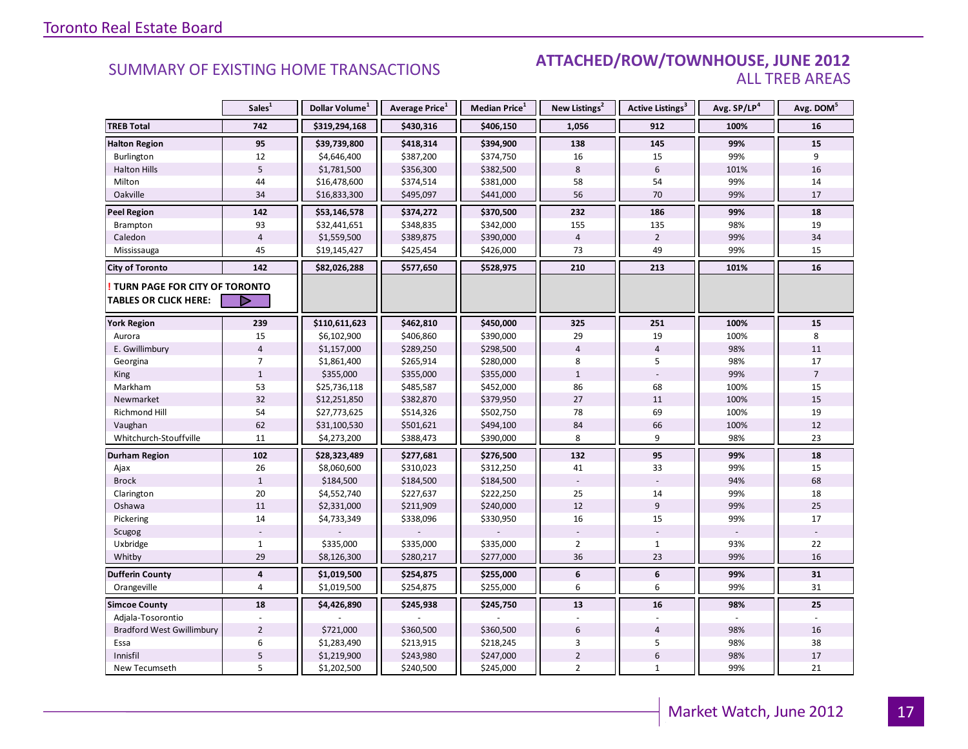#### SUMMARY OF EXISTING HOME TRANSACTIONS **ATTACHED/ROW/TOWNHOUSE, JUNE 2012** ALL TREB AREAS

|                                  | Sales <sup>1</sup> | Dollar Volume <sup>1</sup> | Average Price <sup>1</sup> | Median Price <sup>1</sup> | New Listings <sup>2</sup> | <b>Active Listings<sup>3</sup></b> | Avg. SP/LP <sup>4</sup> | Avg. DOM <sup>5</sup> |
|----------------------------------|--------------------|----------------------------|----------------------------|---------------------------|---------------------------|------------------------------------|-------------------------|-----------------------|
| <b>TREB Total</b>                | 742                | \$319,294,168              | \$430,316                  | \$406,150                 | 1,056                     | 912                                | 100%                    | 16                    |
| <b>Halton Region</b>             | 95                 | \$39,739,800               | \$418,314                  | \$394,900                 | 138                       | 145                                | 99%                     | 15                    |
| Burlington                       | 12                 | \$4,646,400                | \$387,200                  | \$374,750                 | 16                        | 15                                 | 99%                     | 9                     |
| <b>Halton Hills</b>              | $\overline{5}$     | \$1,781,500                | \$356,300                  | \$382,500                 | 8                         | 6                                  | 101%                    | 16                    |
| Milton                           | 44                 | \$16,478,600               | \$374,514                  | \$381,000                 | 58                        | 54                                 | 99%                     | 14                    |
| Oakville                         | 34                 | \$16,833,300               | \$495,097                  | \$441,000                 | 56                        | 70                                 | 99%                     | 17                    |
| <b>Peel Region</b>               | 142                | \$53,146,578               | \$374,272                  | \$370,500                 | 232                       | 186                                | 99%                     | 18                    |
| Brampton                         | 93                 | \$32,441,651               | \$348,835                  | \$342,000                 | 155                       | 135                                | 98%                     | 19                    |
| Caledon                          | $\overline{4}$     | \$1,559,500                | \$389,875                  | \$390,000                 | $\overline{4}$            | $\overline{2}$                     | 99%                     | 34                    |
| Mississauga                      | 45                 | \$19,145,427               | \$425,454                  | \$426,000                 | 73                        | 49                                 | 99%                     | 15                    |
| <b>City of Toronto</b>           | 142                | \$82,026,288               | \$577,650                  | \$528,975                 | 210                       | 213                                | 101%                    | 16                    |
| TURN PAGE FOR CITY OF TORONTO    |                    |                            |                            |                           |                           |                                    |                         |                       |
| <b>TABLES OR CLICK HERE:</b>     | D                  |                            |                            |                           |                           |                                    |                         |                       |
| <b>York Region</b>               | 239                | \$110,611,623              | \$462,810                  | \$450,000                 | 325                       | 251                                | 100%                    | 15                    |
| Aurora                           | 15                 | \$6,102,900                | \$406,860                  | \$390,000                 | 29                        | 19                                 | 100%                    | 8                     |
| E. Gwillimbury                   | $\overline{4}$     | \$1,157,000                | \$289,250                  | \$298,500                 | $\overline{4}$            | $\overline{4}$                     | 98%                     | 11                    |
| Georgina                         | $\overline{7}$     | \$1,861,400                | \$265,914                  | \$280,000                 | 8                         | 5                                  | 98%                     | 17                    |
| King                             | $\mathbf{1}$       | \$355,000                  | \$355,000                  | \$355,000                 | $\mathbf{1}$              |                                    | 99%                     | $\overline{7}$        |
| Markham                          | 53                 | \$25,736,118               | \$485,587                  | \$452,000                 | 86                        | 68                                 | 100%                    | 15                    |
| Newmarket                        | 32                 | \$12,251,850               | \$382,870                  | \$379,950                 | 27                        | 11                                 | 100%                    | 15                    |
| Richmond Hill                    | 54                 | \$27,773,625               | \$514,326                  | \$502,750                 | 78                        | 69                                 | 100%                    | 19                    |
| Vaughan                          | 62                 | \$31,100,530               | \$501,621                  | \$494,100                 | 84                        | 66                                 | 100%                    | 12                    |
| Whitchurch-Stouffville           | 11                 | \$4,273,200                | \$388,473                  | \$390,000                 | 8                         | 9                                  | 98%                     | 23                    |
| <b>Durham Region</b>             | 102                | \$28,323,489               | \$277,681                  | \$276,500                 | 132                       | 95                                 | 99%                     | 18                    |
| Ajax                             | 26                 | \$8,060,600                | \$310,023                  | \$312,250                 | 41                        | 33                                 | 99%                     | 15                    |
| <b>Brock</b>                     | $\mathbf{1}$       | \$184,500                  | \$184,500                  | \$184,500                 |                           |                                    | 94%                     | 68                    |
| Clarington                       | $20\,$             | \$4,552,740                | \$227,637                  | \$222,250                 | 25                        | 14                                 | 99%                     | 18                    |
| Oshawa                           | 11                 | \$2,331,000                | \$211,909                  | \$240,000                 | 12                        | 9                                  | 99%                     | 25                    |
| Pickering                        | 14                 | \$4,733,349                | \$338,096                  | \$330,950                 | 16                        | 15                                 | 99%                     | 17                    |
| Scugog                           |                    |                            |                            |                           |                           |                                    |                         |                       |
| Uxbridge                         | $\mathbf{1}$       | \$335,000                  | \$335,000                  | \$335,000                 | $\overline{2}$            | $\mathbf{1}$                       | 93%                     | 22                    |
| Whitby                           | 29                 | \$8,126,300                | \$280,217                  | \$277,000                 | 36                        | 23                                 | 99%                     | 16                    |
| <b>Dufferin County</b>           | $\overline{4}$     | \$1,019,500                | \$254,875                  | \$255,000                 | 6                         | 6                                  | 99%                     | 31                    |
| Orangeville                      | $\overline{4}$     | \$1,019,500                | \$254,875                  | \$255,000                 | 6                         | 6                                  | 99%                     | 31                    |
| <b>Simcoe County</b>             | 18                 | \$4,426,890                | \$245,938                  | \$245,750                 | 13                        | 16                                 | 98%                     | 25                    |
| Adjala-Tosorontio                |                    |                            |                            |                           |                           |                                    |                         |                       |
| <b>Bradford West Gwillimbury</b> | $\overline{2}$     | \$721,000                  | \$360,500                  | \$360,500                 | 6                         | $\overline{4}$                     | 98%                     | 16                    |
| Essa                             | 6                  | \$1,283,490                | \$213,915                  | \$218,245                 | 3                         | 5                                  | 98%                     | 38                    |
| Innisfil                         | $\sf 5$            | \$1,219,900                | \$243,980                  | \$247,000                 | $\overline{2}$            | $\boldsymbol{6}$                   | 98%                     | 17                    |
| New Tecumseth                    | 5                  | \$1,202,500                | \$240,500                  | \$245,000                 | $\overline{2}$            | $\mathbf{1}$                       | 99%                     | 21                    |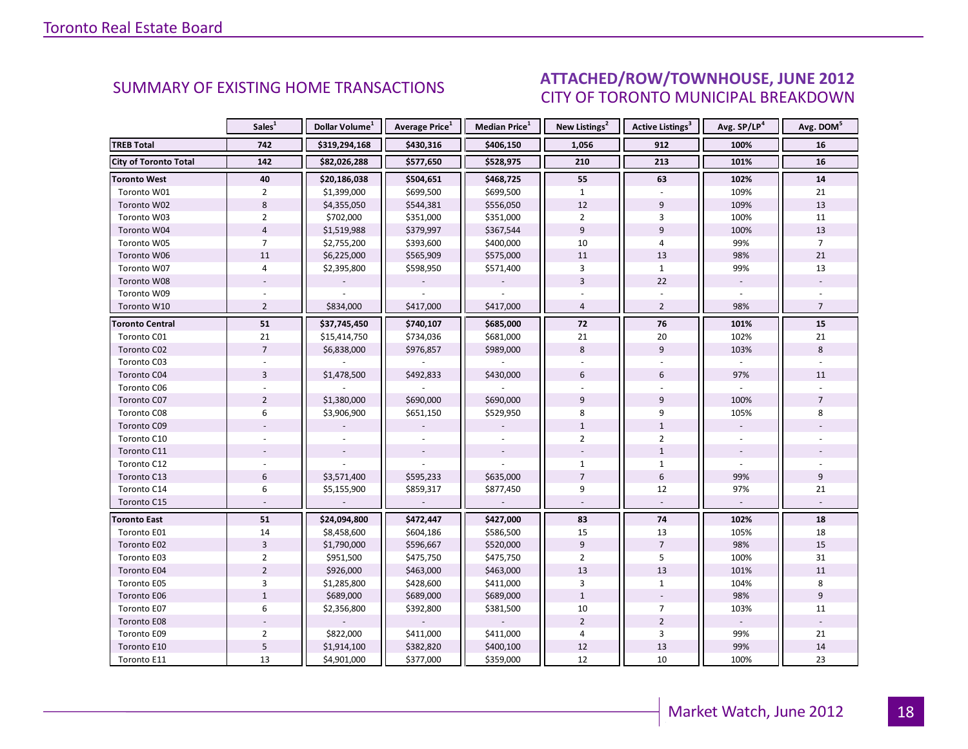#### INGUNIE 2012 CITY OF TORONTO MUNICIPAL BREAKDOWN SUMMARY OF EXISTING HOME TRANSACTIONS **ATTACHED/ROW/TOWNHOUSE, JUNE 2012**

<span id="page-17-0"></span>

|                              | Sales <sup>1</sup> | Dollar Volume <sup>1</sup> | <b>Average Price</b> <sup>1</sup> | Median Price <sup>1</sup> | New Listings <sup>2</sup> | <b>Active Listings<sup>3</sup></b> | Avg. SP/LP <sup>4</sup> | Avg. DOM <sup>5</sup> |
|------------------------------|--------------------|----------------------------|-----------------------------------|---------------------------|---------------------------|------------------------------------|-------------------------|-----------------------|
| <b>TREB Total</b>            | 742                | \$319,294,168              | \$430,316                         | \$406,150                 | 1,056                     | 912                                | 100%                    | 16                    |
| <b>City of Toronto Total</b> | 142                | \$82,026,288               | \$577,650                         | \$528,975                 | 210                       | 213                                | 101%                    | 16                    |
| <b>Toronto West</b>          | 40                 | \$20,186,038               | \$504,651                         | \$468,725                 | 55                        | 63                                 | 102%                    | 14                    |
| Toronto W01                  | $\overline{2}$     | \$1,399,000                | \$699,500                         | \$699,500                 | $\mathbf{1}$              |                                    | 109%                    | 21                    |
| Toronto W02                  | $\,8\,$            | \$4,355,050                | \$544,381                         | \$556,050                 | 12                        | $\overline{9}$                     | 109%                    | 13                    |
| Toronto W03                  | $\overline{2}$     | \$702,000                  | \$351,000                         | \$351,000                 | $\overline{2}$            | 3                                  | 100%                    | 11                    |
| Toronto W04                  | $\overline{4}$     | \$1,519,988                | \$379,997                         | \$367,544                 | 9                         | 9                                  | 100%                    | 13                    |
| Toronto W05                  | $\overline{7}$     | \$2,755,200                | \$393,600                         | \$400,000                 | 10                        | 4                                  | 99%                     | $\overline{7}$        |
| Toronto W06                  | 11                 | \$6,225,000                | \$565,909                         | \$575,000                 | 11                        | 13                                 | 98%                     | 21                    |
| Toronto W07                  | 4                  | \$2,395,800                | \$598,950                         | \$571,400                 | 3                         | $\mathbf{1}$                       | 99%                     | 13                    |
| Toronto W08                  |                    |                            |                                   |                           | $\overline{3}$            | 22                                 |                         |                       |
| Toronto W09                  |                    |                            |                                   |                           |                           |                                    |                         |                       |
| Toronto W10                  | $\overline{2}$     | \$834,000                  | \$417,000                         | \$417,000                 | $\overline{4}$            | $\overline{2}$                     | 98%                     | $\overline{7}$        |
| <b>Toronto Central</b>       | ${\bf 51}$         | \$37,745,450               | \$740,107                         | \$685,000                 | 72                        | 76                                 | 101%                    | 15                    |
| Toronto C01                  | 21                 | \$15,414,750               | \$734,036                         | \$681,000                 | 21                        | 20                                 | 102%                    | 21                    |
| Toronto C02                  | $\overline{7}$     | \$6,838,000                | \$976,857                         | \$989,000                 | 8                         | 9                                  | 103%                    | 8                     |
| Toronto C03                  |                    |                            |                                   |                           |                           |                                    |                         |                       |
| Toronto C04                  | $\overline{3}$     | \$1,478,500                | \$492,833                         | \$430,000                 | 6                         | 6                                  | 97%                     | 11                    |
| Toronto C06                  |                    |                            |                                   |                           |                           |                                    |                         |                       |
| Toronto C07                  | $\overline{2}$     | \$1,380,000                | \$690,000                         | \$690,000                 | 9                         | 9                                  | 100%                    | $\overline{7}$        |
| Toronto C08                  | 6                  | \$3,906,900                | \$651,150                         | \$529,950                 | 8                         | 9                                  | 105%                    | 8                     |
| Toronto C09                  |                    |                            |                                   |                           | $1\,$                     | $\mathbf{1}$                       |                         |                       |
| Toronto C10                  |                    |                            |                                   |                           | $\overline{2}$            | $\overline{2}$                     |                         |                       |
| Toronto C11                  |                    |                            |                                   |                           |                           | $\mathbf{1}$                       |                         |                       |
| Toronto C12                  |                    |                            |                                   |                           | $\mathbf{1}$              | $\mathbf{1}$                       |                         |                       |
| Toronto C13                  | $6\,$              | \$3,571,400                | \$595,233                         | \$635,000                 | $\overline{7}$            | 6                                  | 99%                     | 9                     |
| Toronto C14                  | 6                  | \$5,155,900                | \$859,317                         | \$877,450                 | 9                         | 12                                 | 97%                     | 21                    |
| Toronto C15                  |                    |                            |                                   |                           |                           |                                    |                         |                       |
| <b>Toronto East</b>          | 51                 | \$24,094,800               | \$472,447                         | \$427,000                 | 83                        | 74                                 | 102%                    | 18                    |
| Toronto E01                  | 14                 | \$8,458,600                | \$604,186                         | \$586,500                 | 15                        | 13                                 | 105%                    | 18                    |
| Toronto E02                  | $\overline{3}$     | \$1,790,000                | \$596,667                         | \$520,000                 | $\overline{9}$            | $\overline{7}$                     | 98%                     | 15                    |
| Toronto E03                  | $\overline{2}$     | \$951,500                  | \$475,750                         | \$475,750                 | $\overline{2}$            | 5                                  | 100%                    | 31                    |
| Toronto E04                  | $\overline{2}$     | \$926,000                  | \$463,000                         | \$463,000                 | 13                        | 13                                 | 101%                    | 11                    |
| Toronto E05                  | $\overline{3}$     | \$1,285,800                | \$428,600                         | \$411,000                 | $\overline{3}$            | $\mathbf{1}$                       | 104%                    | 8                     |
| Toronto E06                  | $\mathbf{1}$       | \$689,000                  | \$689,000                         | \$689,000                 | $\mathbf{1}$              |                                    | 98%                     | 9                     |
| Toronto E07                  | 6                  | \$2,356,800                | \$392,800                         | \$381,500                 | 10                        | $\overline{7}$                     | 103%                    | 11                    |
| <b>Toronto E08</b>           |                    |                            |                                   |                           | $\overline{2}$            | $\overline{2}$                     | $\mathcal{L}$           |                       |
| Toronto E09                  | $\overline{2}$     | \$822,000                  | \$411,000                         | \$411,000                 | $\overline{4}$            | 3                                  | 99%                     | 21                    |
| Toronto E10                  | 5                  | \$1,914,100                | \$382,820                         | \$400,100                 | 12                        | 13                                 | 99%                     | 14                    |
| Toronto E11                  | 13                 | \$4,901,000                | \$377,000                         | \$359,000                 | 12                        | 10                                 | 100%                    | 23                    |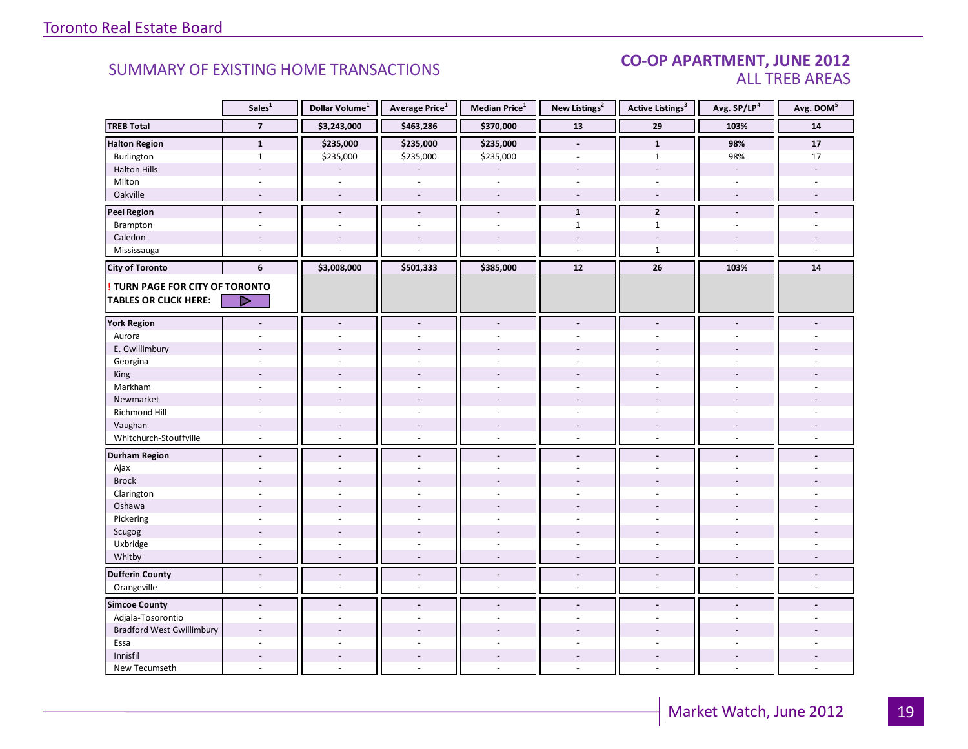#### CO-OP APARTMENT, JUNE 2012 ALL TREB AREAS

|                                  | Sales $\overline{1}$     | Dollar Volume <sup>1</sup> | Average Price <sup>1</sup> | Median Price <sup>1</sup> | New Listings <sup>2</sup> | <b>Active Listings<sup>3</sup></b> | Avg. SP/LP <sup>4</sup>  | Avg. DOM <sup>5</sup> |
|----------------------------------|--------------------------|----------------------------|----------------------------|---------------------------|---------------------------|------------------------------------|--------------------------|-----------------------|
| <b>TREB Total</b>                | $\overline{7}$           | \$3,243,000                | \$463,286                  | \$370,000                 | 13                        | 29                                 | 103%                     | 14                    |
| <b>Halton Region</b>             | $\mathbf{1}$             | \$235,000                  | \$235,000                  | \$235,000                 | $\blacksquare$            | $\mathbf{1}$                       | 98%                      | 17                    |
| Burlington                       | $\mathbf{1}$             | \$235,000                  | \$235,000                  | \$235,000                 |                           | $\mathbf{1}$                       | 98%                      | 17                    |
| <b>Halton Hills</b>              | $\overline{\phantom{a}}$ |                            |                            |                           | $\sim$                    | $\overline{\phantom{a}}$           | $\overline{\phantom{a}}$ |                       |
| Milton                           | ÷,                       | $\sim$                     | ÷.                         | ÷,                        | $\omega$                  | $\sim$                             | $\sim$                   |                       |
| Oakville                         | $\overline{\phantom{a}}$ | $\sim$                     | $\overline{\phantom{a}}$   | $\overline{\phantom{a}}$  | $\sim$                    | $\bar{a}$                          | $\sim$                   |                       |
| <b>Peel Region</b>               | $\overline{\phantom{a}}$ | $\overline{\phantom{a}}$   | $\blacksquare$             | $\frac{1}{2}$             | $\mathbf{1}$              | $\overline{2}$                     | $\blacksquare$           |                       |
| Brampton                         | ä,                       | $\overline{a}$             | ÷,                         | ÷.                        | $\mathbf{1}$              | $\mathbf{1}$                       | ä,                       |                       |
| Caledon                          |                          |                            |                            |                           |                           |                                    |                          |                       |
| Mississauga                      |                          |                            |                            |                           | $\overline{a}$            | $\mathbf{1}$                       | $\overline{a}$           |                       |
| <b>City of Toronto</b>           | 6                        | \$3,008,000                | \$501,333                  | \$385,000                 | 12                        | 26                                 | 103%                     | 14                    |
| ! TURN PAGE FOR CITY OF TORONTO  |                          |                            |                            |                           |                           |                                    |                          |                       |
| <b>TABLES OR CLICK HERE:</b>     | D                        |                            |                            |                           |                           |                                    |                          |                       |
|                                  |                          |                            |                            |                           |                           |                                    |                          |                       |
| <b>York Region</b>               | $\blacksquare$           | $\blacksquare$             | $\overline{a}$             | $\blacksquare$            | $\blacksquare$            | $\blacksquare$                     | $\blacksquare$           |                       |
| Aurora                           |                          |                            |                            |                           |                           |                                    |                          |                       |
| E. Gwillimbury                   |                          |                            |                            |                           |                           |                                    |                          |                       |
| Georgina                         |                          |                            |                            |                           |                           |                                    |                          |                       |
| King                             |                          |                            |                            | $\overline{a}$            |                           |                                    |                          |                       |
| Markham                          | ÷,                       |                            |                            | ä,                        | $\overline{a}$            | $\overline{a}$                     | ÷.                       |                       |
| Newmarket                        |                          |                            |                            |                           |                           |                                    |                          |                       |
| Richmond Hill                    |                          |                            |                            |                           |                           |                                    |                          |                       |
| Vaughan                          | $\overline{\phantom{m}}$ |                            | $\overline{\phantom{a}}$   | $\overline{a}$            |                           | $\overline{\phantom{a}}$           |                          |                       |
| Whitchurch-Stouffville           | $\sim$                   | $\sim$                     | $\sim$                     | ÷.                        | $\sim$                    | $\sim$                             | $\sim$                   |                       |
| <b>Durham Region</b>             | $\blacksquare$           | $\blacksquare$             | $\blacksquare$             | $\centerdot$              | $\overline{\phantom{a}}$  | $\overline{\phantom{a}}$           | $\blacksquare$           |                       |
| Ajax                             | ä,                       |                            |                            | ä,                        | $\sim$                    | $\sim$                             | ÷                        |                       |
| <b>Brock</b>                     |                          |                            |                            |                           |                           |                                    |                          |                       |
| Clarington                       | $\ddot{\phantom{1}}$     |                            |                            | ÷.                        |                           |                                    |                          |                       |
| Oshawa                           |                          |                            |                            |                           |                           |                                    |                          |                       |
| Pickering                        | ÷                        |                            |                            | ä,                        | $\overline{a}$            | ÷.                                 | ÷                        |                       |
| Scugog                           |                          |                            |                            |                           |                           |                                    |                          |                       |
| Uxbridge                         | $\overline{\phantom{a}}$ | $\sim$                     | ÷.                         | $\overline{\phantom{a}}$  | ÷                         | ÷.                                 | $\sim$                   |                       |
| Whitby                           | $\overline{\phantom{a}}$ | $\sim$                     | $\overline{\phantom{a}}$   | $\overline{a}$            | $\sim$                    | $\sim$                             | $\sim$                   |                       |
| <b>Dufferin County</b>           | $\overline{a}$           | $\blacksquare$             | $\blacksquare$             | $\overline{a}$            | $\blacksquare$            | $\blacksquare$                     | $\blacksquare$           | $\overline{a}$        |
| Orangeville                      | $\blacksquare$           | $\sim$                     | $\overline{\phantom{a}}$   | ä,                        | $\sim$                    | $\overline{\phantom{a}}$           | $\sim$                   | $\sim$                |
| <b>Simcoe County</b>             | $\overline{a}$           |                            |                            | $\overline{a}$            |                           |                                    |                          |                       |
| Adjala-Tosorontio                | ÷                        | $\sim$                     | ÷.                         | ÷,                        | $\sim$                    | $\sim$                             | ÷.                       |                       |
| <b>Bradford West Gwillimbury</b> |                          |                            |                            |                           |                           |                                    |                          |                       |
| Essa                             | ÷                        |                            |                            | ÷.                        |                           |                                    | $\overline{a}$           |                       |
| Innisfil                         | $\overline{a}$           | $\overline{a}$             | $\sim$                     | $\overline{a}$            |                           | $\sim$                             | $\overline{a}$           |                       |
| New Tecumseth                    | $\overline{a}$           |                            |                            | L.                        | $\overline{a}$            | ÷.                                 | ÷.                       |                       |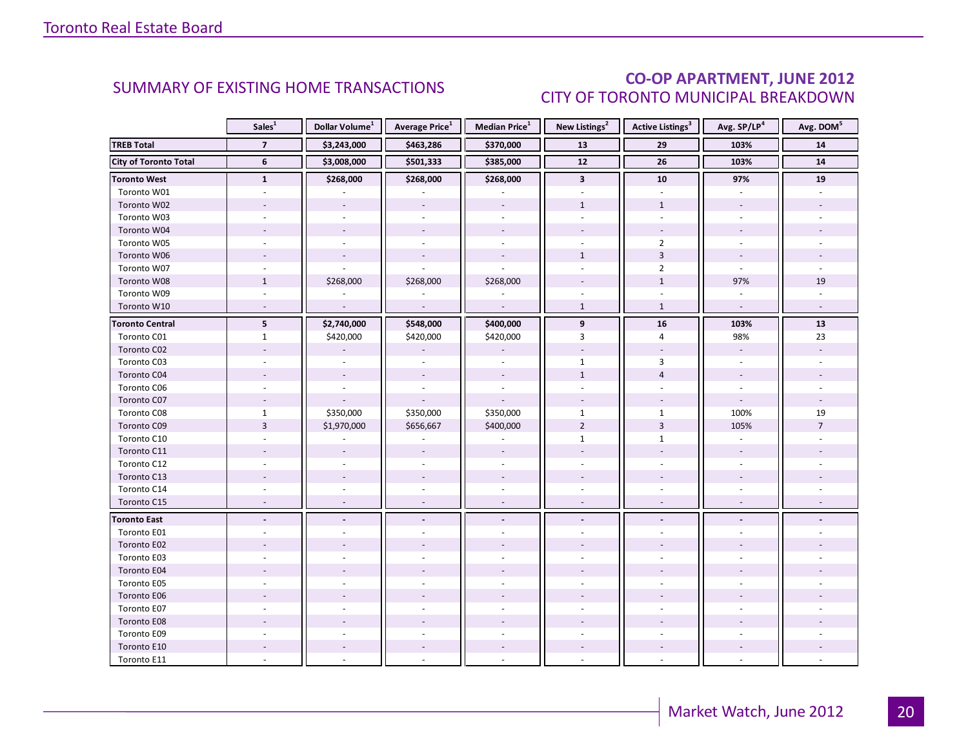### CO-OP APARTMENT, JUNE 2012 CITY OF TORONTO MUNICIPAL BREAKDOWN

<span id="page-19-0"></span>

|                              | Sales <sup>1</sup> | Dollar Volume <sup>1</sup> | <b>Average Price</b> <sup>1</sup> | <b>Median Price</b> <sup>1</sup> | New Listings <sup>2</sup> | <b>Active Listings<sup>3</sup></b> | Avg. SP/LP <sup>4</sup>  | Avg. DOM <sup>5</sup> |
|------------------------------|--------------------|----------------------------|-----------------------------------|----------------------------------|---------------------------|------------------------------------|--------------------------|-----------------------|
| <b>TREB Total</b>            | $\overline{7}$     | \$3,243,000                | \$463,286                         | \$370,000                        | 13                        | 29                                 | 103%                     | 14                    |
| <b>City of Toronto Total</b> | 6                  | \$3,008,000                | \$501,333                         | \$385,000                        | $\overline{12}$           | $\overline{26}$                    | 103%                     | ${\bf 14}$            |
| <b>Toronto West</b>          | $\mathbf{1}$       | \$268,000                  | \$268,000                         | \$268,000                        | $\overline{\mathbf{3}}$   | 10                                 | 97%                      | 19                    |
| Toronto W01                  |                    |                            |                                   |                                  |                           |                                    |                          |                       |
| Toronto W02                  |                    |                            |                                   |                                  | $\mathbf{1}$              | $\mathbf{1}$                       |                          |                       |
| Toronto W03                  | $\sim$             |                            |                                   | $\overline{a}$                   |                           | $\overline{a}$                     |                          |                       |
| Toronto W04                  |                    |                            |                                   |                                  |                           |                                    |                          |                       |
| Toronto W05                  |                    |                            |                                   |                                  |                           | $\overline{2}$                     |                          |                       |
| Toronto W06                  |                    |                            |                                   |                                  | $\mathbf{1}$              | $\overline{3}$                     |                          |                       |
| Toronto W07                  |                    |                            |                                   |                                  |                           | $\overline{2}$                     | ÷.                       |                       |
| Toronto W08                  | $\mathbf{1}$       | \$268,000                  | \$268,000                         | \$268,000                        |                           | $\mathbf{1}$                       | 97%                      | 19                    |
| Toronto W09                  |                    |                            |                                   |                                  |                           |                                    |                          |                       |
| Toronto W10                  |                    | $\overline{a}$             | $\sim$                            | $\mathbb{Z}$                     | $\mathbf{1}$              | $\mathbf{1}$                       | $\mathcal{L}$            |                       |
| <b>Toronto Central</b>       | $5\phantom{.0}$    | \$2,740,000                | \$548,000                         | \$400,000                        | $\overline{9}$            | 16                                 | 103%                     | 13                    |
| Toronto C01                  | $\mathbf{1}$       | \$420,000                  | \$420,000                         | \$420,000                        | 3                         | 4                                  | 98%                      | 23                    |
| Toronto C02                  |                    |                            |                                   |                                  |                           |                                    | $\overline{\phantom{a}}$ |                       |
| Toronto C03                  |                    |                            |                                   |                                  | $\mathbf{1}$              | 3                                  | $\sim$                   |                       |
| Toronto C04                  |                    |                            |                                   |                                  | $\mathbf{1}$              | $\overline{4}$                     |                          |                       |
| Toronto C06                  |                    |                            |                                   |                                  |                           |                                    |                          |                       |
| Toronto C07                  |                    |                            |                                   |                                  |                           |                                    | $\overline{\phantom{a}}$ |                       |
| Toronto C08                  | $\mathbf{1}$       | \$350,000                  | \$350,000                         | \$350,000                        | $\mathbf{1}$              | $\mathbf{1}$                       | 100%                     | 19                    |
| Toronto C09                  | $\overline{3}$     | \$1,970,000                | \$656,667                         | \$400,000                        | $\overline{2}$            | $\overline{3}$                     | 105%                     | $\overline{7}$        |
| Toronto C10                  |                    |                            |                                   |                                  | $\mathbf{1}$              | $\mathbf{1}$                       |                          |                       |
| Toronto C11                  |                    |                            |                                   |                                  |                           |                                    |                          |                       |
| Toronto C12                  | $\sim$             |                            |                                   |                                  |                           | $\sim$                             | $\sim$                   |                       |
| Toronto C13                  |                    |                            |                                   |                                  |                           |                                    |                          |                       |
| Toronto C14                  |                    |                            |                                   |                                  |                           |                                    |                          |                       |
| Toronto C15                  | $\overline{a}$     |                            | $\sim$                            | $\sim$                           | $\sim$                    | $\sim$                             |                          |                       |
| <b>Toronto East</b>          |                    |                            |                                   |                                  |                           |                                    |                          |                       |
| Toronto E01                  |                    |                            |                                   |                                  |                           |                                    |                          |                       |
| Toronto E02                  |                    |                            |                                   |                                  |                           |                                    |                          |                       |
| Toronto E03                  |                    |                            |                                   |                                  |                           |                                    |                          |                       |
| Toronto E04                  |                    |                            |                                   |                                  |                           |                                    |                          |                       |
| Toronto E05                  |                    |                            |                                   |                                  |                           |                                    |                          |                       |
| Toronto E06                  |                    |                            |                                   |                                  |                           |                                    |                          |                       |
| Toronto E07                  |                    |                            |                                   |                                  |                           |                                    |                          |                       |
| Toronto E08                  |                    |                            |                                   |                                  |                           |                                    |                          |                       |
| Toronto E09                  |                    |                            |                                   |                                  |                           |                                    |                          |                       |
| Toronto E10                  |                    |                            |                                   |                                  |                           |                                    |                          |                       |
| Toronto E11                  |                    |                            |                                   |                                  |                           |                                    |                          |                       |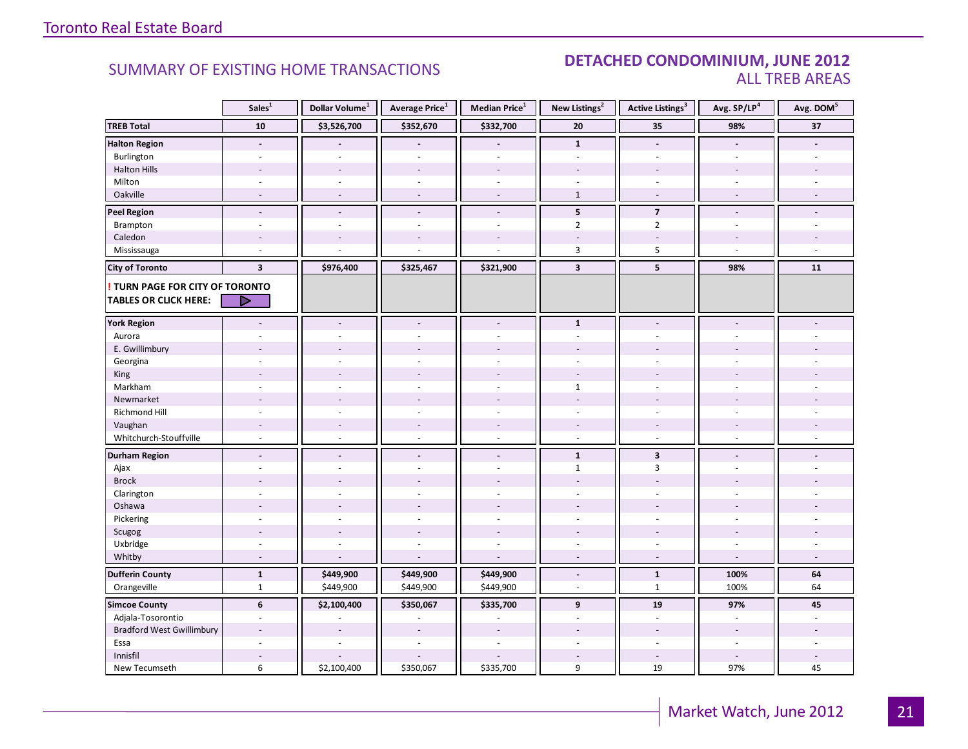#### SUMMARY OF EXISTING HOME TRANSACTIONS **DETACHED CONDOMINIUM, JUNE 2012** ALL TREB AREAS

|                                        | Sales <sup>1</sup>       | Dollar Volume <sup>1</sup> | Average Price <sup>1</sup> | Median Price <sup>1</sup> | New Listings <sup>2</sup> | Active Listings <sup>3</sup> | Avg. SP/LP <sup>4</sup>  | Avg. DOM <sup>5</sup> |
|----------------------------------------|--------------------------|----------------------------|----------------------------|---------------------------|---------------------------|------------------------------|--------------------------|-----------------------|
| <b>TREB Total</b>                      | ${\bf 10}$               | \$3,526,700                | \$352,670                  | \$332,700                 | 20                        | 35                           | 98%                      | 37                    |
| <b>Halton Region</b>                   | $\blacksquare$           |                            |                            | $\overline{a}$            | $\mathbf{1}$              | $\overline{a}$               | $\blacksquare$           |                       |
| Burlington                             | ÷                        |                            |                            | L.                        |                           | $\overline{a}$               | $\sim$                   |                       |
| <b>Halton Hills</b>                    |                          | $\overline{a}$             | $\overline{a}$             | $\overline{a}$            |                           | $\overline{a}$               |                          |                       |
| Milton                                 |                          | $\overline{\phantom{a}}$   |                            | $\overline{\phantom{a}}$  | ÷.                        | $\blacksquare$               | $\overline{\phantom{a}}$ |                       |
| Oakville                               | $\overline{a}$           | $\sim$                     | $\sim$                     | $\overline{\phantom{a}}$  | $\mathbf{1}$              | $\overline{\phantom{a}}$     | $\sim$                   | $\sim$                |
| <b>Peel Region</b>                     | $\overline{\phantom{a}}$ | $\blacksquare$             | $\blacksquare$             | $\frac{1}{2}$             | 5                         | $\overline{7}$               | $\blacksquare$           |                       |
| Brampton                               | ä,                       | ä,                         |                            | ä,                        | $\overline{2}$            | $\overline{2}$               | $\bar{a}$                |                       |
| Caledon                                |                          |                            |                            |                           |                           |                              |                          |                       |
| Mississauga                            |                          |                            |                            |                           | 3                         | $\mathsf S$                  | $\overline{a}$           |                       |
| <b>City of Toronto</b>                 | $\overline{\mathbf{3}}$  | \$976,400                  | \$325,467                  | \$321,900                 | $\overline{\mathbf{3}}$   | 5                            | 98%                      | 11                    |
| <b>! TURN PAGE FOR CITY OF TORONTO</b> |                          |                            |                            |                           |                           |                              |                          |                       |
| <b>TABLES OR CLICK HERE:</b>           | D                        |                            |                            |                           |                           |                              |                          |                       |
|                                        |                          |                            |                            |                           |                           |                              |                          |                       |
| <b>York Region</b>                     | ÷,                       | $\overline{a}$             | $\blacksquare$             | $\blacksquare$            | $\mathbf{1}$              | $\blacksquare$               | $\blacksquare$           |                       |
| Aurora                                 |                          |                            |                            |                           |                           |                              |                          |                       |
| E. Gwillimbury                         |                          |                            |                            |                           |                           |                              |                          |                       |
| Georgina                               |                          |                            |                            |                           |                           |                              |                          |                       |
| King                                   |                          | $\overline{a}$             | $\overline{a}$             | $\overline{a}$            |                           |                              |                          |                       |
| Markham                                | ä,                       | ÷,                         |                            | ä,                        | $\mathbf{1}$              | ÷.                           | $\overline{a}$           |                       |
| Newmarket                              |                          |                            |                            |                           |                           |                              |                          |                       |
| Richmond Hill                          | ٠                        |                            |                            |                           |                           |                              |                          |                       |
| Vaughan                                | $\overline{\phantom{a}}$ | $\sim$                     | $\overline{\phantom{a}}$   | $\overline{a}$            |                           | $\overline{\phantom{a}}$     |                          |                       |
| Whitchurch-Stouffville                 | $\sim$                   | ÷.                         | $\sim$                     | $\overline{a}$            | $\sim$                    | ÷                            | $\sim$                   |                       |
| <b>Durham Region</b>                   | $\overline{\phantom{a}}$ | $\blacksquare$             | $\blacksquare$             | $\frac{1}{2}$             | $\mathbf{1}$              | $\overline{\mathbf{3}}$      | $\blacksquare$           |                       |
| Ajax                                   | ٠                        | $\overline{\phantom{a}}$   | $\overline{a}$             | ÷.                        | $\mathbf{1}$              | 3                            | ÷.                       |                       |
| <b>Brock</b>                           |                          |                            |                            |                           |                           |                              |                          |                       |
| Clarington                             | ä,                       | ÷.                         |                            | ä,                        | $\sim$                    | ÷                            | ÷,                       |                       |
| Oshawa                                 |                          | $\overline{a}$             |                            |                           |                           |                              |                          |                       |
| Pickering                              | ٠                        |                            |                            | $\overline{a}$            |                           | ÷.                           | L.                       |                       |
| Scugog                                 |                          | $\overline{a}$             | $\overline{a}$             | ÷.                        |                           |                              |                          |                       |
| Uxbridge                               | ÷.                       | $\sim$                     | $\sim$                     | ä,                        | $\omega$                  | $\sim$                       | $\sim$                   |                       |
| Whitby                                 | $\sim$                   | $\overline{a}$             | $\sim$                     | ÷.                        | $\sim$                    | $\sim$                       | $\sim$                   | $\sim$                |
| <b>Dufferin County</b>                 | $\mathbf{1}$             | \$449,900                  | \$449,900                  | \$449,900                 | $\overline{\phantom{a}}$  | $\mathbf{1}$                 | 100%                     | 64                    |
| Orangeville                            | $\mathbf{1}$             | \$449,900                  | \$449,900                  | \$449,900                 | $\omega$                  | $\mathbf{1}$                 | 100%                     | 64                    |
| <b>Simcoe County</b>                   | 6                        | \$2,100,400                | \$350,067                  | \$335,700                 | 9                         | 19                           | 97%                      | 45                    |
| Adjala-Tosorontio                      | $\overline{\phantom{a}}$ |                            |                            |                           | $\sim$                    | $\blacksquare$               | $\overline{\phantom{a}}$ |                       |
| <b>Bradford West Gwillimbury</b>       | ٠                        |                            |                            |                           |                           |                              | $\overline{\phantom{a}}$ |                       |
| Essa                                   |                          |                            |                            |                           |                           |                              |                          |                       |
| Innisfil                               | ÷,                       |                            |                            |                           |                           | $\overline{\phantom{a}}$     | $\overline{a}$           |                       |
| New Tecumseth                          | 6                        | \$2,100,400                | \$350,067                  | \$335,700                 | 9                         | 19                           | 97%                      | 45                    |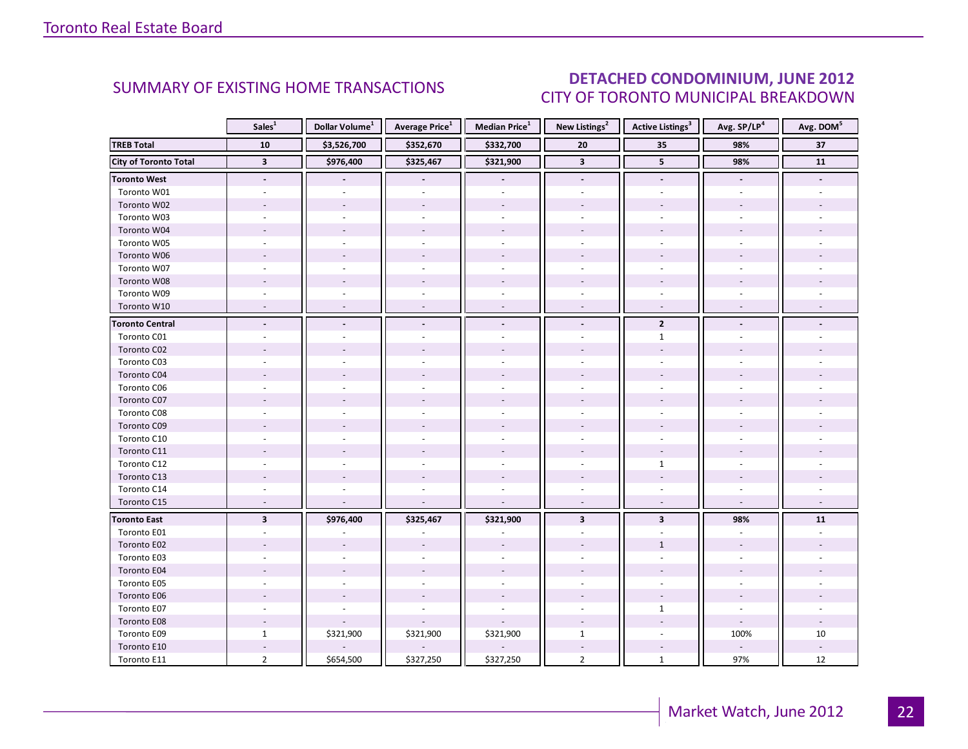### DETACHED CONDOMINIUM, JUNE 2012 CITY OF TORONTO MUNICIPAL BREAKDOWN

<span id="page-21-0"></span>

|                              | Sales <sup>1</sup>       | Dollar Volume <sup>1</sup> | <b>Average Price</b> <sup>1</sup> | <b>Median Price</b> <sup>1</sup> | New Listings <sup>2</sup> | <b>Active Listings<sup>3</sup></b> | Avg. SP/LP <sup>4</sup>  | Avg. DOM <sup>5</sup> |
|------------------------------|--------------------------|----------------------------|-----------------------------------|----------------------------------|---------------------------|------------------------------------|--------------------------|-----------------------|
| <b>TREB Total</b>            | 10                       | \$3,526,700                | \$352,670                         | \$332,700                        | 20                        | 35                                 | 98%                      | 37                    |
| <b>City of Toronto Total</b> | $\overline{\mathbf{3}}$  | \$976,400                  | \$325,467                         | \$321,900                        | $\overline{\mathbf{3}}$   | $5\phantom{.0}$                    | 98%                      | $\overline{11}$       |
| <b>Toronto West</b>          | $\overline{\phantom{a}}$ |                            | $\overline{\phantom{a}}$          |                                  | $\overline{\phantom{a}}$  | $\overline{\phantom{a}}$           | $\overline{\phantom{a}}$ |                       |
| Toronto W01                  |                          |                            |                                   |                                  |                           |                                    |                          |                       |
| Toronto W02                  |                          |                            |                                   |                                  |                           |                                    |                          |                       |
| Toronto W03                  | $\sim$                   |                            |                                   | $\overline{a}$                   |                           | $\overline{a}$                     |                          |                       |
| Toronto W04                  |                          |                            |                                   |                                  |                           |                                    |                          |                       |
| Toronto W05                  |                          |                            |                                   |                                  |                           |                                    |                          |                       |
| Toronto W06                  |                          |                            |                                   |                                  |                           |                                    |                          |                       |
| Toronto W07                  |                          |                            |                                   |                                  |                           |                                    |                          |                       |
| Toronto W08                  |                          |                            |                                   |                                  |                           |                                    |                          |                       |
| Toronto W09                  |                          |                            |                                   |                                  |                           |                                    |                          |                       |
| Toronto W10                  |                          |                            |                                   | $\overline{\phantom{a}}$         |                           | $\overline{\phantom{a}}$           |                          |                       |
| <b>Toronto Central</b>       |                          |                            |                                   | $\blacksquare$                   |                           | $\overline{2}$                     |                          |                       |
| Toronto C01                  |                          |                            |                                   |                                  |                           | $\mathbf{1}$                       |                          |                       |
| Toronto C02                  |                          |                            |                                   |                                  |                           |                                    |                          |                       |
| Toronto C03                  |                          |                            |                                   |                                  |                           | ÷.                                 |                          |                       |
| Toronto C04                  |                          |                            |                                   |                                  |                           |                                    |                          |                       |
| Toronto C06                  |                          |                            |                                   |                                  |                           |                                    |                          |                       |
| Toronto C07                  |                          |                            |                                   |                                  |                           |                                    |                          |                       |
| Toronto C08                  |                          |                            |                                   |                                  |                           |                                    |                          |                       |
| Toronto C09                  |                          |                            |                                   |                                  |                           |                                    |                          |                       |
| Toronto C10                  |                          |                            |                                   |                                  |                           |                                    |                          |                       |
| Toronto C11                  |                          |                            |                                   |                                  |                           |                                    |                          |                       |
| Toronto C12                  |                          |                            |                                   |                                  |                           | $\mathbf{1}$                       |                          |                       |
| Toronto C13                  |                          |                            |                                   |                                  |                           |                                    |                          |                       |
| Toronto C14                  |                          |                            |                                   |                                  |                           |                                    |                          |                       |
| Toronto C15                  | $\overline{\phantom{a}}$ |                            |                                   | $\overline{a}$                   | $\overline{\phantom{a}}$  | $\sim$                             | $\overline{\phantom{a}}$ |                       |
| <b>Toronto East</b>          | $\overline{\mathbf{3}}$  | \$976,400                  | \$325,467                         | \$321,900                        | $\overline{\mathbf{3}}$   | $\overline{\mathbf{3}}$            | 98%                      | 11                    |
| Toronto E01                  |                          |                            |                                   |                                  |                           |                                    |                          |                       |
| Toronto E02                  |                          |                            |                                   |                                  |                           | $\mathbf{1}$                       |                          |                       |
| Toronto E03                  |                          |                            |                                   |                                  |                           |                                    |                          |                       |
| Toronto E04                  |                          |                            |                                   |                                  |                           |                                    |                          |                       |
| Toronto E05                  |                          |                            |                                   |                                  |                           |                                    |                          |                       |
| Toronto E06                  |                          |                            |                                   |                                  |                           |                                    |                          |                       |
| Toronto E07                  |                          |                            |                                   |                                  |                           | $\mathbf{1}$                       |                          |                       |
| Toronto E08                  |                          |                            |                                   |                                  |                           |                                    |                          |                       |
| Toronto E09                  | $\mathbf{1}$             | \$321,900                  | \$321,900                         | \$321,900                        | $\mathbf{1}$              |                                    | 100%                     | 10                    |
| Toronto E10                  |                          |                            |                                   |                                  |                           |                                    |                          |                       |
| Toronto E11                  | $\overline{2}$           | \$654,500                  | \$327,250                         | \$327,250                        | $\overline{2}$            | $\mathbf{1}$                       | 97%                      | 12                    |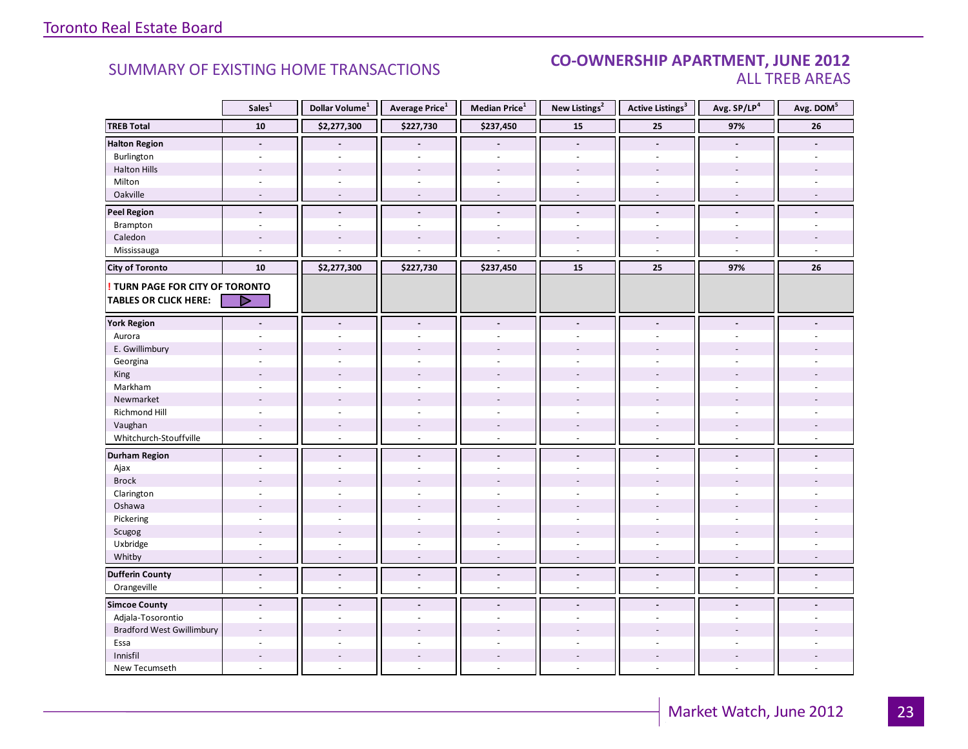#### SUMMARY OF EXISTING HOME TRANSACTIONS **CO-OWNERSHIP APARTMENT, JUNE 2012** ALL TREB AREAS

| <b>TREB Total</b><br>${\bf 10}$<br>\$2,277,300<br>\$227,730<br>\$237,450<br>15<br>25<br>97%<br>26<br><b>Halton Region</b><br>$\Box$<br>$\blacksquare$<br>$\blacksquare$<br>$\overline{a}$<br>$\overline{a}$<br>Burlington<br>÷,<br>÷.<br>$\sim$<br>$\overline{a}$<br>$\sim$<br>$\sim$<br>÷.<br><b>Halton Hills</b><br>$\overline{a}$<br>L,<br>÷,<br>÷,<br>$\overline{\phantom{a}}$<br>Milton<br>$\sim$<br>$\sim$<br>ä,<br>$\bar{a}$<br>$\overline{\phantom{a}}$<br>$\sim$<br>$\bar{a}$<br>Oakville<br>$\overline{a}$<br>$\sim$<br>$\sim$<br>$\sim$<br>$\sim$<br>$\overline{\phantom{a}}$<br>$\sim$<br><b>Peel Region</b><br>$\overline{\phantom{a}}$<br>$\blacksquare$<br>$\blacksquare$<br>$\blacksquare$<br>$\blacksquare$<br>$\blacksquare$<br>$\overline{a}$<br>Brampton<br>$\sim$<br>$\sim$<br>$\bar{\phantom{a}}$<br>$\bar{a}$<br>$\overline{\phantom{a}}$<br>$\overline{\phantom{a}}$<br>÷,<br>Caledon<br>$\overline{a}$<br>$\overline{a}$<br>$\overline{\phantom{a}}$<br>$\overline{a}$<br>$\overline{a}$<br>Mississauga<br>$\overline{a}$<br>$\overline{a}$<br>$\sim$<br>$\sim$<br>${\bf 10}$<br>\$2,277,300<br>\$227,730<br>\$237,450<br>15<br>25<br>97%<br>26<br><b>City of Toronto</b><br>TURN PAGE FOR CITY OF TORONTO<br><b>TABLES OR CLICK HERE:</b><br>D<br><b>York Region</b><br>$\overline{a}$<br>$\overline{a}$<br>$\blacksquare$<br>$\blacksquare$<br>$\blacksquare$<br>$\blacksquare$<br>$\blacksquare$<br>Aurora<br>ä,<br>E. Gwillimbury<br>Georgina<br>$\overline{a}$<br>King<br>$\overline{a}$<br>Markham<br>$\sim$<br>$\sim$<br>ä,<br>$\sim$<br>÷.<br>Newmarket<br>Richmond Hill<br>Vaughan<br>$\overline{\phantom{a}}$<br>$\sim$<br>$\overline{\phantom{a}}$<br>$\overline{a}$<br>$\sim$<br>$\overline{\phantom{a}}$<br>$\overline{a}$<br>Whitchurch-Stouffville<br>$\omega$<br>$\omega$<br>$\sim$<br>$\omega$<br>$\omega$<br>$\omega$<br>$\omega$<br><b>Durham Region</b><br>$\overline{a}$<br>$\blacksquare$<br>$\blacksquare$<br>$\blacksquare$<br>$\blacksquare$<br>$\blacksquare$<br>$\blacksquare$<br>Ajax<br>ä,<br>÷.<br>$\sim$<br>÷.<br><b>Brock</b><br>Clarington<br>L,<br>L,<br>Oshawa<br>÷.<br>Pickering<br>$\overline{a}$<br>$\omega$<br>$\overline{a}$<br>$\overline{a}$<br>$\overline{a}$<br>÷.<br>L.<br>Scugog<br>Uxbridge<br>$\overline{a}$<br>$\overline{a}$<br>÷,<br>÷.<br>$\sim$<br>÷.<br>Whitby<br>÷,<br>$\overline{\phantom{a}}$<br>÷,<br>$\sim$<br>$\overline{\phantom{a}}$<br>$\overline{\phantom{a}}$<br><b>Dufferin County</b><br>$\overline{a}$<br>$\overline{a}$<br>$\Box$<br>$\Box$<br>$\overline{a}$<br>$\blacksquare$<br>$\blacksquare$<br>Orangeville<br>$\omega$<br>$\overline{a}$<br>$\omega$<br>$\overline{a}$<br>÷.<br>$\overline{a}$<br>$\sim$<br><b>Simcoe County</b><br>$\blacksquare$<br>$\blacksquare$<br>$\overline{a}$<br>$\blacksquare$<br>$\overline{a}$<br>$\blacksquare$<br>Adjala-Tosorontio<br>$\overline{\phantom{a}}$<br>$\overline{a}$<br>L.<br><b>Bradford West Gwillimbury</b><br>Essa<br>$\overline{a}$<br>$\sim$<br>÷.<br>÷<br>÷<br>$\equiv$<br>Innisfil<br>$\overline{a}$<br>L.<br>$\sim$<br>$\overline{a}$ |               | Sales <sup>1</sup> | Dollar Volume <sup>1</sup> | Average Price <sup>1</sup> | Median Price <sup>1</sup> | New Listings <sup>2</sup> | <b>Active Listings<sup>3</sup></b> | Avg. SP/LP <sup>4</sup> | Avg. DOM <sup>5</sup> |
|-----------------------------------------------------------------------------------------------------------------------------------------------------------------------------------------------------------------------------------------------------------------------------------------------------------------------------------------------------------------------------------------------------------------------------------------------------------------------------------------------------------------------------------------------------------------------------------------------------------------------------------------------------------------------------------------------------------------------------------------------------------------------------------------------------------------------------------------------------------------------------------------------------------------------------------------------------------------------------------------------------------------------------------------------------------------------------------------------------------------------------------------------------------------------------------------------------------------------------------------------------------------------------------------------------------------------------------------------------------------------------------------------------------------------------------------------------------------------------------------------------------------------------------------------------------------------------------------------------------------------------------------------------------------------------------------------------------------------------------------------------------------------------------------------------------------------------------------------------------------------------------------------------------------------------------------------------------------------------------------------------------------------------------------------------------------------------------------------------------------------------------------------------------------------------------------------------------------------------------------------------------------------------------------------------------------------------------------------------------------------------------------------------------------------------------------------------------------------------------------------------------------------------------------------------------------------------------------------------------------------------------------------------------------------------------------------------------------------------------------------------------------------------------------------------------------------------------------------------------------------------------------------------------------------------------------------------------------------------------------------------------------------------------------------------------------------------------------------|---------------|--------------------|----------------------------|----------------------------|---------------------------|---------------------------|------------------------------------|-------------------------|-----------------------|
|                                                                                                                                                                                                                                                                                                                                                                                                                                                                                                                                                                                                                                                                                                                                                                                                                                                                                                                                                                                                                                                                                                                                                                                                                                                                                                                                                                                                                                                                                                                                                                                                                                                                                                                                                                                                                                                                                                                                                                                                                                                                                                                                                                                                                                                                                                                                                                                                                                                                                                                                                                                                                                                                                                                                                                                                                                                                                                                                                                                                                                                                                               |               |                    |                            |                            |                           |                           |                                    |                         |                       |
|                                                                                                                                                                                                                                                                                                                                                                                                                                                                                                                                                                                                                                                                                                                                                                                                                                                                                                                                                                                                                                                                                                                                                                                                                                                                                                                                                                                                                                                                                                                                                                                                                                                                                                                                                                                                                                                                                                                                                                                                                                                                                                                                                                                                                                                                                                                                                                                                                                                                                                                                                                                                                                                                                                                                                                                                                                                                                                                                                                                                                                                                                               |               |                    |                            |                            |                           |                           |                                    |                         |                       |
|                                                                                                                                                                                                                                                                                                                                                                                                                                                                                                                                                                                                                                                                                                                                                                                                                                                                                                                                                                                                                                                                                                                                                                                                                                                                                                                                                                                                                                                                                                                                                                                                                                                                                                                                                                                                                                                                                                                                                                                                                                                                                                                                                                                                                                                                                                                                                                                                                                                                                                                                                                                                                                                                                                                                                                                                                                                                                                                                                                                                                                                                                               |               |                    |                            |                            |                           |                           |                                    |                         |                       |
|                                                                                                                                                                                                                                                                                                                                                                                                                                                                                                                                                                                                                                                                                                                                                                                                                                                                                                                                                                                                                                                                                                                                                                                                                                                                                                                                                                                                                                                                                                                                                                                                                                                                                                                                                                                                                                                                                                                                                                                                                                                                                                                                                                                                                                                                                                                                                                                                                                                                                                                                                                                                                                                                                                                                                                                                                                                                                                                                                                                                                                                                                               |               |                    |                            |                            |                           |                           |                                    |                         |                       |
|                                                                                                                                                                                                                                                                                                                                                                                                                                                                                                                                                                                                                                                                                                                                                                                                                                                                                                                                                                                                                                                                                                                                                                                                                                                                                                                                                                                                                                                                                                                                                                                                                                                                                                                                                                                                                                                                                                                                                                                                                                                                                                                                                                                                                                                                                                                                                                                                                                                                                                                                                                                                                                                                                                                                                                                                                                                                                                                                                                                                                                                                                               |               |                    |                            |                            |                           |                           |                                    |                         |                       |
|                                                                                                                                                                                                                                                                                                                                                                                                                                                                                                                                                                                                                                                                                                                                                                                                                                                                                                                                                                                                                                                                                                                                                                                                                                                                                                                                                                                                                                                                                                                                                                                                                                                                                                                                                                                                                                                                                                                                                                                                                                                                                                                                                                                                                                                                                                                                                                                                                                                                                                                                                                                                                                                                                                                                                                                                                                                                                                                                                                                                                                                                                               |               |                    |                            |                            |                           |                           |                                    |                         |                       |
|                                                                                                                                                                                                                                                                                                                                                                                                                                                                                                                                                                                                                                                                                                                                                                                                                                                                                                                                                                                                                                                                                                                                                                                                                                                                                                                                                                                                                                                                                                                                                                                                                                                                                                                                                                                                                                                                                                                                                                                                                                                                                                                                                                                                                                                                                                                                                                                                                                                                                                                                                                                                                                                                                                                                                                                                                                                                                                                                                                                                                                                                                               |               |                    |                            |                            |                           |                           |                                    |                         |                       |
|                                                                                                                                                                                                                                                                                                                                                                                                                                                                                                                                                                                                                                                                                                                                                                                                                                                                                                                                                                                                                                                                                                                                                                                                                                                                                                                                                                                                                                                                                                                                                                                                                                                                                                                                                                                                                                                                                                                                                                                                                                                                                                                                                                                                                                                                                                                                                                                                                                                                                                                                                                                                                                                                                                                                                                                                                                                                                                                                                                                                                                                                                               |               |                    |                            |                            |                           |                           |                                    |                         |                       |
|                                                                                                                                                                                                                                                                                                                                                                                                                                                                                                                                                                                                                                                                                                                                                                                                                                                                                                                                                                                                                                                                                                                                                                                                                                                                                                                                                                                                                                                                                                                                                                                                                                                                                                                                                                                                                                                                                                                                                                                                                                                                                                                                                                                                                                                                                                                                                                                                                                                                                                                                                                                                                                                                                                                                                                                                                                                                                                                                                                                                                                                                                               |               |                    |                            |                            |                           |                           |                                    |                         |                       |
|                                                                                                                                                                                                                                                                                                                                                                                                                                                                                                                                                                                                                                                                                                                                                                                                                                                                                                                                                                                                                                                                                                                                                                                                                                                                                                                                                                                                                                                                                                                                                                                                                                                                                                                                                                                                                                                                                                                                                                                                                                                                                                                                                                                                                                                                                                                                                                                                                                                                                                                                                                                                                                                                                                                                                                                                                                                                                                                                                                                                                                                                                               |               |                    |                            |                            |                           |                           |                                    |                         |                       |
|                                                                                                                                                                                                                                                                                                                                                                                                                                                                                                                                                                                                                                                                                                                                                                                                                                                                                                                                                                                                                                                                                                                                                                                                                                                                                                                                                                                                                                                                                                                                                                                                                                                                                                                                                                                                                                                                                                                                                                                                                                                                                                                                                                                                                                                                                                                                                                                                                                                                                                                                                                                                                                                                                                                                                                                                                                                                                                                                                                                                                                                                                               |               |                    |                            |                            |                           |                           |                                    |                         |                       |
|                                                                                                                                                                                                                                                                                                                                                                                                                                                                                                                                                                                                                                                                                                                                                                                                                                                                                                                                                                                                                                                                                                                                                                                                                                                                                                                                                                                                                                                                                                                                                                                                                                                                                                                                                                                                                                                                                                                                                                                                                                                                                                                                                                                                                                                                                                                                                                                                                                                                                                                                                                                                                                                                                                                                                                                                                                                                                                                                                                                                                                                                                               |               |                    |                            |                            |                           |                           |                                    |                         |                       |
|                                                                                                                                                                                                                                                                                                                                                                                                                                                                                                                                                                                                                                                                                                                                                                                                                                                                                                                                                                                                                                                                                                                                                                                                                                                                                                                                                                                                                                                                                                                                                                                                                                                                                                                                                                                                                                                                                                                                                                                                                                                                                                                                                                                                                                                                                                                                                                                                                                                                                                                                                                                                                                                                                                                                                                                                                                                                                                                                                                                                                                                                                               |               |                    |                            |                            |                           |                           |                                    |                         |                       |
|                                                                                                                                                                                                                                                                                                                                                                                                                                                                                                                                                                                                                                                                                                                                                                                                                                                                                                                                                                                                                                                                                                                                                                                                                                                                                                                                                                                                                                                                                                                                                                                                                                                                                                                                                                                                                                                                                                                                                                                                                                                                                                                                                                                                                                                                                                                                                                                                                                                                                                                                                                                                                                                                                                                                                                                                                                                                                                                                                                                                                                                                                               |               |                    |                            |                            |                           |                           |                                    |                         |                       |
|                                                                                                                                                                                                                                                                                                                                                                                                                                                                                                                                                                                                                                                                                                                                                                                                                                                                                                                                                                                                                                                                                                                                                                                                                                                                                                                                                                                                                                                                                                                                                                                                                                                                                                                                                                                                                                                                                                                                                                                                                                                                                                                                                                                                                                                                                                                                                                                                                                                                                                                                                                                                                                                                                                                                                                                                                                                                                                                                                                                                                                                                                               |               |                    |                            |                            |                           |                           |                                    |                         |                       |
|                                                                                                                                                                                                                                                                                                                                                                                                                                                                                                                                                                                                                                                                                                                                                                                                                                                                                                                                                                                                                                                                                                                                                                                                                                                                                                                                                                                                                                                                                                                                                                                                                                                                                                                                                                                                                                                                                                                                                                                                                                                                                                                                                                                                                                                                                                                                                                                                                                                                                                                                                                                                                                                                                                                                                                                                                                                                                                                                                                                                                                                                                               |               |                    |                            |                            |                           |                           |                                    |                         |                       |
|                                                                                                                                                                                                                                                                                                                                                                                                                                                                                                                                                                                                                                                                                                                                                                                                                                                                                                                                                                                                                                                                                                                                                                                                                                                                                                                                                                                                                                                                                                                                                                                                                                                                                                                                                                                                                                                                                                                                                                                                                                                                                                                                                                                                                                                                                                                                                                                                                                                                                                                                                                                                                                                                                                                                                                                                                                                                                                                                                                                                                                                                                               |               |                    |                            |                            |                           |                           |                                    |                         |                       |
|                                                                                                                                                                                                                                                                                                                                                                                                                                                                                                                                                                                                                                                                                                                                                                                                                                                                                                                                                                                                                                                                                                                                                                                                                                                                                                                                                                                                                                                                                                                                                                                                                                                                                                                                                                                                                                                                                                                                                                                                                                                                                                                                                                                                                                                                                                                                                                                                                                                                                                                                                                                                                                                                                                                                                                                                                                                                                                                                                                                                                                                                                               |               |                    |                            |                            |                           |                           |                                    |                         |                       |
|                                                                                                                                                                                                                                                                                                                                                                                                                                                                                                                                                                                                                                                                                                                                                                                                                                                                                                                                                                                                                                                                                                                                                                                                                                                                                                                                                                                                                                                                                                                                                                                                                                                                                                                                                                                                                                                                                                                                                                                                                                                                                                                                                                                                                                                                                                                                                                                                                                                                                                                                                                                                                                                                                                                                                                                                                                                                                                                                                                                                                                                                                               |               |                    |                            |                            |                           |                           |                                    |                         |                       |
|                                                                                                                                                                                                                                                                                                                                                                                                                                                                                                                                                                                                                                                                                                                                                                                                                                                                                                                                                                                                                                                                                                                                                                                                                                                                                                                                                                                                                                                                                                                                                                                                                                                                                                                                                                                                                                                                                                                                                                                                                                                                                                                                                                                                                                                                                                                                                                                                                                                                                                                                                                                                                                                                                                                                                                                                                                                                                                                                                                                                                                                                                               |               |                    |                            |                            |                           |                           |                                    |                         |                       |
|                                                                                                                                                                                                                                                                                                                                                                                                                                                                                                                                                                                                                                                                                                                                                                                                                                                                                                                                                                                                                                                                                                                                                                                                                                                                                                                                                                                                                                                                                                                                                                                                                                                                                                                                                                                                                                                                                                                                                                                                                                                                                                                                                                                                                                                                                                                                                                                                                                                                                                                                                                                                                                                                                                                                                                                                                                                                                                                                                                                                                                                                                               |               |                    |                            |                            |                           |                           |                                    |                         |                       |
|                                                                                                                                                                                                                                                                                                                                                                                                                                                                                                                                                                                                                                                                                                                                                                                                                                                                                                                                                                                                                                                                                                                                                                                                                                                                                                                                                                                                                                                                                                                                                                                                                                                                                                                                                                                                                                                                                                                                                                                                                                                                                                                                                                                                                                                                                                                                                                                                                                                                                                                                                                                                                                                                                                                                                                                                                                                                                                                                                                                                                                                                                               |               |                    |                            |                            |                           |                           |                                    |                         |                       |
|                                                                                                                                                                                                                                                                                                                                                                                                                                                                                                                                                                                                                                                                                                                                                                                                                                                                                                                                                                                                                                                                                                                                                                                                                                                                                                                                                                                                                                                                                                                                                                                                                                                                                                                                                                                                                                                                                                                                                                                                                                                                                                                                                                                                                                                                                                                                                                                                                                                                                                                                                                                                                                                                                                                                                                                                                                                                                                                                                                                                                                                                                               |               |                    |                            |                            |                           |                           |                                    |                         |                       |
|                                                                                                                                                                                                                                                                                                                                                                                                                                                                                                                                                                                                                                                                                                                                                                                                                                                                                                                                                                                                                                                                                                                                                                                                                                                                                                                                                                                                                                                                                                                                                                                                                                                                                                                                                                                                                                                                                                                                                                                                                                                                                                                                                                                                                                                                                                                                                                                                                                                                                                                                                                                                                                                                                                                                                                                                                                                                                                                                                                                                                                                                                               |               |                    |                            |                            |                           |                           |                                    |                         |                       |
|                                                                                                                                                                                                                                                                                                                                                                                                                                                                                                                                                                                                                                                                                                                                                                                                                                                                                                                                                                                                                                                                                                                                                                                                                                                                                                                                                                                                                                                                                                                                                                                                                                                                                                                                                                                                                                                                                                                                                                                                                                                                                                                                                                                                                                                                                                                                                                                                                                                                                                                                                                                                                                                                                                                                                                                                                                                                                                                                                                                                                                                                                               |               |                    |                            |                            |                           |                           |                                    |                         |                       |
|                                                                                                                                                                                                                                                                                                                                                                                                                                                                                                                                                                                                                                                                                                                                                                                                                                                                                                                                                                                                                                                                                                                                                                                                                                                                                                                                                                                                                                                                                                                                                                                                                                                                                                                                                                                                                                                                                                                                                                                                                                                                                                                                                                                                                                                                                                                                                                                                                                                                                                                                                                                                                                                                                                                                                                                                                                                                                                                                                                                                                                                                                               |               |                    |                            |                            |                           |                           |                                    |                         |                       |
|                                                                                                                                                                                                                                                                                                                                                                                                                                                                                                                                                                                                                                                                                                                                                                                                                                                                                                                                                                                                                                                                                                                                                                                                                                                                                                                                                                                                                                                                                                                                                                                                                                                                                                                                                                                                                                                                                                                                                                                                                                                                                                                                                                                                                                                                                                                                                                                                                                                                                                                                                                                                                                                                                                                                                                                                                                                                                                                                                                                                                                                                                               |               |                    |                            |                            |                           |                           |                                    |                         |                       |
|                                                                                                                                                                                                                                                                                                                                                                                                                                                                                                                                                                                                                                                                                                                                                                                                                                                                                                                                                                                                                                                                                                                                                                                                                                                                                                                                                                                                                                                                                                                                                                                                                                                                                                                                                                                                                                                                                                                                                                                                                                                                                                                                                                                                                                                                                                                                                                                                                                                                                                                                                                                                                                                                                                                                                                                                                                                                                                                                                                                                                                                                                               |               |                    |                            |                            |                           |                           |                                    |                         |                       |
|                                                                                                                                                                                                                                                                                                                                                                                                                                                                                                                                                                                                                                                                                                                                                                                                                                                                                                                                                                                                                                                                                                                                                                                                                                                                                                                                                                                                                                                                                                                                                                                                                                                                                                                                                                                                                                                                                                                                                                                                                                                                                                                                                                                                                                                                                                                                                                                                                                                                                                                                                                                                                                                                                                                                                                                                                                                                                                                                                                                                                                                                                               |               |                    |                            |                            |                           |                           |                                    |                         |                       |
|                                                                                                                                                                                                                                                                                                                                                                                                                                                                                                                                                                                                                                                                                                                                                                                                                                                                                                                                                                                                                                                                                                                                                                                                                                                                                                                                                                                                                                                                                                                                                                                                                                                                                                                                                                                                                                                                                                                                                                                                                                                                                                                                                                                                                                                                                                                                                                                                                                                                                                                                                                                                                                                                                                                                                                                                                                                                                                                                                                                                                                                                                               |               |                    |                            |                            |                           |                           |                                    |                         |                       |
|                                                                                                                                                                                                                                                                                                                                                                                                                                                                                                                                                                                                                                                                                                                                                                                                                                                                                                                                                                                                                                                                                                                                                                                                                                                                                                                                                                                                                                                                                                                                                                                                                                                                                                                                                                                                                                                                                                                                                                                                                                                                                                                                                                                                                                                                                                                                                                                                                                                                                                                                                                                                                                                                                                                                                                                                                                                                                                                                                                                                                                                                                               |               |                    |                            |                            |                           |                           |                                    |                         |                       |
|                                                                                                                                                                                                                                                                                                                                                                                                                                                                                                                                                                                                                                                                                                                                                                                                                                                                                                                                                                                                                                                                                                                                                                                                                                                                                                                                                                                                                                                                                                                                                                                                                                                                                                                                                                                                                                                                                                                                                                                                                                                                                                                                                                                                                                                                                                                                                                                                                                                                                                                                                                                                                                                                                                                                                                                                                                                                                                                                                                                                                                                                                               |               |                    |                            |                            |                           |                           |                                    |                         |                       |
|                                                                                                                                                                                                                                                                                                                                                                                                                                                                                                                                                                                                                                                                                                                                                                                                                                                                                                                                                                                                                                                                                                                                                                                                                                                                                                                                                                                                                                                                                                                                                                                                                                                                                                                                                                                                                                                                                                                                                                                                                                                                                                                                                                                                                                                                                                                                                                                                                                                                                                                                                                                                                                                                                                                                                                                                                                                                                                                                                                                                                                                                                               |               |                    |                            |                            |                           |                           |                                    |                         |                       |
|                                                                                                                                                                                                                                                                                                                                                                                                                                                                                                                                                                                                                                                                                                                                                                                                                                                                                                                                                                                                                                                                                                                                                                                                                                                                                                                                                                                                                                                                                                                                                                                                                                                                                                                                                                                                                                                                                                                                                                                                                                                                                                                                                                                                                                                                                                                                                                                                                                                                                                                                                                                                                                                                                                                                                                                                                                                                                                                                                                                                                                                                                               |               |                    |                            |                            |                           |                           |                                    |                         |                       |
|                                                                                                                                                                                                                                                                                                                                                                                                                                                                                                                                                                                                                                                                                                                                                                                                                                                                                                                                                                                                                                                                                                                                                                                                                                                                                                                                                                                                                                                                                                                                                                                                                                                                                                                                                                                                                                                                                                                                                                                                                                                                                                                                                                                                                                                                                                                                                                                                                                                                                                                                                                                                                                                                                                                                                                                                                                                                                                                                                                                                                                                                                               |               |                    |                            |                            |                           |                           |                                    |                         |                       |
|                                                                                                                                                                                                                                                                                                                                                                                                                                                                                                                                                                                                                                                                                                                                                                                                                                                                                                                                                                                                                                                                                                                                                                                                                                                                                                                                                                                                                                                                                                                                                                                                                                                                                                                                                                                                                                                                                                                                                                                                                                                                                                                                                                                                                                                                                                                                                                                                                                                                                                                                                                                                                                                                                                                                                                                                                                                                                                                                                                                                                                                                                               |               |                    |                            |                            |                           |                           |                                    |                         |                       |
|                                                                                                                                                                                                                                                                                                                                                                                                                                                                                                                                                                                                                                                                                                                                                                                                                                                                                                                                                                                                                                                                                                                                                                                                                                                                                                                                                                                                                                                                                                                                                                                                                                                                                                                                                                                                                                                                                                                                                                                                                                                                                                                                                                                                                                                                                                                                                                                                                                                                                                                                                                                                                                                                                                                                                                                                                                                                                                                                                                                                                                                                                               |               |                    |                            |                            |                           |                           |                                    |                         |                       |
|                                                                                                                                                                                                                                                                                                                                                                                                                                                                                                                                                                                                                                                                                                                                                                                                                                                                                                                                                                                                                                                                                                                                                                                                                                                                                                                                                                                                                                                                                                                                                                                                                                                                                                                                                                                                                                                                                                                                                                                                                                                                                                                                                                                                                                                                                                                                                                                                                                                                                                                                                                                                                                                                                                                                                                                                                                                                                                                                                                                                                                                                                               |               |                    |                            |                            |                           |                           |                                    |                         |                       |
|                                                                                                                                                                                                                                                                                                                                                                                                                                                                                                                                                                                                                                                                                                                                                                                                                                                                                                                                                                                                                                                                                                                                                                                                                                                                                                                                                                                                                                                                                                                                                                                                                                                                                                                                                                                                                                                                                                                                                                                                                                                                                                                                                                                                                                                                                                                                                                                                                                                                                                                                                                                                                                                                                                                                                                                                                                                                                                                                                                                                                                                                                               |               |                    |                            |                            |                           |                           |                                    |                         |                       |
|                                                                                                                                                                                                                                                                                                                                                                                                                                                                                                                                                                                                                                                                                                                                                                                                                                                                                                                                                                                                                                                                                                                                                                                                                                                                                                                                                                                                                                                                                                                                                                                                                                                                                                                                                                                                                                                                                                                                                                                                                                                                                                                                                                                                                                                                                                                                                                                                                                                                                                                                                                                                                                                                                                                                                                                                                                                                                                                                                                                                                                                                                               |               |                    |                            |                            |                           |                           |                                    |                         |                       |
|                                                                                                                                                                                                                                                                                                                                                                                                                                                                                                                                                                                                                                                                                                                                                                                                                                                                                                                                                                                                                                                                                                                                                                                                                                                                                                                                                                                                                                                                                                                                                                                                                                                                                                                                                                                                                                                                                                                                                                                                                                                                                                                                                                                                                                                                                                                                                                                                                                                                                                                                                                                                                                                                                                                                                                                                                                                                                                                                                                                                                                                                                               | New Tecumseth |                    |                            |                            |                           |                           |                                    |                         |                       |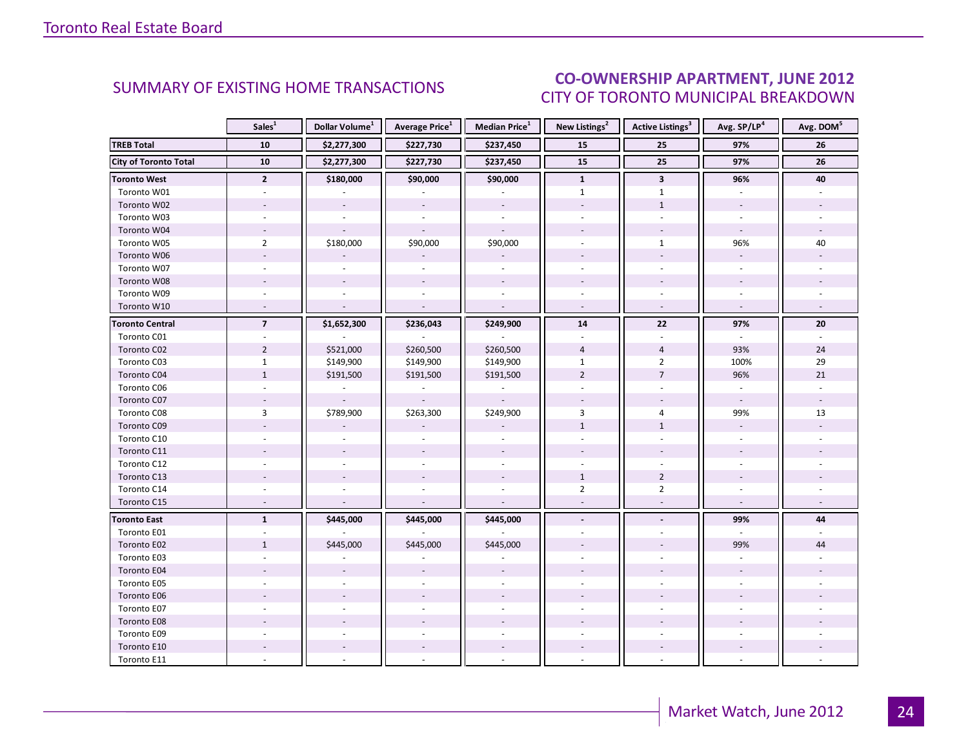### CO-OWNERSHIP APARTMENT, JUNE 2012 CITY OF TORONTO MUNICIPAL BREAKDOWN

<span id="page-23-0"></span>

|                              | Sales <sup>1</sup> | Dollar Volume <sup>1</sup> | <b>Average Price</b> <sup>1</sup> | Median Price <sup>1</sup> | New Listings <sup>2</sup> | <b>Active Listings<sup>3</sup></b> | Avg. SP/LP <sup>4</sup>  | Avg. DOM <sup>5</sup> |
|------------------------------|--------------------|----------------------------|-----------------------------------|---------------------------|---------------------------|------------------------------------|--------------------------|-----------------------|
| <b>TREB Total</b>            | 10                 | \$2,277,300                | \$227,730                         | \$237,450                 | 15                        | 25                                 | 97%                      | 26                    |
| <b>City of Toronto Total</b> | 10                 | \$2,277,300                | \$227,730                         | \$237,450                 | 15                        | 25                                 | 97%                      | 26                    |
| Toronto West                 | $\overline{2}$     | \$180,000                  | \$90,000                          | \$90,000                  | $\mathbf{1}$              | $\mathbf{3}$                       | 96%                      | 40                    |
| Toronto W01                  |                    |                            |                                   |                           | $\mathbf{1}$              | $\mathbf{1}$                       |                          |                       |
| Toronto W02                  |                    |                            |                                   |                           |                           | $\mathbf{1}$                       |                          |                       |
| Toronto W03                  | $\sim$             |                            | $\overline{a}$                    | $\sim$                    |                           | $\mathbf{r}$                       |                          |                       |
| Toronto W04                  |                    |                            |                                   |                           |                           |                                    |                          |                       |
| Toronto W05                  | $\overline{2}$     | \$180,000                  | \$90,000                          | \$90,000                  |                           | $\mathbf{1}$                       | 96%                      | 40                    |
| Toronto W06                  | $\sim$             |                            |                                   |                           |                           | $\overline{a}$                     |                          |                       |
| Toronto W07                  |                    |                            | $\mathbf{r}$                      | $\overline{a}$            |                           |                                    |                          |                       |
| Toronto W08                  |                    |                            |                                   |                           |                           |                                    |                          |                       |
| Toronto W09                  |                    |                            |                                   |                           |                           |                                    |                          |                       |
| Toronto W10                  | $\sim$             |                            | $\sim$                            | $\sim$                    | $\overline{\phantom{a}}$  | $\overline{\phantom{a}}$           |                          |                       |
| <b>Toronto Central</b>       | $\overline{7}$     | \$1,652,300                | \$236,043                         | \$249,900                 | 14                        | 22                                 | 97%                      | 20                    |
| Toronto C01                  |                    |                            |                                   |                           |                           |                                    |                          |                       |
| Toronto C02                  | $\overline{2}$     | \$521,000                  | \$260,500                         | \$260,500                 | $\overline{4}$            | $\overline{4}$                     | 93%                      | 24                    |
| Toronto C03                  | $\mathbf{1}$       | \$149,900                  | \$149,900                         | \$149,900                 | $\mathbf{1}$              | $\overline{2}$                     | 100%                     | 29                    |
| Toronto C04                  | $1\,$              | \$191,500                  | \$191,500                         | \$191,500                 | $\overline{2}$            | $\overline{7}$                     | 96%                      | 21                    |
| Toronto C06                  |                    |                            |                                   |                           |                           |                                    |                          |                       |
| Toronto C07                  | $\sim$             | $\overline{\phantom{a}}$   | $\overline{\phantom{a}}$          |                           |                           |                                    | $\sim$                   |                       |
| Toronto C08                  | 3                  | \$789,900                  | \$263,300                         | \$249,900                 | 3                         | $\overline{4}$                     | 99%                      | 13                    |
| Toronto C09                  |                    |                            |                                   |                           | $\mathbf{1}$              | $\mathbf{1}$                       |                          |                       |
| Toronto C10                  |                    |                            |                                   |                           |                           |                                    |                          |                       |
| Toronto C11                  |                    |                            |                                   |                           |                           |                                    |                          |                       |
| Toronto C12                  |                    |                            | $\sim$                            | $\sim$                    |                           |                                    |                          |                       |
| Toronto C13                  |                    |                            |                                   |                           | $\mathbf{1}$              | $\overline{2}$                     |                          |                       |
| Toronto C14                  |                    |                            |                                   |                           | $\overline{2}$            | $\overline{2}$                     |                          |                       |
| Toronto C15                  | $\sim$             |                            | $\sim$                            | $\sim$                    |                           |                                    | $\overline{\phantom{a}}$ |                       |
| <b>Toronto East</b>          | $\mathbf{1}$       | \$445,000                  | \$445,000                         | \$445,000                 | $\blacksquare$            |                                    | 99%                      | 44                    |
| Toronto E01                  |                    |                            |                                   |                           |                           |                                    |                          |                       |
| Toronto E02                  | $\mathbf{1}$       | \$445,000                  | \$445,000                         | \$445,000                 |                           |                                    | 99%                      | 44                    |
| Toronto E03                  |                    |                            |                                   |                           |                           |                                    |                          |                       |
| Toronto E04                  |                    |                            |                                   |                           |                           |                                    |                          |                       |
| Toronto E05                  |                    |                            |                                   |                           |                           |                                    |                          |                       |
| Toronto E06                  |                    |                            |                                   |                           |                           |                                    |                          |                       |
| Toronto E07                  |                    |                            |                                   |                           |                           |                                    |                          |                       |
| Toronto E08                  |                    |                            |                                   |                           |                           |                                    |                          |                       |
| Toronto E09                  |                    |                            |                                   |                           |                           |                                    |                          |                       |
| Toronto E10                  |                    |                            |                                   |                           |                           |                                    |                          |                       |
| Toronto E11                  |                    |                            |                                   |                           |                           |                                    |                          |                       |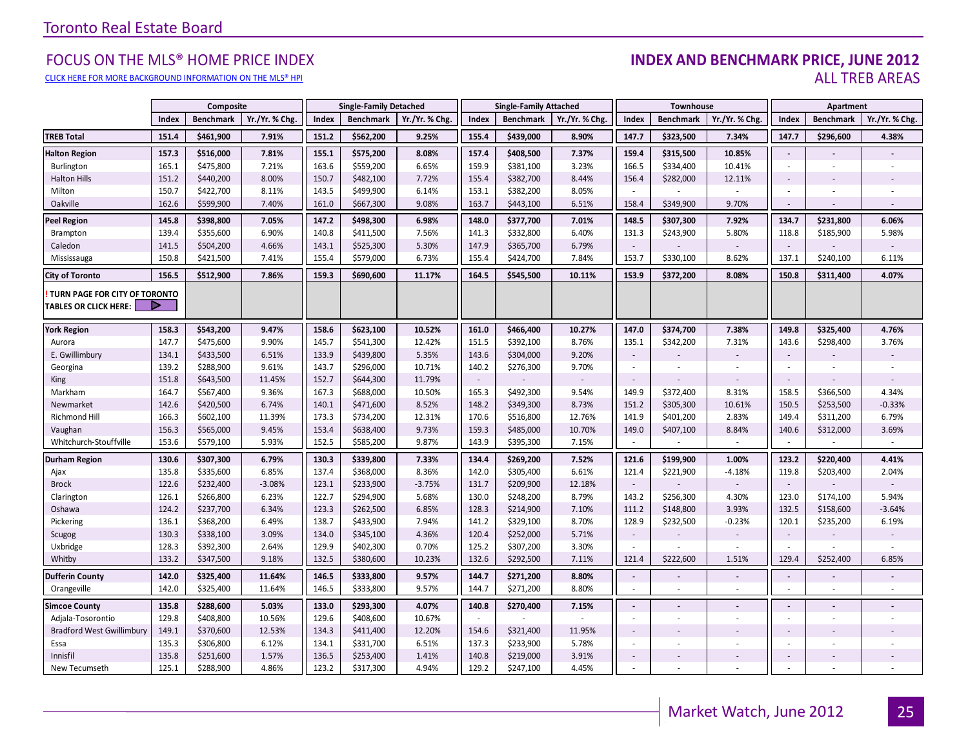#### FOCUS ON THE MLS® HOME PRICE INDEX **INDEX AND BENCHMARK PRICE, JUNE 2012**<br>CLICK HERE FOR MORE BACKGROUND INFORMATION ON THE MIS® HPI CLICK HERE FOR MORE BACKGROUND INFORMATION ON THE MLS® HPI AND STATE OF THE STATE OF THE STATE OF THE STATE OF THE STATE OF THE STATE OF THE STATE OF THE STATE OF THE STATE OF THE STATE OF THE STATE OF THE STATE OF THE STA

|                                                               |       | Composite        |                |       | <b>Single-Family Detached</b> |               |        | <b>Single-Family Attached</b> |                |                          | Townhouse        |                |                          | Apartment                |                |
|---------------------------------------------------------------|-------|------------------|----------------|-------|-------------------------------|---------------|--------|-------------------------------|----------------|--------------------------|------------------|----------------|--------------------------|--------------------------|----------------|
|                                                               | Index | <b>Benchmark</b> | Yr./Yr. % Chg. | Index | <b>Benchmark</b>              | Yr./Yr. % Chg | Index  | <b>Benchmark</b>              | Yr./Yr. % Chg. | Index                    | <b>Benchmark</b> | Yr./Yr. % Chg  | Index                    | <b>Benchmark</b>         | Yr./Yr. % Chg. |
| <b>TREB Total</b>                                             | 151.4 | \$461,900        | 7.91%          | 151.2 | \$562,200                     | 9.25%         | 155.4  | \$439,000                     | 8.90%          | 147.7                    | \$323,500        | 7.34%          | 147.7                    | \$296,600                | 4.38%          |
| <b>Halton Region</b>                                          | 157.3 | \$516,000        | 7.81%          | 155.1 | \$575,200                     | 8.08%         | 157.4  | \$408,500                     | 7.37%          | 159.4                    | \$315,500        | 10.85%         | $\blacksquare$           |                          |                |
| Burlington                                                    | 165.1 | \$475,800        | 7.21%          | 163.6 | \$559,200                     | 6.65%         | 159.9  | \$381,100                     | 3.23%          | 166.5                    | \$334,400        | 10.41%         | $\sim$                   | $\overline{\phantom{a}}$ |                |
| <b>Halton Hills</b>                                           | 151.2 | \$440,200        | 8.00%          | 150.7 | \$482,100                     | 7.72%         | 155.4  | \$382,700                     | 8.44%          | 156.4                    | \$282,000        | 12.11%         | $\sim$                   |                          |                |
| Milton                                                        | 150.7 | \$422,700        | 8.11%          | 143.5 | \$499,900                     | 6.14%         | 153.1  | \$382,200                     | 8.05%          | $\sim$                   |                  |                |                          |                          |                |
| Oakville                                                      | 162.6 | \$599,900        | 7.40%          | 161.0 | \$667,300                     | 9.08%         | 163.7  | \$443,100                     | 6.51%          | 158.4                    | \$349,900        | 9.70%          | $\sim$                   |                          |                |
| <b>Peel Region</b>                                            | 145.8 | \$398,800        | 7.05%          | 147.2 | \$498,300                     | 6.98%         | 148.0  | \$377,700                     | 7.01%          | 148.5                    | \$307,300        | 7.92%          | 134.7                    | \$231,800                | 6.06%          |
| Brampton                                                      | 139.4 | \$355,600        | 6.90%          | 140.8 | \$411,500                     | 7.56%         | 141.3  | \$332,800                     | 6.40%          | 131.3                    | \$243,900        | 5.80%          | 118.8                    | \$185,900                | 5.98%          |
| Caledon                                                       | 141.5 | \$504,200        | 4.66%          | 143.1 | \$525,300                     | 5.30%         | 147.9  | \$365,700                     | 6.79%          | $\overline{\phantom{a}}$ |                  |                |                          |                          |                |
| Mississauga                                                   | 150.8 | \$421,500        | 7.41%          | 155.4 | \$579,000                     | 6.73%         | 155.4  | \$424,700                     | 7.84%          | 153.7                    | \$330,100        | 8.62%          | 137.1                    | \$240,100                | 6.11%          |
| <b>City of Toronto</b>                                        | 156.5 | \$512,900        | 7.86%          | 159.3 | \$690,600                     | 11.17%        | 164.5  | \$545,500                     | 10.11%         | 153.9                    | \$372,200        | 8.08%          | 150.8                    | \$311,400                | 4.07%          |
| TURN PAGE FOR CITY OF TORONTO<br><b>TABLES OR CLICK HERE:</b> |       |                  |                |       |                               |               |        |                               |                |                          |                  |                |                          |                          |                |
| <b>York Region</b>                                            | 158.3 | \$543,200        | 9.47%          | 158.6 | \$623,100                     | 10.52%        | 161.0  | \$466,400                     | 10.27%         | 147.0                    | \$374,700        | 7.38%          | 149.8                    | \$325,400                | 4.76%          |
| Aurora                                                        | 147.7 | \$475,600        | 9.90%          | 145.7 | \$541,300                     | 12.42%        | 151.5  | \$392,100                     | 8.76%          | 135.1                    | \$342,200        | 7.31%          | 143.6                    | \$298,400                | 3.76%          |
| E. Gwillimbury                                                | 134.1 | \$433,500        | 6.51%          | 133.9 | \$439,800                     | 5.35%         | 143.6  | \$304,000                     | 9.20%          | $\sim$                   |                  |                | $\sim$                   |                          |                |
| Georgina                                                      | 139.2 | \$288,900        | 9.61%          | 143.7 | \$296,000                     | 10.71%        | 140.2  | \$276,300                     | 9.70%          | $\omega$                 |                  |                | $\sim$                   | ×                        |                |
| King                                                          | 151.8 | \$643,500        | 11.45%         | 152.7 | \$644,300                     | 11.79%        | $\sim$ |                               |                | $\overline{\phantom{a}}$ |                  |                | $\sim$                   |                          |                |
| Markham                                                       | 164.7 | \$567,400        | 9.36%          | 167.3 | \$688,000                     | 10.50%        | 165.3  | \$492,300                     | 9.54%          | 149.9                    | \$372,400        | 8.31%          | 158.5                    | \$366,500                | 4.34%          |
| Newmarket                                                     | 142.6 | \$420,500        | 6.74%          | 140.1 | \$471,600                     | 8.52%         | 148.2  | \$349,300                     | 8.73%          | 151.2                    | \$305,300        | 10.61%         | 150.5                    | \$253,500                | $-0.33%$       |
| <b>Richmond Hill</b>                                          | 166.3 | \$602,100        | 11.39%         | 173.3 | \$734,200                     | 12.31%        | 170.6  | \$516,800                     | 12.76%         | 141.9                    | \$401,200        | 2.83%          | 149.4                    | \$311,200                | 6.79%          |
| Vaughan                                                       | 156.3 | \$565,000        | 9.45%          | 153.4 | \$638,400                     | 9.73%         | 159.3  | \$485,000                     | 10.70%         | 149.0                    | \$407,100        | 8.84%          | 140.6                    | \$312,000                | 3.69%          |
| Whitchurch-Stouffville                                        | 153.6 | \$579,100        | 5.93%          | 152.5 | \$585,200                     | 9.87%         | 143.9  | \$395,300                     | 7.15%          | $\sim$                   |                  | $\blacksquare$ | $\sim$                   | $\sim$                   | $\sim$         |
| <b>Durham Region</b>                                          | 130.6 | \$307,300        | 6.79%          | 130.3 | \$339,800                     | 7.33%         | 134.4  | \$269,200                     | 7.52%          | 121.6                    | \$199,900        | 1.00%          | 123.2                    | \$220,400                | 4.41%          |
| Ajax                                                          | 135.8 | \$335,600        | 6.85%          | 137.4 | \$368,000                     | 8.36%         | 142.0  | \$305,400                     | 6.61%          | 121.4                    | \$221,900        | $-4.18%$       | 119.8                    | \$203,400                | 2.04%          |
| <b>Brock</b>                                                  | 122.6 | \$232,400        | $-3.08%$       | 123.1 | \$233,900                     | $-3.75%$      | 131.7  | \$209,900                     | 12.18%         | $\sim$                   |                  |                | $\overline{\phantom{a}}$ |                          |                |
| Clarington                                                    | 126.1 | \$266,800        | 6.23%          | 122.7 | \$294,900                     | 5.68%         | 130.0  | \$248,200                     | 8.79%          | 143.2                    | \$256,300        | 4.30%          | 123.0                    | \$174,100                | 5.94%          |
| Oshawa                                                        | 124.2 | \$237,700        | 6.34%          | 123.3 | \$262,500                     | 6.85%         | 128.3  | \$214,900                     | 7.10%          | 111.2                    | \$148,800        | 3.93%          | 132.5                    | \$158,600                | $-3.64%$       |
| Pickering                                                     | 136.1 | \$368,200        | 6.49%          | 138.7 | \$433,900                     | 7.94%         | 141.2  | \$329,100                     | 8.70%          | 128.9                    | \$232,500        | $-0.23%$       | 120.1                    | \$235,200                | 6.19%          |
| Scugog                                                        | 130.3 | \$338,100        | 3.09%          | 134.0 | \$345,100                     | 4.36%         | 120.4  | \$252,000                     | 5.71%          | $\overline{\phantom{a}}$ |                  |                | $\sim$                   |                          |                |
| Uxbridge                                                      | 128.3 | \$392,300        | 2.64%          | 129.9 | \$402,300                     | 0.70%         | 125.2  | \$307,200                     | 3.30%          |                          |                  |                |                          |                          |                |
| Whitby                                                        | 133.2 | \$347,500        | 9.18%          | 132.5 | \$380,600                     | 10.23%        | 132.6  | \$292,500                     | 7.11%          | 121.4                    | \$222,600        | 1.51%          | 129.4                    | \$252,400                | 6.85%          |
| <b>Dufferin County</b>                                        | 142.0 | \$325,400        | 11.64%         | 146.5 | \$333,800                     | 9.57%         | 144.7  | \$271,200                     | 8.80%          | $\blacksquare$           |                  |                | $\overline{\phantom{a}}$ | $\overline{\phantom{a}}$ |                |
| Orangeville                                                   | 142.0 | \$325,400        | 11.64%         | 146.5 | \$333,800                     | 9.57%         | 144.7  | \$271,200                     | 8.80%          | ×.                       | $\sim$           | ×.             |                          | ×                        | ×.             |
| <b>Simcoe County</b>                                          | 135.8 | \$288,600        | 5.03%          | 133.0 | \$293,300                     | 4.07%         | 140.8  | \$270,400                     | 7.15%          | $\blacksquare$           |                  |                | $\overline{\phantom{a}}$ |                          |                |
| Adjala-Tosorontio                                             | 129.8 | \$408,800        | 10.56%         | 129.6 | \$408,600                     | 10.67%        | $\sim$ |                               |                | $\blacksquare$           |                  | ×.             | $\sim$                   | $\blacksquare$           |                |
| <b>Bradford West Gwillimbury</b>                              | 149.1 | \$370,600        | 12.53%         | 134.3 | \$411,400                     | 12.20%        | 154.6  | \$321,400                     | 11.95%         | $\overline{\phantom{a}}$ |                  |                |                          |                          |                |
| Essa                                                          | 135.3 | \$306,800        | 6.12%          | 134.1 | \$331,700                     | 6.51%         | 137.3  | \$233,900                     | 5.78%          | $\sim$                   |                  |                | $\sim$                   |                          |                |
| Innisfil                                                      | 135.8 | \$251,600        | 1.57%          | 136.5 | \$253,400                     | 1.41%         | 140.8  | \$219,000                     | 3.91%          | $\blacksquare$           |                  |                | $\overline{\phantom{a}}$ |                          |                |
| New Tecumseth                                                 | 125.1 | \$288,900        | 4.86%          | 123.2 | \$317,300                     | 4.94%         | 129.2  | \$247,100                     | 4.45%          |                          |                  |                |                          |                          |                |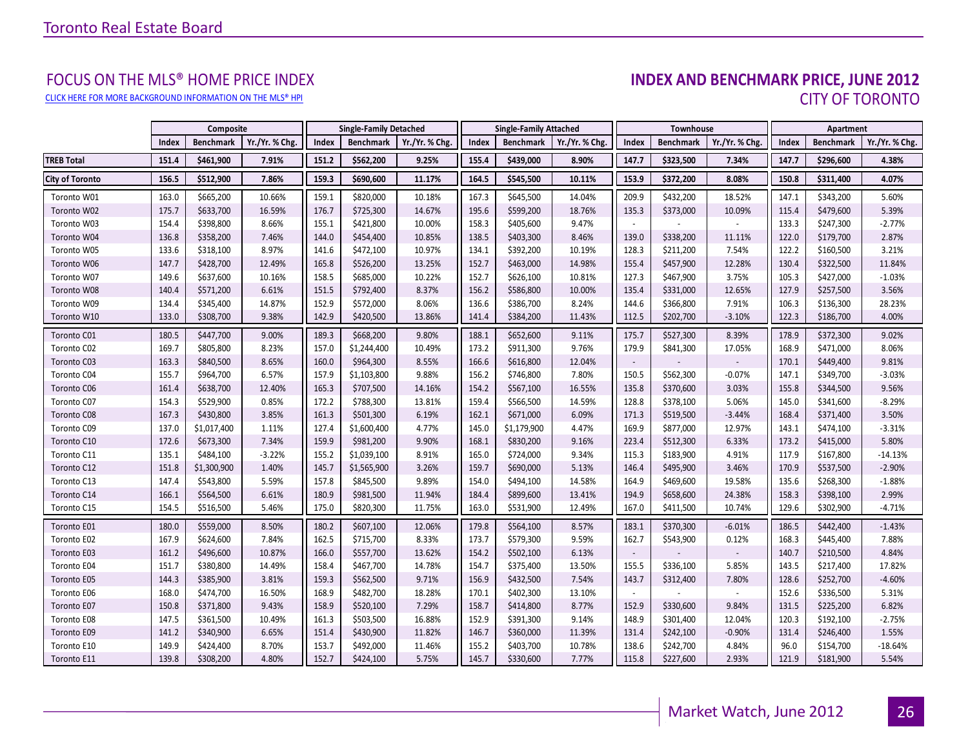# FOCUS ON THE MLS® HOME PRICE INDEX<br>INDEX AND BENCHMARK PRICE, JUNE 2012 CLICK HERE FOR MORE BACKGROUND INFORMATION ON THE MLS® HPI CITY OF TORONTO

<span id="page-25-0"></span>

|                        |       | Composite        |                |       | <b>Single-Family Detached</b> |                |       | <b>Single-Family Attached</b> |                |                          | Townhouse |                |       | Apartment |                |
|------------------------|-------|------------------|----------------|-------|-------------------------------|----------------|-------|-------------------------------|----------------|--------------------------|-----------|----------------|-------|-----------|----------------|
|                        | Index | <b>Benchmark</b> | Yr./Yr. % Chg. | Index | <b>Benchmark</b>              | Yr./Yr. % Chg. | Index | <b>Benchmark</b>              | Yr./Yr. % Chg. | Index                    | Benchmark | Yr./Yr. % Chg. | Index | Benchmark | Yr./Yr. % Chg. |
| <b>TREB Total</b>      | 151.4 | \$461,900        | 7.91%          | 151.2 | \$562,200                     | 9.25%          | 155.4 | \$439,000                     | 8.90%          | 147.7                    | \$323,500 | 7.34%          | 147.7 | \$296,600 | 4.38%          |
| <b>City of Toronto</b> | 156.5 | \$512,900        | 7.86%          | 159.3 | \$690,600                     | 11.17%         | 164.5 | \$545,500                     | 10.11%         | 153.9                    | \$372,200 | 8.08%          | 150.8 | \$311,400 | 4.07%          |
| Toronto W01            | 163.0 | \$665,200        | 10.66%         | 159.1 | \$820,000                     | 10.18%         | 167.3 | \$645,500                     | 14.04%         | 209.9                    | \$432,200 | 18.52%         | 147.1 | \$343,200 | 5.60%          |
| Toronto W02            | 175.7 | \$633,700        | 16.59%         | 176.7 | \$725,300                     | 14.67%         | 195.6 | \$599,200                     | 18.76%         | 135.3                    | \$373,000 | 10.09%         | 115.4 | \$479,600 | 5.39%          |
| Toronto W03            | 154.4 | \$398,800        | 8.66%          | 155.1 | \$421,800                     | 10.00%         | 158.3 | \$405,600                     | 9.47%          |                          |           |                | 133.3 | \$247,300 | $-2.77%$       |
| Toronto W04            | 136.8 | \$358,200        | 7.46%          | 144.0 | \$454,400                     | 10.85%         | 138.5 | \$403,300                     | 8.46%          | 139.0                    | \$338,200 | 11.11%         | 122.0 | \$179,700 | 2.87%          |
| Toronto W05            | 133.6 | \$318,100        | 8.97%          | 141.6 | \$472,100                     | 10.97%         | 134.1 | \$392,200                     | 10.19%         | 128.3                    | \$211,200 | 7.54%          | 122.2 | \$160,500 | 3.21%          |
| Toronto W06            | 147.7 | \$428,700        | 12.49%         | 165.8 | \$526,200                     | 13.25%         | 152.7 | \$463,000                     | 14.98%         | 155.4                    | \$457,900 | 12.28%         | 130.4 | \$322,500 | 11.84%         |
| Toronto W07            | 149.6 | \$637,600        | 10.16%         | 158.5 | \$685,000                     | 10.22%         | 152.7 | \$626,100                     | 10.81%         | 127.3                    | \$467,900 | 3.75%          | 105.3 | \$427,000 | $-1.03%$       |
| Toronto W08            | 140.4 | \$571,200        | 6.61%          | 151.5 | \$792,400                     | 8.37%          | 156.2 | \$586,800                     | 10.00%         | 135.4                    | \$331,000 | 12.65%         | 127.9 | \$257,500 | 3.56%          |
| Toronto W09            | 134.4 | \$345,400        | 14.87%         | 152.9 | \$572,000                     | 8.06%          | 136.6 | \$386,700                     | 8.24%          | 144.6                    | \$366,800 | 7.91%          | 106.3 | \$136,300 | 28.23%         |
| Toronto W10            | 133.0 | \$308,700        | 9.38%          | 142.9 | \$420,500                     | 13.86%         | 141.4 | \$384,200                     | 11.43%         | 112.5                    | \$202,700 | $-3.10%$       | 122.3 | \$186,700 | 4.00%          |
| Toronto C01            | 180.5 | \$447,700        | 9.00%          | 189.3 | \$668,200                     | 9.80%          | 188.1 | \$652,600                     | 9.11%          | 175.7                    | \$527,300 | 8.39%          | 178.9 | \$372,300 | 9.02%          |
| Toronto C02            | 169.7 | \$805,800        | 8.23%          | 157.0 | \$1,244,400                   | 10.49%         | 173.2 | \$911,300                     | 9.76%          | 179.9                    | \$841,300 | 17.05%         | 168.9 | \$471,000 | 8.06%          |
| Toronto C03            | 163.3 | \$840,500        | 8.65%          | 160.0 | \$964,300                     | 8.55%          | 166.6 | \$616,800                     | 12.04%         | $\overline{\phantom{a}}$ |           |                | 170.1 | \$449,400 | 9.81%          |
| Toronto C04            | 155.7 | \$964,700        | 6.57%          | 157.9 | \$1,103,800                   | 9.88%          | 156.2 | \$746,800                     | 7.80%          | 150.5                    | \$562,300 | $-0.07%$       | 147.1 | \$349,700 | $-3.03%$       |
| Toronto C06            | 161.4 | \$638,700        | 12.40%         | 165.3 | \$707,500                     | 14.16%         | 154.2 | \$567,100                     | 16.55%         | 135.8                    | \$370,600 | 3.03%          | 155.8 | \$344,500 | 9.56%          |
| Toronto C07            | 154.3 | \$529,900        | 0.85%          | 172.2 | \$788,300                     | 13.81%         | 159.4 | \$566,500                     | 14.59%         | 128.8                    | \$378,100 | 5.06%          | 145.0 | \$341,600 | $-8.29%$       |
| Toronto C08            | 167.3 | \$430,800        | 3.85%          | 161.3 | \$501,300                     | 6.19%          | 162.1 | \$671,000                     | 6.09%          | 171.3                    | \$519,500 | $-3.44%$       | 168.4 | \$371,400 | 3.50%          |
| Toronto C09            | 137.0 | \$1,017,400      | 1.11%          | 127.4 | \$1,600,400                   | 4.77%          | 145.0 | \$1,179,900                   | 4.47%          | 169.9                    | \$877,000 | 12.97%         | 143.1 | \$474,100 | $-3.31%$       |
| Toronto C10            | 172.6 | \$673,300        | 7.34%          | 159.9 | \$981,200                     | 9.90%          | 168.1 | \$830,200                     | 9.16%          | 223.4                    | \$512,300 | 6.33%          | 173.2 | \$415,000 | 5.80%          |
| Toronto C11            | 135.1 | \$484,100        | $-3.22%$       | 155.2 | \$1,039,100                   | 8.91%          | 165.0 | \$724,000                     | 9.34%          | 115.3                    | \$183,900 | 4.91%          | 117.9 | \$167,800 | $-14.13%$      |
| Toronto C12            | 151.8 | \$1,300,900      | 1.40%          | 145.7 | \$1,565,900                   | 3.26%          | 159.7 | \$690,000                     | 5.13%          | 146.4                    | \$495,900 | 3.46%          | 170.9 | \$537,500 | $-2.90%$       |
| Toronto C13            | 147.4 | \$543,800        | 5.59%          | 157.8 | \$845,500                     | 9.89%          | 154.0 | \$494,100                     | 14.58%         | 164.9                    | \$469,600 | 19.58%         | 135.6 | \$268,300 | $-1.88%$       |
| Toronto C14            | 166.1 | \$564,500        | 6.61%          | 180.9 | \$981,500                     | 11.94%         | 184.4 | \$899,600                     | 13.41%         | 194.9                    | \$658,600 | 24.38%         | 158.3 | \$398,100 | 2.99%          |
| Toronto C15            | 154.5 | \$516,500        | 5.46%          | 175.0 | \$820,300                     | 11.75%         | 163.0 | \$531,900                     | 12.49%         | 167.0                    | \$411,500 | 10.74%         | 129.6 | \$302,900 | $-4.71%$       |
| Toronto E01            | 180.0 | \$559,000        | 8.50%          | 180.2 | \$607,100                     | 12.06%         | 179.8 | \$564,100                     | 8.57%          | 183.1                    | \$370,300 | $-6.01%$       | 186.5 | \$442,400 | $-1.43%$       |
| Toronto E02            | 167.9 | \$624,600        | 7.84%          | 162.5 | \$715,700                     | 8.33%          | 173.7 | \$579,300                     | 9.59%          | 162.7                    | \$543,900 | 0.12%          | 168.3 | \$445,400 | 7.88%          |
| Toronto E03            | 161.2 | \$496,600        | 10.87%         | 166.0 | \$557,700                     | 13.62%         | 154.2 | \$502,100                     | 6.13%          |                          |           |                | 140.7 | \$210,500 | 4.84%          |
| Toronto E04            | 151.7 | \$380,800        | 14.49%         | 158.4 | \$467,700                     | 14.78%         | 154.7 | \$375,400                     | 13.50%         | 155.5                    | \$336,100 | 5.85%          | 143.5 | \$217,400 | 17.82%         |
| Toronto E05            | 144.3 | \$385,900        | 3.81%          | 159.3 | \$562,500                     | 9.71%          | 156.9 | \$432,500                     | 7.54%          | 143.7                    | \$312,400 | 7.80%          | 128.6 | \$252,700 | $-4.60%$       |
| Toronto E06            | 168.0 | \$474,700        | 16.50%         | 168.9 | \$482,700                     | 18.28%         | 170.1 | \$402,300                     | 13.10%         |                          |           |                | 152.6 | \$336,500 | 5.31%          |
| Toronto E07            | 150.8 | \$371,800        | 9.43%          | 158.9 | \$520,100                     | 7.29%          | 158.7 | \$414,800                     | 8.77%          | 152.9                    | \$330,600 | 9.84%          | 131.5 | \$225,200 | 6.82%          |
| Toronto E08            | 147.5 | \$361,500        | 10.49%         | 161.3 | \$503,500                     | 16.88%         | 152.9 | \$391,300                     | 9.14%          | 148.9                    | \$301,400 | 12.04%         | 120.3 | \$192,100 | $-2.75%$       |
| Toronto E09            | 141.2 | \$340,900        | 6.65%          | 151.4 | \$430,900                     | 11.82%         | 146.7 | \$360,000                     | 11.39%         | 131.4                    | \$242,100 | $-0.90%$       | 131.4 | \$246,400 | 1.55%          |
| Toronto E10            | 149.9 | \$424,400        | 8.70%          | 153.7 | \$492,000                     | 11.46%         | 155.2 | \$403,700                     | 10.78%         | 138.6                    | \$242,700 | 4.84%          | 96.0  | \$154,700 | $-18.64%$      |
| Toronto E11            | 139.8 | \$308,200        | 4.80%          | 152.7 | \$424,100                     | 5.75%          | 145.7 | \$330,600                     | 7.77%          | 115.8                    | \$227,600 | 2.93%          | 121.9 | \$181,900 | 5.54%          |